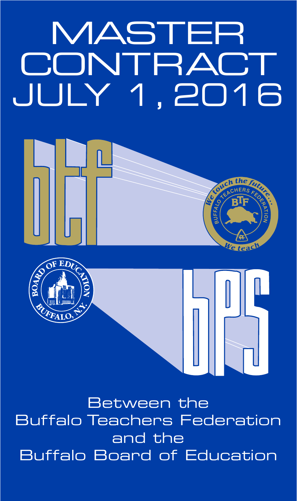# MASTER CONTRACT JULY 1, 2016





Between the Buffalo Teachers Federation and the Buffalo Board of Education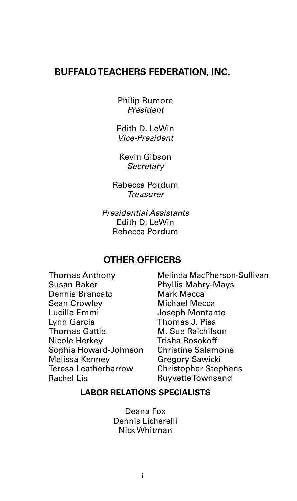## **BUFFALO TEACHERS FEDERATION, INC.**

Philip Rumore *President*

Edith D. LeWin *Vice-President*

Kevin Gibson *Secretary*

Rebecca Pordum *Treasurer*

*Presidential Assistants* Edith D. LeWin Rebecca Pordum

#### **OTHER OFFICERS**

Melinda MacPherson-Sullivan Phyllis Mabry-Mays Mark Mecca Michael Mecca Joseph Montante Thomas J. Pisa M. Sue Raichilson Trisha Rosokoff Christine Salamone Gregory Sawicki Christopher Stephens Ruyvette Townsend

#### **LABOR RELATIONS SPECIALISTS**

Deana Fox Dennis Licherelli Nick Whitman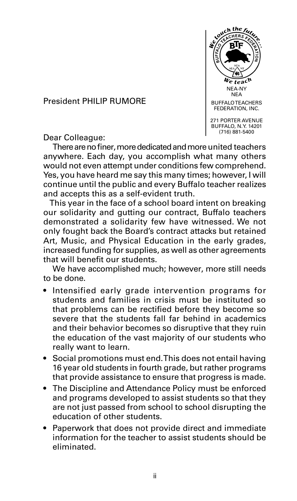

President PHILIP RUMORE

Dear Colleague:

There are no finer, more dedicated and more united teachers anywhere. Each day, you accomplish what many others would not even attempt under conditions few comprehend. Yes, you have heard me say this many times; however, I will continue until the public and every Buffalo teacher realizes and accepts this as a self-evident truth.

This year in the face of a school board intent on breaking our solidarity and gutting our contract, Buffalo teachers demonstrated a solidarity few have witnessed. We not only fought back the Board's contract attacks but retained Art, Music, and Physical Education in the early grades, increased funding for supplies, as well as other agreements that will benefit our students.

We have accomplished much; however, more still needs to be done.

- Intensified early grade intervention programs for students and families in crisis must be instituted so that problems can be rectified before they become so severe that the students fall far behind in academics and their behavior becomes so disruptive that they ruin the education of the vast majority of our students who really want to learn.
- Social promotions must end. This does not entail having 16 year old students in fourth grade, but rather programs that provide assistance to ensure that progress is made.
- The Discipline and Attendance Policy must be enforced and programs developed to assist students so that they are not just passed from school to school disrupting the education of other students.
- Paperwork that does not provide direct and immediate information for the teacher to assist students should be eliminated.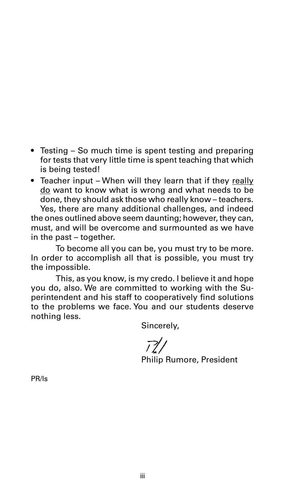- Testing So much time is spent testing and preparing for tests that very little time is spent teaching that which is being tested!
- Teacher input When will they learn that if they really do want to know what is wrong and what needs to be done, they should ask those who really know – teachers. Yes, there are many additional challenges, and indeed

the ones outlined above seem daunting; however, they can, must, and will be overcome and surmounted as we have in the past – together.

To become all you can be, you must try to be more. In order to accomplish all that is possible, you must try the impossible.

This, as you know, is my credo. I believe it and hope you do, also. We are committed to working with the Superintendent and his staff to cooperatively find solutions to the problems we face. You and our students deserve nothing less.

Sincerely,

 $77/$ 

Philip Rumore, President

PR/ls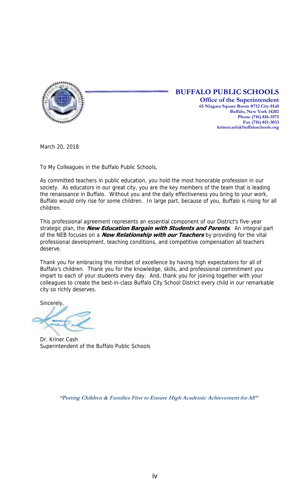

#### **BUFFALO PUBLIC SCHOOLS**

**Office of the Superintendent 65 Niagara Square Room #712 City Hall Buffalo, New York 14202 Phone (716) 816-3575 Fax (716) 851-3033 krinercash@buffaloschools.org**

March 20, 2018

To My Colleagues in the Buffalo Public Schools,

As committed teachers in public education, you hold the most honorable profession in our society. As educators in our great city, you are the key members of the team that is leading the renaissance in Buffalo. Without you and the daily effectiveness you bring to your work, Buffalo would only rise for some children. In large part, because of you, Buffalo is rising for all children.

This professional agreement represents an essential component of our District's five-year strategic plan, the **New Education Bargain with Students and Parents**. An integral part of the NEB focuses on a **New Relationship with our Teachers** by providing for the vital professional development, teaching conditions, and competitive compensation all teachers deserve.

 Thank you for embracing the mindset of excellence by having high expectations for all of Buffalo's children. Thank you for the knowledge, skills, and professional commitment you impart to each of your students every day. And, thank you for joining together with your colleagues to create the best-in-class Buffalo City School District every child in our remarkable city so richly deserves.

Sincerely,

Dr. Kriner Cash Superintendent of the Buffalo Public Schools

**"Putting Children & Families First to Ensure High Academic Achievement for All"**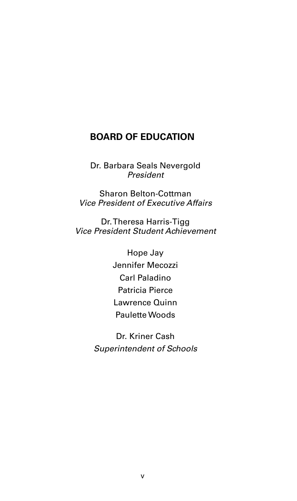# **BOARD OF EDUCATION**

Dr. Barbara Seals Nevergold *President*

Sharon Belton-Cottman *Vice President of Executive Affairs* 

Dr. Theresa Harris-Tigg *Vice President Student Achievement*

> Hope Jay Jennifer Mecozzi Carl Paladino Patricia Pierce Lawrence Quinn Paulette Woods

Dr. Kriner Cash *Superintendent of Schools*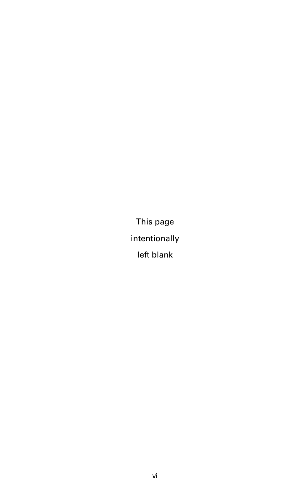This page intentionally left blank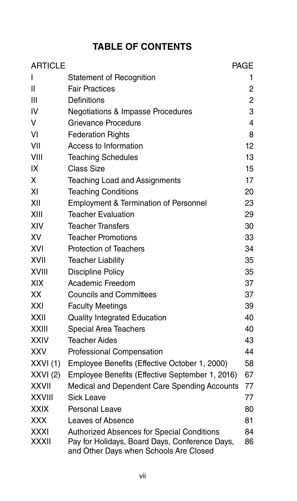# **TABLE OF CONTENTS**

| <b>ARTICLE</b> |                                                                                                                                               | <b>PAGE</b> |
|----------------|-----------------------------------------------------------------------------------------------------------------------------------------------|-------------|
| ı              | Statement of Recognition                                                                                                                      | 1           |
| Ш              | <b>Fair Practices</b>                                                                                                                         | 2           |
| Ш              | Definitions                                                                                                                                   | 2           |
| IV             | Negotiations & Impasse Procedures                                                                                                             | 3           |
| v              | Grievance Procedure                                                                                                                           | 4           |
| VI             | <b>Federation Rights</b>                                                                                                                      | 8           |
| VII            | Access to Information                                                                                                                         | 12          |
| VIII           | <b>Teaching Schedules</b>                                                                                                                     | 13          |
| IX             | Class Size                                                                                                                                    | 15          |
| x              | <b>Teaching Load and Assignments</b>                                                                                                          | 17          |
| ΧI             | <b>Teaching Conditions</b>                                                                                                                    | 20          |
| XII            | <b>Employment &amp; Termination of Personnel</b>                                                                                              | 23          |
| XIII           | <b>Teacher Evaluation</b>                                                                                                                     | 29          |
| XIV            | <b>Teacher Transfers</b>                                                                                                                      | 30          |
| XV             | <b>Teacher Promotions</b>                                                                                                                     | 33          |
| XVI            | <b>Protection of Teachers</b>                                                                                                                 | 34          |
| XVII           | <b>Teacher Liability</b>                                                                                                                      | 35          |
| XVIII          | Discipline Policy                                                                                                                             | 35          |
| XIX            | Academic Freedom                                                                                                                              | 37          |
| XX             | <b>Councils and Committees</b>                                                                                                                | 37          |
| XXI            | <b>Faculty Meetings</b>                                                                                                                       | 39          |
| XXII           | <b>Quality Integrated Education</b>                                                                                                           | 40          |
| <b>XXIII</b>   | <b>Special Area Teachers</b>                                                                                                                  | 40          |
| <b>XXIV</b>    | <b>Teacher Aides</b>                                                                                                                          | 43          |
| xxv            | Professional Compensation                                                                                                                     | 44          |
| XXVI(1)        | Employee Benefits (Effective October 1, 2000)                                                                                                 | 58          |
| XXVI(2)        | Employee Benefits (Effective September 1, 2016)                                                                                               | 67          |
| <b>XXVII</b>   | Medical and Dependent Care Spending Accounts                                                                                                  | 77          |
| <b>XXVIII</b>  | Sick Leave                                                                                                                                    | 77          |
| <b>XXIX</b>    | Personal Leave                                                                                                                                | 80          |
| xxx            | Leaves of Absence                                                                                                                             | 81          |
| XXXI<br>XXXII  | <b>Authorized Absences for Special Conditions</b><br>Pay for Holidays, Board Days, Conference Days,<br>and Other Days when Schools Are Closed | 84<br>86    |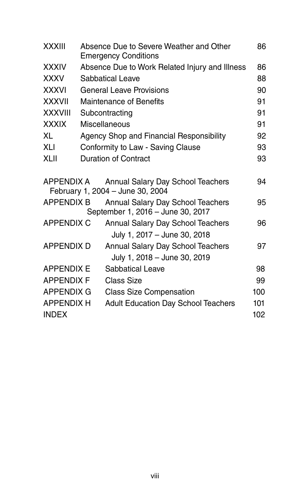| <b>XXXIII</b>     | Absence Due to Severe Weather and Other<br><b>Emergency Conditions</b> | 86  |
|-------------------|------------------------------------------------------------------------|-----|
| <b>XXXIV</b>      | Absence Due to Work Related Injury and Illness                         | 86  |
| <b>XXXV</b>       | Sabbatical Leave                                                       | 88  |
| <b>XXXVI</b>      | General Leave Provisions                                               | 90  |
| <b>XXXVII</b>     | Maintenance of Benefits                                                | 91  |
| <b>XXXVIII</b>    | Subcontracting                                                         | 91  |
| <b>XXXIX</b>      | Miscellaneous                                                          | 91  |
| XI                | Agency Shop and Financial Responsibility                               | 92  |
| XI I              | Conformity to Law - Saving Clause                                      | 93  |
| XI II             | Duration of Contract                                                   | 93  |
| <b>APPENDIX A</b> | Annual Salary Day School Teachers<br>February 1, 2004 - June 30, 2004  | 94  |
| <b>APPENDIX B</b> | Annual Salary Day School Teachers<br>September 1, 2016 - June 30, 2017 | 95  |
| <b>APPENDIX C</b> | Annual Salary Day School Teachers<br>July 1, 2017 - June 30, 2018      | 96  |
| APPENDIX D        | Annual Salary Day School Teachers<br>July 1, 2018 - June 30, 2019      | 97  |
| <b>APPENDIX E</b> | Sabbatical Leave                                                       | 98  |
| <b>APPFNDIX F</b> | Class Size                                                             | 99  |
| APPENDIX G        | <b>Class Size Compensation</b>                                         | 100 |
| <b>APPENDIX H</b> | <b>Adult Education Day School Teachers</b>                             | 101 |
| <b>INDEX</b>      |                                                                        | 102 |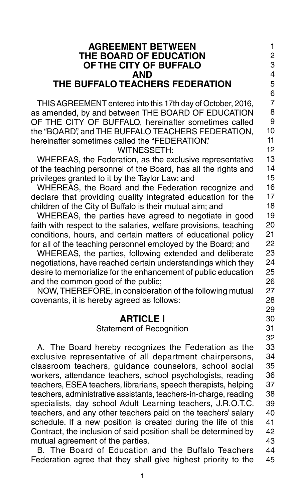#### **AGREEMENT BETWEEN THE BOARD OF EDUCATION OF THE CITY OF BUFFALO AND THE BUFFALO TEACHERS FEDERATION**

THIS AGREEMENT entered into this 17th day of October, 2016, as amended, by and between THE BOARD OF EDUCATION OF THE CITY OF BUFFALO, hereinafter sometimes called the "BOARD", and THE BUFFALO TEACHERS FEDERATION, hereinafter sometimes called the "FEDERATION".

#### WITNESSETH:

WHEREAS, the Federation, as the exclusive representative of the teaching personnel of the Board, has all the rights and privileges granted to it by the Taylor Law; and

16 17 18 WHEREAS, the Board and the Federation recognize and declare that providing quality integrated education for the children of the City of Buffalo is their mutual aim; and

21 22 WHEREAS, the parties have agreed to negotiate in good faith with respect to the salaries, welfare provisions, teaching conditions, hours, and certain matters of educational policy for all of the teaching personnel employed by the Board; and

WHEREAS, the parties, following extended and deliberate negotiations, have reached certain understandings which they desire to memorialize for the enhancement of public education and the common good of the public;

NOW, THEREFORE, in consideration of the following mutual covenants, it is hereby agreed as follows:

#### **ARTICLE I**

#### Statement of Recognition

33 34 35 36 37 38 39 40 41 42 43 A. The Board hereby recognizes the Federation as the exclusive representative of all department chairpersons, classroom teachers, guidance counselors, school social workers, attendance teachers, school psychologists, reading teachers, ESEA teachers, librarians, speech therapists, helping teachers, administrative assistants, teachers-in-charge, reading specialists, day school Adult Learning teachers, J.R.O.T.C. teachers, and any other teachers paid on the teachers' salary schedule. If a new position is created during the life of this Contract, the inclusion of said position shall be determined by mutual agreement of the parties.

44 45 B. The Board of Education and the Buffalo Teachers Federation agree that they shall give highest priority to the

19 20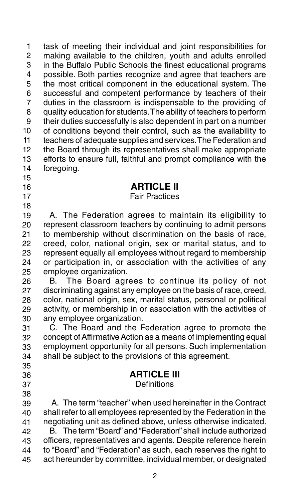1 2 3 4 5 6 7 8 9 10 11 12 13 14 15 task of meeting their individual and joint responsibilities for making available to the children, youth and adults enrolled in the Buffalo Public Schools the finest educational programs possible. Both parties recognize and agree that teachers are the most critical component in the educational system. The successful and competent performance by teachers of their duties in the classroom is indispensable to the providing of quality education for students. The ability of teachers to perform their duties successfully is also dependent in part on a number of conditions beyond their control, such as the availability to teachers of adequate supplies and services. The Federation and the Board through its representatives shall make appropriate efforts to ensure full, faithful and prompt compliance with the foregoing.

# **ARTICLE II**

16 17 18

#### Fair Practices

19 20 21 22 23 24 25 A. The Federation agrees to maintain its eligibility to represent classroom teachers by continuing to admit persons to membership without discrimination on the basis of race, creed, color, national origin, sex or marital status, and to represent equally all employees without regard to membership or participation in, or association with the activities of any employee organization.

26 27 28 **29** 30 B. The Board agrees to continue its policy of not discriminating against any employee on the basis of race, creed, color, national origin, sex, marital status, personal or political activity, or membership in or association with the activities of any employee organization.

31 32 33 34 C. The Board and the Federation agree to promote the concept of Affirmative Action as a means of implementing equal employment opportunity for all persons. Such implementation shall be subject to the provisions of this agreement.

# **ARTICLE III**

#### **Definitions**

39 40 41 42 43 44 45 A. The term "teacher" when used hereinafter in the Contract shall refer to all employees represented by the Federation in the negotiating unit as defined above, unless otherwise indicated. B. The term "Board" and "Federation" shall include authorized officers, representatives and agents. Despite reference herein to "Board" and "Federation" as such, each reserves the right to act hereunder by committee, individual member, or designated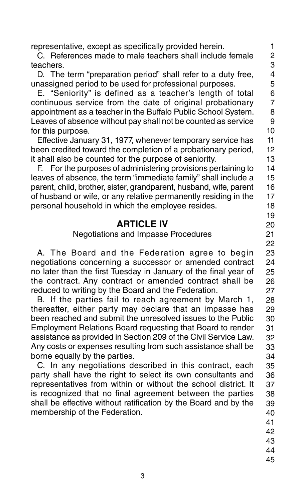representative, except as specifically provided herein.

C. References made to male teachers shall include female teachers.

D. The term "preparation period" shall refer to a duty free, unassigned period to be used for professional purposes.

E. "Seniority" is defined as a teacher's length of total continuous service from the date of original probationary appointment as a teacher in the Buffalo Public School System. Leaves of absence without pay shall not be counted as service for this purpose.

Effective January 31, 1977, whenever temporary service has been credited toward the completion of a probationary period, it shall also be counted for the purpose of seniority.

14 15 16 17 18 19 F. For the purposes of administering provisions pertaining to leaves of absence, the term "immediate family" shall include a parent, child, brother, sister, grandparent, husband, wife, parent of husband or wife, or any relative permanently residing in the personal household in which the employee resides.

## **ARTICLE IV**

## Negotiations and Impasse Procedures

A. The Board and the Federation agree to begin negotiations concerning a successor or amended contract no later than the first Tuesday in January of the final year of the contract. Any contract or amended contract shall be reduced to writing by the Board and the Federation.

28 29 30 31 32 33 34 B. If the parties fail to reach agreement by March 1, thereafter, either party may declare that an impasse has been reached and submit the unresolved issues to the Public Employment Relations Board requesting that Board to render assistance as provided in Section 209 of the Civil Service Law. Any costs or expenses resulting from such assistance shall be borne equally by the parties.

35 36 37 38 39 40 C. In any negotiations described in this contract, each party shall have the right to select its own consultants and representatives from within or without the school district. It is recognized that no final agreement between the parties shall be effective without ratification by the Board and by the membership of the Federation.

41 42

- 43
- 44
- 45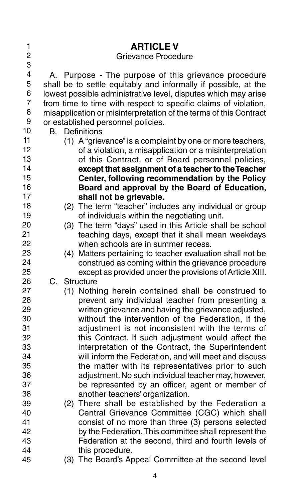| 1              |    | <b>ARTICLE V</b>                                                                                         |
|----------------|----|----------------------------------------------------------------------------------------------------------|
| $\overline{2}$ |    | Grievance Procedure                                                                                      |
| 3              |    |                                                                                                          |
| 4              |    | A. Purpose - The purpose of this grievance procedure                                                     |
| 5              |    | shall be to settle equitably and informally if possible, at the                                          |
| 6              |    | lowest possible administrative level, disputes which may arise                                           |
| 7              |    | from time to time with respect to specific claims of violation,                                          |
| 8<br>9         |    | misapplication or misinterpretation of the terms of this Contract                                        |
| 10             |    | or established personnel policies.                                                                       |
| 11             | В. | Definitions<br>(1) A "grievance" is a complaint by one or more teachers,                                 |
| 12             |    | of a violation, a misapplication or a misinterpretation                                                  |
| 13             |    | of this Contract, or of Board personnel policies,                                                        |
| 14             |    | except that assignment of a teacher to the Teacher                                                       |
| 15             |    | Center, following recommendation by the Policy                                                           |
| 16             |    | Board and approval by the Board of Education,                                                            |
| 17             |    | shall not be grievable.                                                                                  |
| 18             |    | (2) The term "teacher" includes any individual or group                                                  |
| 19             |    | of individuals within the negotiating unit.                                                              |
| 20             |    | (3) The term "days" used in this Article shall be school                                                 |
| 21             |    | teaching days, except that it shall mean weekdays                                                        |
| 22             |    | when schools are in summer recess.                                                                       |
| 23             |    | (4) Matters pertaining to teacher evaluation shall not be                                                |
| 24             |    | construed as coming within the grievance procedure                                                       |
| 25             |    | except as provided under the provisions of Article XIII.                                                 |
| 26             | C. | Structure                                                                                                |
| 27             |    | (1) Nothing herein contained shall be construed to                                                       |
| 28             |    | prevent any individual teacher from presenting a<br>written grievance and having the grievance adjusted, |
| 29<br>30       |    | without the intervention of the Federation, if the                                                       |
| 31             |    | adjustment is not inconsistent with the terms of                                                         |
| 32             |    | this Contract. If such adjustment would affect the                                                       |
| 33             |    | interpretation of the Contract, the Superintendent                                                       |
| 34             |    | will inform the Federation, and will meet and discuss                                                    |
| 35             |    | the matter with its representatives prior to such                                                        |
| 36             |    | adjustment. No such individual teacher may, however,                                                     |
| 37             |    | be represented by an officer, agent or member of                                                         |
| 38             |    | another teachers' organization.                                                                          |
| 39             |    | (2) There shall be established by the Federation a                                                       |
| 40             |    | Central Grievance Committee (CGC) which shall                                                            |
| 41             |    | consist of no more than three (3) persons selected                                                       |
| 42             |    | by the Federation. This committee shall represent the                                                    |
| 43             |    | Federation at the second, third and fourth levels of                                                     |
| 44             |    | this procedure.                                                                                          |
| 45             |    | (3) The Board's Appeal Committee at the second level                                                     |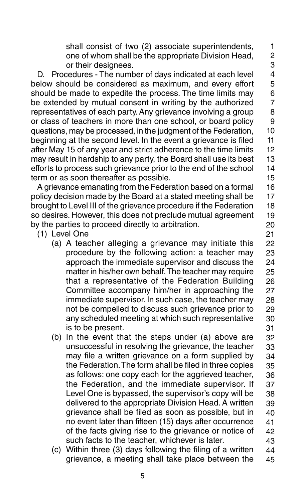shall consist of two (2) associate superintendents, one of whom shall be the appropriate Division Head, or their designees.

1 2 3

21

4 5 6 7 8 9 10 11 12 13 14 15 D. Procedures - The number of days indicated at each level below should be considered as maximum, and every effort should be made to expedite the process. The time limits may be extended by mutual consent in writing by the authorized representatives of each party. Any grievance involving a group or class of teachers in more than one school, or board policy questions, may be processed, in the judgment of the Federation, beginning at the second level. In the event a grievance is filed after May 15 of any year and strict adherence to the time limits may result in hardship to any party, the Board shall use its best efforts to process such grievance prior to the end of the school term or as soon thereafter as possible.

16 17 18 19 20 A grievance emanating from the Federation based on a formal policy decision made by the Board at a stated meeting shall be brought to Level III of the grievance procedure if the Federation so desires. However, this does not preclude mutual agreement by the parties to proceed directly to arbitration.

- (1) Level One
	- 22 23 24 25 26 27 28 29 30 31 (a) A teacher alleging a grievance may initiate this procedure by the following action: a teacher may approach the immediate supervisor and discuss the matter in his/her own behalf. The teacher may require that a representative of the Federation Building Committee accompany him/her in approaching the immediate supervisor. In such case, the teacher may not be compelled to discuss such grievance prior to any scheduled meeting at which such representative is to be present.
	- 32 33 34 35 36 37 38 39 40 41 42 43 (b) In the event that the steps under (a) above are unsuccessful in resolving the grievance, the teacher may file a written grievance on a form supplied by the Federation. The form shall be filed in three copies as follows: one copy each for the aggrieved teacher, the Federation, and the immediate supervisor. If Level One is bypassed, the supervisor's copy will be delivered to the appropriate Division Head. A written grievance shall be filed as soon as possible, but in no event later than fifteen (15) days after occurrence of the facts giving rise to the grievance or notice of such facts to the teacher, whichever is later.
	- 44 45 (c) Within three (3) days following the filing of a written grievance, a meeting shall take place between the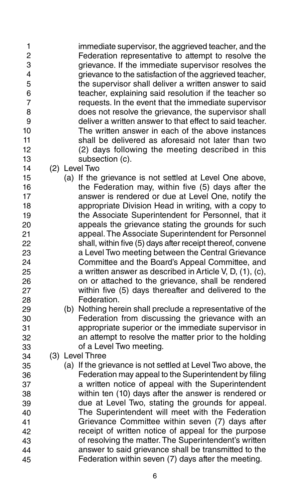1  $\overline{2}$ 3 4 5 6 7 8 9 10 11 12 13 14 immediate supervisor, the aggrieved teacher, and the Federation representative to attempt to resolve the grievance. If the immediate supervisor resolves the grievance to the satisfaction of the aggrieved teacher, the supervisor shall deliver a written answer to said teacher, explaining said resolution if the teacher so requests. In the event that the immediate supervisor does not resolve the grievance, the supervisor shall deliver a written answer to that effect to said teacher. The written answer in each of the above instances shall be delivered as aforesaid not later than two (2) days following the meeting described in this subsection (c).

- (2) Level Two
- 15 16 17 18 19 20 21 22 23 24 25 26 27 28 (a) If the grievance is not settled at Level One above, the Federation may, within five (5) days after the answer is rendered or due at Level One, notify the appropriate Division Head in writing, with a copy to the Associate Superintendent for Personnel, that it appeals the grievance stating the grounds for such appeal. The Associate Superintendent for Personnel shall, within five (5) days after receipt thereof, convene a Level Two meeting between the Central Grievance Committee and the Board's Appeal Committee, and a written answer as described in Article V, D, (1), (c), on or attached to the grievance, shall be rendered within five (5) days thereafter and delivered to the Federation.
- 29 30 31 32 33 (b) Nothing herein shall preclude a representative of the Federation from discussing the grievance with an appropriate superior or the immediate supervisor in an attempt to resolve the matter prior to the holding of a Level Two meeting.
	- (3) Level Three

34

35 36 37 38 39 40 41 42 43 44 45 (a) If the grievance is not settled at Level Two above, the Federation may appeal to the Superintendent by filing a written notice of appeal with the Superintendent within ten (10) days after the answer is rendered or due at Level Two, stating the grounds for appeal. The Superintendent will meet with the Federation Grievance Committee within seven (7) days after receipt of written notice of appeal for the purpose of resolving the matter. The Superintendent's written answer to said grievance shall be transmitted to the Federation within seven (7) days after the meeting.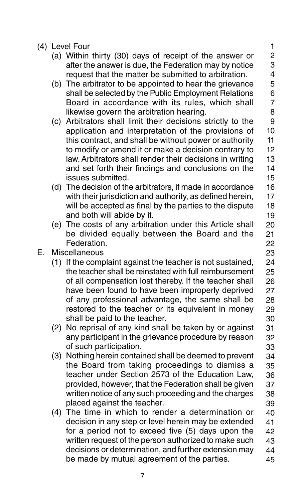- (4) Level Four
	- (a) Within thirty (30) days of receipt of the answer or after the answer is due, the Federation may by notice request that the matter be submitted to arbitration.

21 22 23

- (b) The arbitrator to be appointed to hear the grievance shall be selected by the Public Employment Relations Board in accordance with its rules, which shall likewise govern the arbitration hearing.
- 9 10 11 12 13 14 15 (c) Arbitrators shall limit their decisions strictly to the application and interpretation of the provisions of this contract, and shall be without power or authority to modify or amend it or make a decision contrary to law. Arbitrators shall render their decisions in writing and set forth their findings and conclusions on the issues submitted.
- 16 17 18 19 20 (d) The decision of the arbitrators, if made in accordance with their jurisdiction and authority, as defined herein, will be accepted as final by the parties to the dispute and both will abide by it.
- (e) The costs of any arbitration under this Article shall be divided equally between the Board and the **Federation**
- E. Miscellaneous
	- 24 25 26 27 28 29 30 (1) If the complaint against the teacher is not sustained, the teacher shall be reinstated with full reimbursement of all compensation lost thereby. If the teacher shall have been found to have been improperly deprived of any professional advantage, the same shall be restored to the teacher or its equivalent in money shall be paid to the teacher.
	- (2) No reprisal of any kind shall be taken by or against any participant in the grievance procedure by reason of such participation.
	- 34 35 36 37 38 39 (3) Nothing herein contained shall be deemed to prevent the Board from taking proceedings to dismiss a teacher under Section 2573 of the Education Law, provided, however, that the Federation shall be given written notice of any such proceeding and the charges placed against the teacher.
	- 40 41 42 43 44 45 (4) The time in which to render a determination or decision in any step or level herein may be extended for a period not to exceed five (5) days upon the written request of the person authorized to make such decisions or determination, and further extension may be made by mutual agreement of the parties.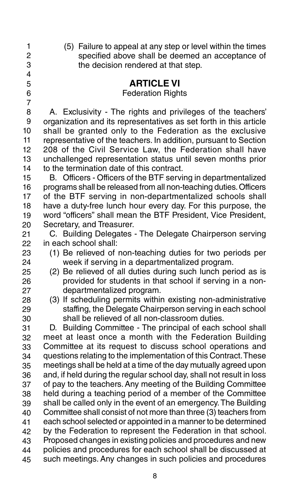(5) Failure to appeal at any step or level within the times specified above shall be deemed an acceptance of the decision rendered at that step.

# **ARTICLE VI**

# **Federation Rights**

8 9 10 11 12 13 14 A. Exclusivity - The rights and privileges of the teachers' organization and its representatives as set forth in this article shall be granted only to the Federation as the exclusive representative of the teachers. In addition, pursuant to Section 208 of the Civil Service Law, the Federation shall have unchallenged representation status until seven months prior to the termination date of this contract.

15 16 17 18 19 20 B. Officers - Officers of the BTF serving in departmentalized programs shall be released from all non-teaching duties. Officers of the BTF serving in non-departmentalized schools shall have a duty-free lunch hour every day. For this purpose, the word "officers" shall mean the BTF President, Vice President, Secretary, and Treasurer.

21 22 C. Building Delegates - The Delegate Chairperson serving in each school shall:

- (1) Be relieved of non-teaching duties for two periods per week if serving in a departmentalized program.
- (2) Be relieved of all duties during such lunch period as is provided for students in that school if serving in a nondepartmentalized program.
- (3) If scheduling permits within existing non-administrative staffing, the Delegate Chairperson serving in each school shall be relieved of all non-classroom duties.

31 32 33 34 35 36 37 38 39 40 41 42 43 44 45 D. Building Committee - The principal of each school shall meet at least once a month with the Federation Building Committee at its request to discuss school operations and questions relating to the implementation of this Contract. These meetings shall be held at a time of the day mutually agreed upon and, if held during the regular school day, shall not result in loss of pay to the teachers. Any meeting of the Building Committee held during a teaching period of a member of the Committee shall be called only in the event of an emergency. The Building Committee shall consist of not more than three (3) teachers from each school selected or appointed in a manner to be determined by the Federation to represent the Federation in that school. Proposed changes in existing policies and procedures and new policies and procedures for each school shall be discussed at such meetings. Any changes in such policies and procedures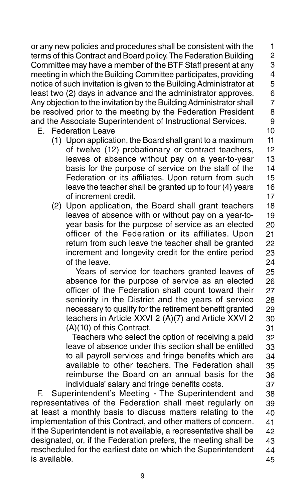1  $\mathfrak{p}$ 3 4 5 6 7 8 9 or any new policies and procedures shall be consistent with the terms of this Contract and Board policy. The Federation Building Committee may have a member of the BTF Staff present at any meeting in which the Building Committee participates, providing notice of such invitation is given to the Building Administrator at least two (2) days in advance and the administrator approves. Any objection to the invitation by the Building Administrator shall be resolved prior to the meeting by the Federation President and the Associate Superintendent of Instructional Services.

- E. Federation Leave
	- 11 12 13 14 15 16 17 (1) Upon application, the Board shall grant to a maximum of twelve (12) probationary or contract teachers, leaves of absence without pay on a year-to-year basis for the purpose of service on the staff of the Federation or its affiliates. Upon return from such leave the teacher shall be granted up to four (4) years of increment credit.

10

18 19 20 21 22 23 24 (2) Upon application, the Board shall grant teachers leaves of absence with or without pay on a year-toyear basis for the purpose of service as an elected officer of the Federation or its affiliates. Upon return from such leave the teacher shall be granted increment and longevity credit for the entire period of the leave.

25 26 27 28 29 30 31 Years of service for teachers granted leaves of absence for the purpose of service as an elected officer of the Federation shall count toward their seniority in the District and the years of service necessary to qualify for the retirement benefit granted teachers in Article XXVI 2 (A)(7) and Article XXVI 2 (A)(10) of this Contract.

32 33 34 35 36 37 Teachers who select the option of receiving a paid leave of absence under this section shall be entitled to all payroll services and fringe benefits which are available to other teachers. The Federation shall reimburse the Board on an annual basis for the individuals' salary and fringe benefits costs.

38 39 40 41 42 43 44 45 F. Superintendent's Meeting - The Superintendent and representatives of the Federation shall meet regularly on at least a monthly basis to discuss matters relating to the implementation of this Contract, and other matters of concern. If the Superintendent is not available, a representative shall be designated, or, if the Federation prefers, the meeting shall be rescheduled for the earliest date on which the Superintendent is available.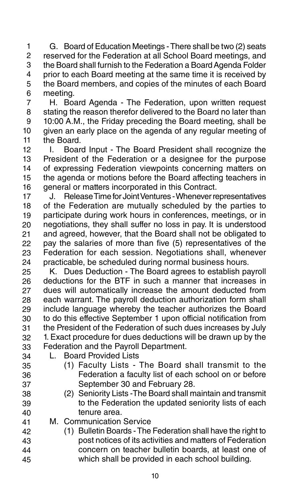1  $\mathfrak{p}$ 3 4 5 6 G. Board of Education Meetings - There shall be two (2) seats reserved for the Federation at all School Board meetings, and the Board shall furnish to the Federation a Board Agenda Folder prior to each Board meeting at the same time it is received by the Board members, and copies of the minutes of each Board meeting.

7 8 9 10 11 H. Board Agenda - The Federation, upon written request stating the reason therefor delivered to the Board no later than 10:00 A.M., the Friday preceding the Board meeting, shall be given an early place on the agenda of any regular meeting of the Board.

12 13 14 15 16 I. Board Input - The Board President shall recognize the President of the Federation or a designee for the purpose of expressing Federation viewpoints concerning matters on the agenda or motions before the Board affecting teachers in general or matters incorporated in this Contract.

17 18 19 20 21 22 23 24 J. Release Time for Joint Ventures - Whenever representatives of the Federation are mutually scheduled by the parties to participate during work hours in conferences, meetings, or in negotiations, they shall suffer no loss in pay. It is understood and agreed, however, that the Board shall not be obligated to pay the salaries of more than five (5) representatives of the Federation for each session. Negotiations shall, whenever practicable, be scheduled during normal business hours.

25 26 27 28 29 30 31 32 33 K. Dues Deduction - The Board agrees to establish payroll deductions for the BTF in such a manner that increases in dues will automatically increase the amount deducted from each warrant. The payroll deduction authorization form shall include language whereby the teacher authorizes the Board to do this effective September 1 upon official notification from the President of the Federation of such dues increases by July 1. Exact procedure for dues deductions will be drawn up by the Federation and the Payroll Department.

34 L. Board Provided Lists

- (1) Faculty Lists The Board shall transmit to the Federation a faculty list of each school on or before September 30 and February 28.
- 38 39 40 (2) Seniority Lists -The Board shall maintain and transmit to the Federation the updated seniority lists of each tenure area.
- 41 M. Communication Service
- 42 43 44 45 (1) Bulletin Boards - The Federation shall have the right to post notices of its activities and matters of Federation concern on teacher bulletin boards, at least one of which shall be provided in each school building.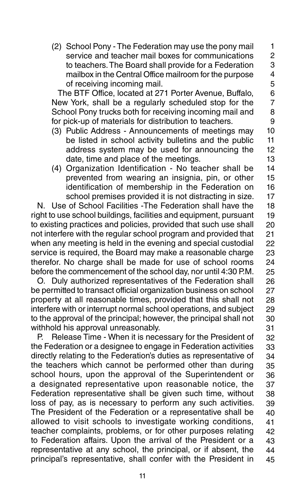1  $\mathfrak{p}$ 3 4 5 (2) School Pony - The Federation may use the pony mail service and teacher mail boxes for communications to teachers. The Board shall provide for a Federation mailbox in the Central Office mailroom for the purpose of receiving incoming mail.

 The BTF Office, located at 271 Porter Avenue, Buffalo, New York, shall be a regularly scheduled stop for the School Pony trucks both for receiving incoming mail and for pick-up of materials for distribution to teachers.

- 10 11 12 13 (3) Public Address - Announcements of meetings may be listed in school activity bulletins and the public address system may be used for announcing the date, time and place of the meetings.
- 14 15 16 17 (4) Organization Identification - No teacher shall be prevented from wearing an insignia, pin, or other identification of membership in the Federation on school premises provided it is not distracting in size.

18 19 20 21 22 23 24 25 N. Use of School Facilities -The Federation shall have the right to use school buildings, facilities and equipment, pursuant to existing practices and policies, provided that such use shall not interfere with the regular school program and provided that when any meeting is held in the evening and special custodial service is required, the Board may make a reasonable charge therefor. No charge shall be made for use of school rooms before the commencement of the school day, nor until 4:30 P.M.

26 27 28 29 30 31 O. Duly authorized representatives of the Federation shall be permitted to transact official organization business on school property at all reasonable times, provided that this shall not interfere with or interrupt normal school operations, and subject to the approval of the principal; however, the principal shall not withhold his approval unreasonably.

32 33 34 35 36 37 38 39 40 41 42 43 44 45 P. Release Time - When it is necessary for the President of the Federation or a designee to engage in Federation activities directly relating to the Federation's duties as representative of the teachers which cannot be performed other than during school hours, upon the approval of the Superintendent or a designated representative upon reasonable notice, the Federation representative shall be given such time, without loss of pay, as is necessary to perform any such activities. The President of the Federation or a representative shall be allowed to visit schools to investigate working conditions, teacher complaints, problems, or for other purposes relating to Federation affairs. Upon the arrival of the President or a representative at any school, the principal, or if absent, the principal's representative, shall confer with the President in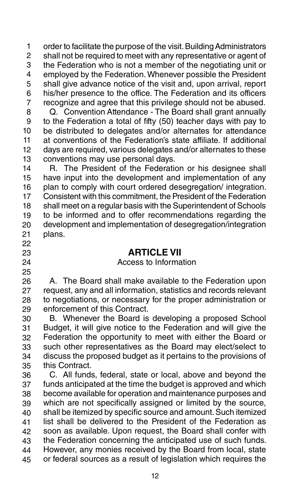1 2 3 4 5 6 7 8 9 10 11 12 13 order to facilitate the purpose of the visit. Building Administrators shall not be required to meet with any representative or agent of the Federation who is not a member of the negotiating unit or employed by the Federation. Whenever possible the President shall give advance notice of the visit and, upon arrival, report his/her presence to the office. The Federation and its officers recognize and agree that this privilege should not be abused. Q. Convention Attendance - The Board shall grant annually to the Federation a total of fifty (50) teacher days with pay to be distributed to delegates and/or alternates for attendance at conventions of the Federation's state affiliate. If additional days are required, various delegates and/or alternates to these conventions may use personal days.

14 15 16 17 18 19 20 21 22 R. The President of the Federation or his designee shall have input into the development and implementation of any plan to comply with court ordered desegregation/ integration. Consistent with this commitment, the President of the Federation shall meet on a regular basis with the Superintendent of Schools to be informed and to offer recommendations regarding the development and implementation of desegregation/integration plans.

# **ARTICLE VII**

#### Access to Information

26 27 28 29 A. The Board shall make available to the Federation upon request, any and all information, statistics and records relevant to negotiations, or necessary for the proper administration or enforcement of this Contract.

23 24 25

30 31 32 33 34 35 B. Whenever the Board is developing a proposed School Budget, it will give notice to the Federation and will give the Federation the opportunity to meet with either the Board or such other representatives as the Board may elect/select to discuss the proposed budget as it pertains to the provisions of this Contract.

36 37 38 39 40 41 42 43 44 45 C. All funds, federal, state or local, above and beyond the funds anticipated at the time the budget is approved and which become available for operation and maintenance purposes and which are not specifically assigned or limited by the source, shall be itemized by specific source and amount. Such itemized list shall be delivered to the President of the Federation as soon as available. Upon request, the Board shall confer with the Federation concerning the anticipated use of such funds. However, any monies received by the Board from local, state or federal sources as a result of legislation which requires the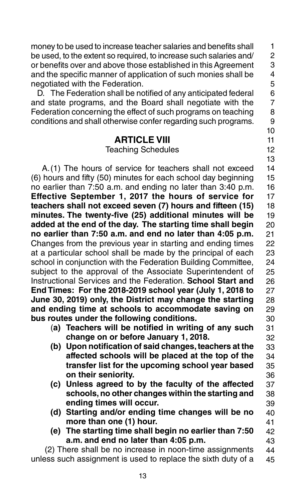1 2 3 4 5 money to be used to increase teacher salaries and benefits shall be used, to the extent so required, to increase such salaries and/ or benefits over and above those established in this Agreement and the specific manner of application of such monies shall be negotiated with the Federation.

31 32

D. The Federation shall be notified of any anticipated federal and state programs, and the Board shall negotiate with the Federation concerning the effect of such programs on teaching conditions and shall otherwise confer regarding such programs.

#### **ARTICLE VIII**

## Teaching Schedules

14 15 16 17 18 19 20 21 22 23 24 25 26 27 28 29 30 A.(1) The hours of service for teachers shall not exceed (6) hours and fifty (50) minutes for each school day beginning no earlier than 7:50 a.m. and ending no later than 3:40 p.m. **Effective September 1, 2017 the hours of service for teachers shall not exceed seven (7) hours and fifteen (15) minutes. The twenty-five (25) additional minutes will be added at the end of the day. The starting time shall begin no earlier than 7:50 a.m. and end no later than 4:05 p.m.** Changes from the previous year in starting and ending times at a particular school shall be made by the principal of each school in conjunction with the Federation Building Committee, subject to the approval of the Associate Superintendent of Instructional Services and the Federation. **School Start and End Times: For the 2018-2019 school year (July 1, 2018 to June 30, 2019) only, the District may change the starting and ending time at schools to accommodate saving on bus routes under the following conditions.**

- (**a) Teachers will be notified in writing of any such change on or before January 1, 2018.**
- 33 34 35 36 **(b) Upon notification of said changes, teachers at the affected schools will be placed at the top of the transfer list for the upcoming school year based on their seniority.**
- 37 38 39 **(c) Unless agreed to by the faculty of the affected schools, no other changes within the starting and ending times will occur.**
- 40 41 **(d) Starting and/or ending time changes will be no more than one (1) hour.**
- 42 43 **(e) The starting time shall begin no earlier than 7:50 a.m. and end no later than 4:05 p.m.**

44 45 (2) There shall be no increase in noon-time assignments unless such assignment is used to replace the sixth duty of a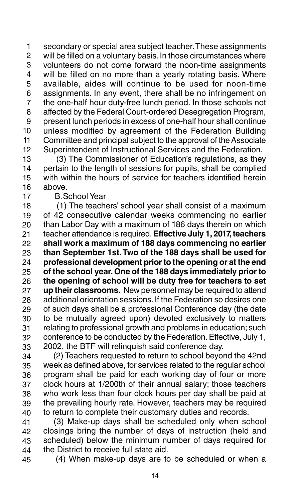1 2 3 4 5 6 7 8 9 10 11 12 secondary or special area subject teacher. These assignments will be filled on a voluntary basis. In those circumstances where volunteers do not come forward the noon-time assignments will be filled on no more than a yearly rotating basis. Where available, aides will continue to be used for noon-time assignments. In any event, there shall be no infringement on the one-half hour duty-free lunch period. In those schools not affected by the Federal Court-ordered Desegregation Program, present lunch periods in excess of one-half hour shall continue unless modified by agreement of the Federation Building Committee and principal subject to the approval of the Associate Superintendent of Instructional Services and the Federation.

13 14 15 16 (3) The Commissioner of Education's regulations, as they pertain to the length of sessions for pupils, shall be complied with within the hours of service for teachers identified herein above.

17

B.School Year

18 19 20 21 22 23 24 25 26 27 28 29 30 31 32 33 (1) The teachers' school year shall consist of a maximum of 42 consecutive calendar weeks commencing no earlier than Labor Day with a maximum of 186 days therein on which teacher attendance is required. **Effective July 1, 2017, teachers shall work a maximum of 188 days commencing no earlier than September 1st. Two of the 188 days shall be used for professional development prior to the opening or at the end of the school year. One of the 188 days immediately prior to the opening of school will be duty free for teachers to set up their classrooms.** New personnel may be required to attend additional orientation sessions. If the Federation so desires one of such days shall be a professional Conference day (the date to be mutually agreed upon) devoted exclusively to matters relating to professional growth and problems in education; such conference to be conducted by the Federation. Effective, July 1, 2002, the BTF will relinquish said conference day.

34 35 36 37 38 39 40 (2) Teachers requested to return to school beyond the 42nd week as defined above, for services related to the regular school program shall be paid for each working day of four or more clock hours at 1/200th of their annual salary; those teachers who work less than four clock hours per day shall be paid at the prevailing hourly rate. However, teachers may be required to return to complete their customary duties and records.

41 42 43 44 (3) Make-up days shall be scheduled only when school closings bring the number of days of instruction (held and scheduled) below the minimum number of days required for the District to receive full state aid.

45 (4) When make-up days are to be scheduled or when a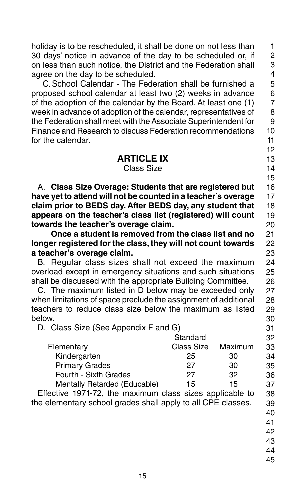1  $\mathfrak{p}$ 3 4 holiday is to be rescheduled, it shall be done on not less than 30 days' notice in advance of the day to be scheduled or, if on less than such notice, the District and the Federation shall agree on the day to be scheduled.

10 11 C.School Calendar - The Federation shall be furnished a proposed school calendar at least two (2) weeks in advance of the adoption of the calendar by the Board. At least one (1) week in advance of adoption of the calendar, representatives of the Federation shall meet with the Associate Superintendent for Finance and Research to discuss Federation recommendations for the calendar.

# **ARTICLE IX**

Class Size

A. **Class Size Overage: Students that are registered but have yet to attend will not be counted in a teacher's overage claim prior to BEDS day. After BEDS day, any student that appears on the teacher's class list (registered) will count towards the teacher's overage claim.** 

**Once a student is removed from the class list and no longer registered for the class, they will not count towards a teacher's overage claim.**

B. Regular class sizes shall not exceed the maximum overload except in emergency situations and such situations shall be discussed with the appropriate Building Committee.

C. The maximum listed in D below may be exceeded only when limitations of space preclude the assignment of additional teachers to reduce class size below the maximum as listed below.

D. Class Size (See Appendix F and G)

| Standard   |                | 32                                                                                                                       |
|------------|----------------|--------------------------------------------------------------------------------------------------------------------------|
| Class Size | <b>Maximum</b> | 33                                                                                                                       |
| 25         | 30             | 34                                                                                                                       |
| 27         | 30             | 35                                                                                                                       |
| 27         | 32             | 36                                                                                                                       |
| 15         | 15             | 37                                                                                                                       |
|            |                | 38                                                                                                                       |
|            |                | 39                                                                                                                       |
|            |                | Effective 1971-72, the maximum class sizes applicable to<br>the elementary school grades shall apply to all CPE classes. |

40

41 42

43

44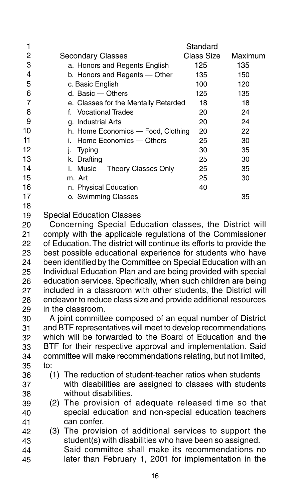|    |                                      | Standard   |         |
|----|--------------------------------------|------------|---------|
| 2  | <b>Secondary Classes</b>             | Class Size | Maximum |
| 3  | a. Honors and Regents English        | 125        | 135     |
| 4  | b. Honors and Regents - Other        | 135        | 150     |
| 5  | c. Basic English                     | 100        | 120     |
| 6  | d. Basic - Others                    | 125        | 135     |
| 7  | e. Classes for the Mentally Retarded | 18         | 18      |
| 8  | f. Vocational Trades                 | 20         | 24      |
| 9  | g. Industrial Arts                   | 20         | 24      |
| 10 | h. Home Economics - Food, Clothing   | 20         | 22      |
| 11 | Home Economics - Others<br>i.        | 25         | 30      |
| 12 | Typing<br>i.                         | 30         | 35      |
| 13 | k. Drafting                          | 25         | 30      |
| 14 | Music - Theory Classes Only<br>I.    | 25         | 35      |
| 15 | m. Art                               | 25         | 30      |
| 16 | n. Physical Education                | 40         |         |
| 17 | o. Swimming Classes                  |            | 35      |
| 18 |                                      |            |         |

19 Special Education Classes

20 21 22 23 24 25 26 27 28 **29** Concerning Special Education classes, the District will comply with the applicable regulations of the Commissioner of Education. The district will continue its efforts to provide the best possible educational experience for students who have been identified by the Committee on Special Education with an Individual Education Plan and are being provided with special education services. Specifically, when such children are being included in a classroom with other students, the District will endeavor to reduce class size and provide additional resources in the classroom.

30 31 32 33 34 35 A joint committee composed of an equal number of District and BTF representatives will meet to develop recommendations which will be forwarded to the Board of Education and the BTF for their respective approval and implementation. Said committee will make recommendations relating, but not limited, to:

- 36 37 38 (1) The reduction of student-teacher ratios when students with disabilities are assigned to classes with students without disabilities.
- 39 40 41 (2) The provision of adequate released time so that special education and non-special education teachers can confer.
- 42 43 (3) The provision of additional services to support the student(s) with disabilities who have been so assigned.
- 44 45 Said committee shall make its recommendations no later than February 1, 2001 for implementation in the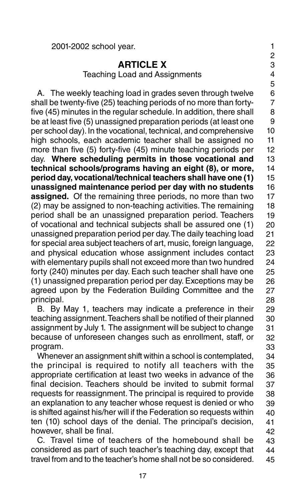### **ARTICLE X**

Teaching Load and Assignments

6 7 8 9 10 11 12 13 14 15 16 17 18 19 20 21 22 23 24 25 26 27 28 A. The weekly teaching load in grades seven through twelve shall be twenty-five (25) teaching periods of no more than fortyfive (45) minutes in the regular schedule. In addition, there shall be at least five (5) unassigned preparation periods (at least one per school day). In the vocational, technical, and comprehensive high schools, each academic teacher shall be assigned no more than five (5) forty-five (45) minute teaching periods per day. **Where scheduling permits in those vocational and technical schools/programs having an eight (8), or more, period day, vocational/technical teachers shall have one (1) unassigned maintenance period per day with no students assigned.** Of the remaining three periods, no more than two (2) may be assigned to non-teaching activities. The remaining period shall be an unassigned preparation period. Teachers of vocational and technical subjects shall be assured one (1) unassigned preparation period per day. The daily teaching load for special area subject teachers of art, music, foreign language, and physical education whose assignment includes contact with elementary pupils shall not exceed more than two hundred forty (240) minutes per day. Each such teacher shall have one (1) unassigned preparation period per day. Exceptions may be agreed upon by the Federation Building Committee and the principal.

29 30 31 32 33 B. By May 1, teachers may indicate a preference in their teaching assignment. Teachers shall be notified of their planned assignment by July 1. The assignment will be subject to change because of unforeseen changes such as enrollment, staff, or program.

34 35 36 37 38 39 40 41 42 Whenever an assignment shift within a school is contemplated, the principal is required to notify all teachers with the appropriate certification at least two weeks in advance of the final decision. Teachers should be invited to submit formal requests for reassignment. The principal is required to provide an explanation to any teacher whose request is denied or who is shifted against his/her will if the Federation so requests within ten (10) school days of the denial. The principal's decision, however, shall be final.

43 44 45 C. Travel time of teachers of the homebound shall be considered as part of such teacher's teaching day, except that travel from and to the teacher's home shall not be so considered.

1  $\mathfrak{p}$ 3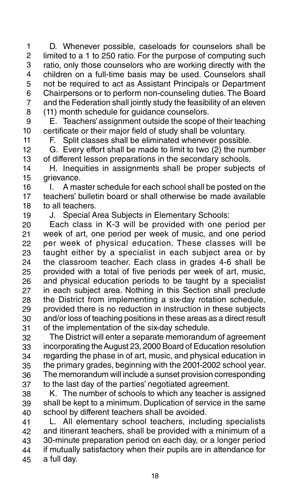1 2 3 4 5 6 7 8 D. Whenever possible, caseloads for counselors shall be limited to a 1 to 250 ratio. For the purpose of computing such ratio, only those counselors who are working directly with the children on a full-time basis may be used. Counselors shall not be required to act as Assistant Principals or Department Chairpersons or to perform non-counseling duties. The Board and the Federation shall jointly study the feasibility of an eleven (11) month schedule for guidance counselors.

9 10 E. Teachers' assignment outside the scope of their teaching certificate or their major field of study shall be voluntary.

F. Split classes shall be eliminated whenever possible.

12 13 G. Every effort shall be made to limit to two (2) the number of different lesson preparations in the secondary schools.

14 15 H. Inequities in assignments shall be proper subjects of grievance.

16 17 18 I. A master schedule for each school shall be posted on the teachers' bulletin board or shall otherwise be made available to all teachers.

19 J. Special Area Subjects in Elementary Schools:

11

20 21 22 23 24 25 26 27 28 29 30 31 Each class in K-3 will be provided with one period per week of art, one period per week of music, and one period per week of physical education. These classes will be taught either by a specialist in each subject area or by the classroom teacher. Each class in grades 4-6 shall be provided with a total of five periods per week of art, music, and physical education periods to be taught by a specialist in each subject area. Nothing in this Section shall preclude the District from implementing a six-day rotation schedule, provided there is no reduction in instruction in these subjects and/or loss of teaching positions in these areas as a direct result of the implementation of the six-day schedule.

32 33 34 35 36 37 The District will enter a separate memorandum of agreement incorporating the August 23, 2000 Board of Education resolution regarding the phase in of art, music, and physical education in the primary grades, beginning with the 2001-2002 school year. The memorandum will include a sunset provision corresponding to the last day of the parties' negotiated agreement.

38 39 40 K. The number of schools to which any teacher is assigned shall be kept to a minimum. Duplication of service in the same school by different teachers shall be avoided.

41 42 43 44 45 L. All elementary school teachers, including specialists and itinerant teachers, shall be provided with a minimum of a 30-minute preparation period on each day, or a longer period if mutually satisfactory when their pupils are in attendance for a full day.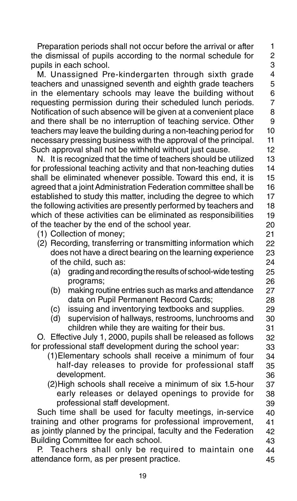Preparation periods shall not occur before the arrival or after the dismissal of pupils according to the normal schedule for pupils in each school.

1 2 3

4 5 6 7 8 9 10 11 12 M. Unassigned Pre-kindergarten through sixth grade teachers and unassigned seventh and eighth grade teachers in the elementary schools may leave the building without requesting permission during their scheduled lunch periods. Notification of such absence will be given at a convenient place and there shall be no interruption of teaching service. Other teachers may leave the building during a non-teaching period for necessary pressing business with the approval of the principal. Such approval shall not be withheld without just cause.

13 14 15 16 17 18 19 20 N. It is recognized that the time of teachers should be utilized for professional teaching activity and that non-teaching duties shall be eliminated whenever possible. Toward this end, it is agreed that a joint Administration Federation committee shall be established to study this matter, including the degree to which the following activities are presently performed by teachers and which of these activities can be eliminated as responsibilities of the teacher by the end of the school year.

- (1) Collection of money;
- (2) Recording, transferring or transmitting information which does not have a direct bearing on the learning experience of the child, such as:
	- (a) grading and recording the results of school-wide testing programs;
	- (b) making routine entries such as marks and attendance data on Pupil Permanent Record Cards;
	- (c) issuing and inventorying textbooks and supplies.
	- (d) supervision of hallways, restrooms, lunchrooms and children while they are waiting for their bus.

O. Effective July 1, 2000, pupils shall be released as follows for professional staff development during the school year:

- 34 35 36 (1)Elementary schools shall receive a minimum of four half-day releases to provide for professional staff development.
- 37 38 39 (2)High schools shall receive a minimum of six 1.5-hour early releases or delayed openings to provide for professional staff development.

40 41 42 43 Such time shall be used for faculty meetings, in-service training and other programs for professional improvement, as jointly planned by the principal, faculty and the Federation Building Committee for each school.

44 45 P. Teachers shall only be required to maintain one attendance form, as per present practice.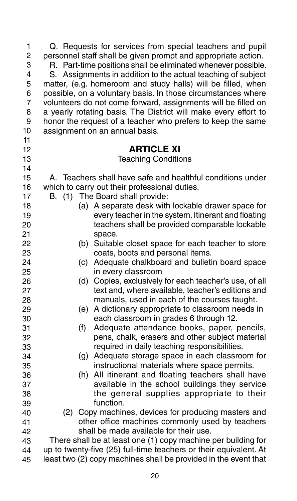| 1              | Q. Requests for services from special teachers and pupil          |
|----------------|-------------------------------------------------------------------|
| $\overline{c}$ | personnel staff shall be given prompt and appropriate action.     |
| 3              | R. Part-time positions shall be eliminated whenever possible.     |
| 4              | S. Assignments in addition to the actual teaching of subject      |
| 5              | matter, (e.g. homeroom and study halls) will be filled, when      |
| 6              | possible, on a voluntary basis. In those circumstances where      |
| $\overline{7}$ | volunteers do not come forward, assignments will be filled on     |
| 8              | a yearly rotating basis. The District will make every effort to   |
| 9              | honor the request of a teacher who prefers to keep the same       |
| 10             | assignment on an annual basis.                                    |
| 11             |                                                                   |
| 12             | <b>ARTICLE XI</b>                                                 |
| 13             | <b>Teaching Conditions</b>                                        |
| 14             |                                                                   |
| 15             | A. Teachers shall have safe and healthful conditions under        |
| 16             | which to carry out their professional duties.                     |
| 17             | B. (1) The Board shall provide:                                   |
| 18             | (a) A separate desk with lockable drawer space for                |
| 19             | every teacher in the system. Itinerant and floating               |
| 20             | teachers shall be provided comparable lockable                    |
| 21             | space.                                                            |
| 22             | Suitable closet space for each teacher to store<br>(b)            |
| 23             | coats, boots and personal items.                                  |
| 24             | Adequate chalkboard and bulletin board space<br>(c)               |
| 25             | in every classroom                                                |
| 26             | Copies, exclusively for each teacher's use, of all<br>(d)         |
| 27             | text and, where available, teacher's editions and                 |
| 28             | manuals, used in each of the courses taught.                      |
| 29             | A dictionary appropriate to classroom needs in<br>(e)             |
| 30             | each classroom in grades 6 through 12.                            |
| 31             | Adequate attendance books, paper, pencils,<br>(f)                 |
| 32             | pens, chalk, erasers and other subject material                   |
| 33             | required in daily teaching responsibilities.                      |
| 34             | (g) Adequate storage space in each classroom for                  |
| 35             | instructional materials where space permits.                      |
| 36             | All itinerant and floating teachers shall have<br>(h)             |
| 37             | available in the school buildings they service                    |
| 38             | the general supplies appropriate to their                         |
| 39             | function.                                                         |
| 40             | (2) Copy machines, devices for producing masters and              |
| 41             | other office machines commonly used by teachers                   |
| 42             | shall be made available for their use.                            |
| 43             | There shall be at least one (1) copy machine per building for     |
| 44             | up to twenty-five (25) full-time teachers or their equivalent. At |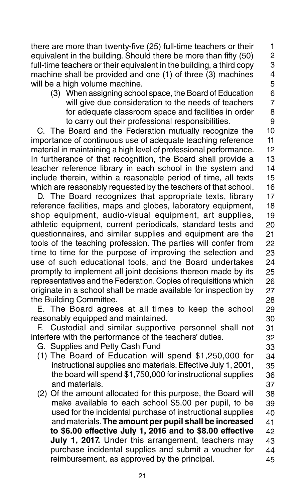1  $\mathfrak{p}$ 3 4 5 there are more than twenty-five (25) full-time teachers or their equivalent in the building. Should there be more than fifty (50) full-time teachers or their equivalent in the building, a third copy machine shall be provided and one (1) of three (3) machines will be a high volume machine.

6 7 8 9 (3) When assigning school space, the Board of Education will give due consideration to the needs of teachers for adequate classroom space and facilities in order to carry out their professional responsibilities.

10 11 12 13 14 15 16 C. The Board and the Federation mutually recognize the importance of continuous use of adequate teaching reference material in maintaining a high level of professional performance. In furtherance of that recognition, the Board shall provide a teacher reference library in each school in the system and include therein, within a reasonable period of time, all texts which are reasonably requested by the teachers of that school.

17 18 19 20 21 22 23 24 25 26 27 28 D. The Board recognizes that appropriate texts, library reference facilities, maps and globes, laboratory equipment, shop equipment, audio-visual equipment, art supplies, athletic equipment, current periodicals, standard tests and questionnaires, and similar supplies and equipment are the tools of the teaching profession. The parties will confer from time to time for the purpose of improving the selection and use of such educational tools, and the Board undertakes promptly to implement all joint decisions thereon made by its representatives and the Federation. Copies of requisitions which originate in a school shall be made available for inspection by the Building Committee.

E. The Board agrees at all times to keep the school reasonably equipped and maintained.

F. Custodial and similar supportive personnel shall not interfere with the performance of the teachers' duties.

- G. Supplies and Petty Cash Fund
- 34 35 36 37 (1) The Board of Education will spend \$1,250,000 for instructional supplies and materials. Effective July 1, 2001, the board will spend \$1,750,000 for instructional supplies and materials.
- 38 39 40 41 42 43 44 45 (2) Of the amount allocated for this purpose, the Board will make available to each school \$5.00 per pupil, to be used for the incidental purchase of instructional supplies and materials. **The amount per pupil shall be increased to \$6.00 effective July 1, 2016 and to \$8.00 effective July 1, 2017.** Under this arrangement, teachers may purchase incidental supplies and submit a voucher for reimbursement, as approved by the principal.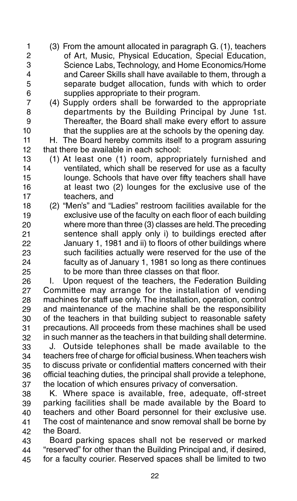- 1  $\overline{2}$ 3 4 5 6 7 (3) From the amount allocated in paragraph G. (1), teachers of Art, Music, Physical Education, Special Education, Science Labs, Technology, and Home Economics/Home and Career Skills shall have available to them, through a separate budget allocation, funds with which to order supplies appropriate to their program.
	- (4) Supply orders shall be forwarded to the appropriate departments by the Building Principal by June 1st. Thereafter, the Board shall make every effort to assure that the supplies are at the schools by the opening day.

8 9 10

11 12 H. The Board hereby commits itself to a program assuring that there be available in each school:

- 13 14 15 16 17 (1) At least one (1) room, appropriately furnished and ventilated, which shall be reserved for use as a faculty lounge. Schools that have over fifty teachers shall have at least two (2) lounges for the exclusive use of the teachers, and
- 18 19 20 21 22 23 24 25 (2) "Men's" and "Ladies" restroom facilities available for the exclusive use of the faculty on each floor of each building where more than three (3) classes are held. The preceding sentence shall apply only i) to buildings erected after January 1, 1981 and ii) to floors of other buildings where such facilities actually were reserved for the use of the faculty as of January 1, 1981 so long as there continues to be more than three classes on that floor.

26 27 28 29 30 31 32 I. Upon request of the teachers, the Federation Building Committee may arrange for the installation of vending machines for staff use only. The installation, operation, control and maintenance of the machine shall be the responsibility of the teachers in that building subject to reasonable safety precautions. All proceeds from these machines shall be used in such manner as the teachers in that building shall determine.

33 34 35 36 37 J. Outside telephones shall be made available to the teachers free of charge for official business. When teachers wish to discuss private or confidential matters concerned with their official teaching duties, the principal shall provide a telephone, the location of which ensures privacy of conversation.

38 39 40 41 42 K. Where space is available, free, adequate, off-street parking facilities shall be made available by the Board to teachers and other Board personnel for their exclusive use. The cost of maintenance and snow removal shall be borne by the Board.

43 44 45 Board parking spaces shall not be reserved or marked "reserved" for other than the Building Principal and, if desired, for a faculty courier. Reserved spaces shall be limited to two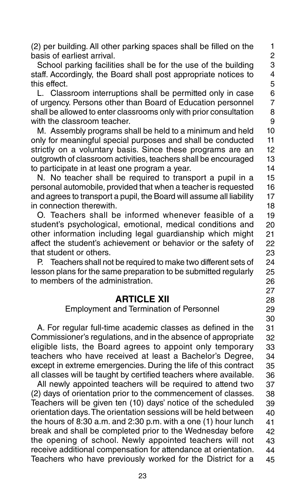(2) per building. All other parking spaces shall be filled on the basis of earliest arrival.

School parking facilities shall be for the use of the building staff. Accordingly, the Board shall post appropriate notices to this effect.

L. Classroom interruptions shall be permitted only in case of urgency. Persons other than Board of Education personnel shall be allowed to enter classrooms only with prior consultation with the classroom teacher.

10 11 12 13 14 M. Assembly programs shall be held to a minimum and held only for meaningful special purposes and shall be conducted strictly on a voluntary basis. Since these programs are an outgrowth of classroom activities, teachers shall be encouraged to participate in at least one program a year.

15 16 17 18 19 N. No teacher shall be required to transport a pupil in a personal automobile, provided that when a teacher is requested and agrees to transport a pupil, the Board will assume all liability in connection therewith.

20 21 22 23 O. Teachers shall be informed whenever feasible of a student's psychological, emotional, medical conditions and other information including legal guardianship which might affect the student's achievement or behavior or the safety of that student or others.

P. Teachers shall not be required to make two different sets of lesson plans for the same preparation to be submitted regularly to members of the administration.

## **ARTICLE XII**

#### Employment and Termination of Personnel

31 32 33 34 35 36 A. For regular full-time academic classes as defined in the Commissioner's regulations, and in the absence of appropriate eligible lists, the Board agrees to appoint only temporary teachers who have received at least a Bachelor's Degree, except in extreme emergencies. During the life of this contract all classes will be taught by certified teachers where available.

37 38 39 40 41 42 43 44 45 All newly appointed teachers will be required to attend two (2) days of orientation prior to the commencement of classes. Teachers will be given ten (10) days' notice of the scheduled orientation days. The orientation sessions will be held between the hours of 8:30 a.m. and 2:30 p.m. with a one (1) hour lunch break and shall be completed prior to the Wednesday before the opening of school. Newly appointed teachers will not receive additional compensation for attendance at orientation. Teachers who have previously worked for the District for a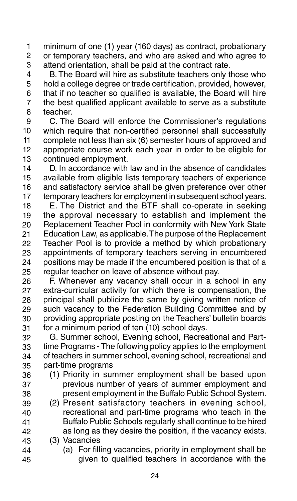1 2 3 minimum of one (1) year (160 days) as contract, probationary or temporary teachers, and who are asked and who agree to attend orientation, shall be paid at the contract rate.

4 5 6 7 8 B. The Board will hire as substitute teachers only those who hold a college degree or trade certification, provided, however, that if no teacher so qualified is available, the Board will hire the best qualified applicant available to serve as a substitute teacher.

9 10 11 12 13 C. The Board will enforce the Commissioner's regulations which require that non-certified personnel shall successfully complete not less than six (6) semester hours of approved and appropriate course work each year in order to be eligible for continued employment.

14 15 16 17 D. In accordance with law and in the absence of candidates available from eligible lists temporary teachers of experience and satisfactory service shall be given preference over other temporary teachers for employment in subsequent school years.

18 19 20 21 22 23 24 25 E. The District and the BTF shall co-operate in seeking the approval necessary to establish and implement the Replacement Teacher Pool in conformity with New York State Education Law, as applicable. The purpose of the Replacement Teacher Pool is to provide a method by which probationary appointments of temporary teachers serving in encumbered positions may be made if the encumbered position is that of a regular teacher on leave of absence without pay.

26 27 28 29 30 31 F. Whenever any vacancy shall occur in a school in any extra-curricular activity for which there is compensation, the principal shall publicize the same by giving written notice of such vacancy to the Federation Building Committee and by providing appropriate posting on the Teachers' bulletin boards for a minimum period of ten (10) school days.

32 33 34 35 G. Summer school, Evening school, Recreational and Parttime Programs - The following policy applies to the employment of teachers in summer school, evening school, recreational and part-time programs

- 36 37 38 (1) Priority in summer employment shall be based upon previous number of years of summer employment and present employment in the Buffalo Public School System.
- 39 40 41 42 43 (2) Present satisfactory teachers in evening school, recreational and part-time programs who teach in the Buffalo Public Schools regularly shall continue to be hired as long as they desire the position, if the vacancy exists.
	- (3) Vacancies

44 45 (a) For filling vacancies, priority in employment shall be given to qualified teachers in accordance with the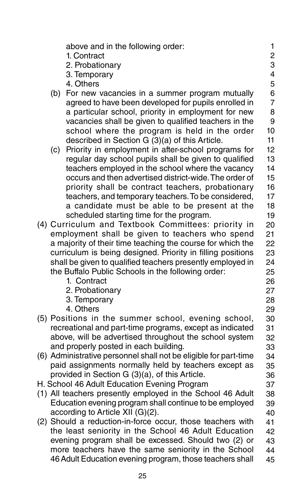| above and in the following order:                                                                           | 1        |
|-------------------------------------------------------------------------------------------------------------|----------|
| 1. Contract                                                                                                 | 2        |
| 2. Probationary                                                                                             | 3        |
| 3. Temporary                                                                                                | 4        |
| 4. Others                                                                                                   | 5        |
| For new vacancies in a summer program mutually<br>(b)                                                       | 6        |
| agreed to have been developed for pupils enrolled in                                                        | 7        |
| a particular school, priority in employment for new                                                         | 8        |
| vacancies shall be given to qualified teachers in the                                                       | 9        |
| school where the program is held in the order                                                               | 10       |
| described in Section G (3)(a) of this Article.                                                              | 11       |
| Priority in employment in after-school programs for<br>(c)                                                  | 12<br>13 |
| regular day school pupils shall be given to qualified                                                       | 14       |
| teachers employed in the school where the vacancy<br>occurs and then advertised district-wide. The order of | 15       |
| priority shall be contract teachers, probationary                                                           | 16       |
| teachers, and temporary teachers. To be considered,                                                         | 17       |
| a candidate must be able to be present at the                                                               | 18       |
| scheduled starting time for the program.                                                                    | 19       |
| (4) Curriculum and Textbook Committees: priority in                                                         | 20       |
| employment shall be given to teachers who spend                                                             | 21       |
| a majority of their time teaching the course for which the                                                  | 22       |
| curriculum is being designed. Priority in filling positions                                                 | 23       |
| shall be given to qualified teachers presently employed in                                                  | 24       |
| the Buffalo Public Schools in the following order:                                                          | 25       |
| 1. Contract                                                                                                 | 26       |
| 2. Probationary                                                                                             | 27       |
| 3. Temporary                                                                                                | 28       |
| 4. Others                                                                                                   | 29       |
| (5) Positions in the summer school, evening school,                                                         | 30       |
| recreational and part-time programs, except as indicated                                                    | 31       |
| above, will be advertised throughout the school system                                                      | 32       |
| and properly posted in each building.                                                                       | 33       |
| (6) Administrative personnel shall not be eligible for part-time                                            | 34       |
| paid assignments normally held by teachers except as<br>provided in Section G (3)(a), of this Article.      | 35       |
| H. School 46 Adult Education Evening Program                                                                | 36<br>37 |
| (1) All teachers presently employed in the School 46 Adult                                                  | 38       |
| Education evening program shall continue to be employed                                                     | 39       |
| according to Article XII $(G)(2)$ .                                                                         | 40       |
| (2) Should a reduction-in-force occur, those teachers with                                                  | 41       |
| the least seniority in the School 46 Adult Education                                                        | 42       |
| evening program shall be excessed. Should two (2) or                                                        | 43       |
|                                                                                                             |          |

more teachers have the same seniority in the School 46 Adult Education evening program, those teachers shall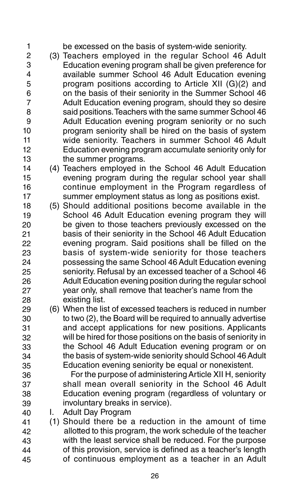be excessed on the basis of system-wide seniority.

- 2 3 4 5 6 7 8 9 10 11 12 13 (3) Teachers employed in the regular School 46 Adult Education evening program shall be given preference for available summer School 46 Adult Education evening program positions according to Article XII (G)(2) and on the basis of their seniority in the Summer School 46 Adult Education evening program, should they so desire said positions. Teachers with the same summer School 46 Adult Education evening program seniority or no such program seniority shall be hired on the basis of system wide seniority. Teachers in summer School 46 Adult Education evening program accumulate seniority only for the summer programs.
- 14 15 16 17 (4) Teachers employed in the School 46 Adult Education evening program during the regular school year shall continue employment in the Program regardless of summer employment status as long as positions exist.
- 18 19 20 21 22 23 24 25 26 27 28 (5) Should additional positions become available in the School 46 Adult Education evening program they will be given to those teachers previously excessed on the basis of their seniority in the School 46 Adult Education evening program. Said positions shall be filled on the basis of system-wide seniority for those teachers possessing the same School 46 Adult Education evening seniority. Refusal by an excessed teacher of a School 46 Adult Education evening position during the regular school year only, shall remove that teacher's name from the existing list.
- 29 30 31 32 33 34 35 (6) When the list of excessed teachers is reduced in number to two (2), the Board will be required to annually advertise and accept applications for new positions. Applicants will be hired for those positions on the basis of seniority in the School 46 Adult Education evening program or on the basis of system-wide seniority should School 46 Adult Education evening seniority be equal or nonexistent.
- 36 37 38 39 For the purpose of administering Article XII H, seniority shall mean overall seniority in the School 46 Adult Education evening program (regardless of voluntary or involuntary breaks in service).
- 40 I. Adult Day Program
- 41 42 43 44 45 (1) Should there be a reduction in the amount of time allotted to this program, the work schedule of the teacher with the least service shall be reduced. For the purpose of this provision, service is defined as a teacher's length of continuous employment as a teacher in an Adult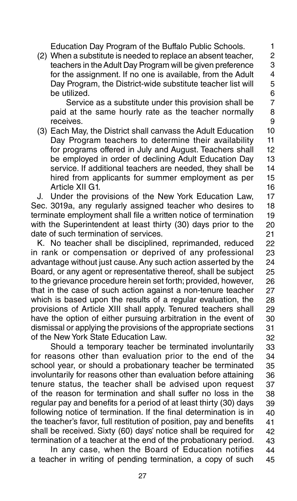Education Day Program of the Buffalo Public Schools.

(2) When a substitute is needed to replace an absent teacher, teachers in the Adult Day Program will be given preference for the assignment. If no one is available, from the Adult Day Program, the District-wide substitute teacher list will be utilized.

 Service as a substitute under this provision shall be paid at the same hourly rate as the teacher normally receives.

10 11 12 13 14 15 16 (3) Each May, the District shall canvass the Adult Education Day Program teachers to determine their availability for programs offered in July and August. Teachers shall be employed in order of declining Adult Education Day service. If additional teachers are needed, they shall be hired from applicants for summer employment as per Article XII G1.

17 18 19 20 21 J. Under the provisions of the New York Education Law, Sec. 3019a, any regularly assigned teacher who desires to terminate employment shall file a written notice of termination with the Superintendent at least thirty (30) days prior to the date of such termination of services.

22 23 24 25 26 27 28 29 30 31 32 K. No teacher shall be disciplined, reprimanded, reduced in rank or compensation or deprived of any professional advantage without just cause. Any such action asserted by the Board, or any agent or representative thereof, shall be subject to the grievance procedure herein set forth; provided, however, that in the case of such action against a non-tenure teacher which is based upon the results of a regular evaluation, the provisions of Article XIII shall apply. Tenured teachers shall have the option of either pursuing arbitration in the event of dismissal or applying the provisions of the appropriate sections of the New York State Education Law.

33 34 35 36 37 38 39 40 41 42 43 Should a temporary teacher be terminated involuntarily for reasons other than evaluation prior to the end of the school year, or should a probationary teacher be terminated involuntarily for reasons other than evaluation before attaining tenure status, the teacher shall be advised upon request of the reason for termination and shall suffer no loss in the regular pay and benefits for a period of at least thirty (30) days following notice of termination. If the final determination is in the teacher's favor, full restitution of position, pay and benefits shall be received. Sixty (60) days' notice shall be required for termination of a teacher at the end of the probationary period.

44 45 In any case, when the Board of Education notifies a teacher in writing of pending termination, a copy of such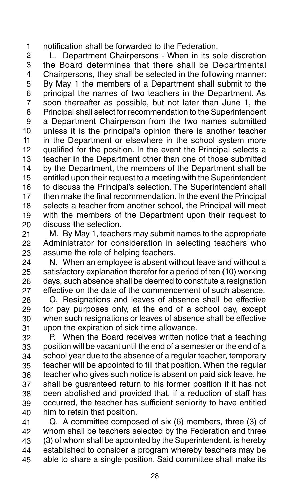1 notification shall be forwarded to the Federation.

 $\mathfrak{p}$ 3 4 5 6 7 8 9 10 11 12 13 14 15 16 17 18 19 20 L. Department Chairpersons - When in its sole discretion the Board determines that there shall be Departmental Chairpersons, they shall be selected in the following manner: By May 1 the members of a Department shall submit to the principal the names of two teachers in the Department. As soon thereafter as possible, but not later than June 1, the Principal shall select for recommendation to the Superintendent a Department Chairperson from the two names submitted unless it is the principal's opinion there is another teacher in the Department or elsewhere in the school system more qualified for the position. In the event the Principal selects a teacher in the Department other than one of those submitted by the Department, the members of the Department shall be entitled upon their request to a meeting with the Superintendent to discuss the Principal's selection. The Superintendent shall then make the final recommendation. In the event the Principal selects a teacher from another school, the Principal will meet with the members of the Department upon their request to discuss the selection.

21 22 23 M. By May 1, teachers may submit names to the appropriate Administrator for consideration in selecting teachers who assume the role of helping teachers.

24 25 26 27 N. When an employee is absent without leave and without a satisfactory explanation therefor for a period of ten (10) working days, such absence shall be deemed to constitute a resignation effective on the date of the commencement of such absence.

28 29 30 31 O. Resignations and leaves of absence shall be effective for pay purposes only, at the end of a school day, except when such resignations or leaves of absence shall be effective upon the expiration of sick time allowance.

32 33 34 35 36 37 38 39 40 P. When the Board receives written notice that a teaching position will be vacant until the end of a semester or the end of a school year due to the absence of a regular teacher, temporary teacher will be appointed to fill that position. When the regular teacher who gives such notice is absent on paid sick leave, he shall be guaranteed return to his former position if it has not been abolished and provided that, if a reduction of staff has occurred, the teacher has sufficient seniority to have entitled him to retain that position.

41 42 43 44 45 Q. A committee composed of six (6) members, three (3) of whom shall be teachers selected by the Federation and three (3) of whom shall be appointed by the Superintendent, is hereby established to consider a program whereby teachers may be able to share a single position. Said committee shall make its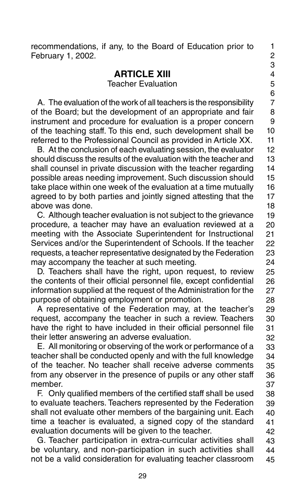recommendations, if any, to the Board of Education prior to February 1, 2002.

## **ARTICLE XIII**

Teacher Evaluation

 A. The evaluation of the work of all teachers is the responsibility of the Board; but the development of an appropriate and fair instrument and procedure for evaluation is a proper concern of the teaching staff. To this end, such development shall be referred to the Professional Council as provided in Article XX.

12 13 14 15 16 17 18 B. At the conclusion of each evaluating session, the evaluator should discuss the results of the evaluation with the teacher and shall counsel in private discussion with the teacher regarding possible areas needing improvement. Such discussion should take place within one week of the evaluation at a time mutually agreed to by both parties and jointly signed attesting that the above was done.

19 20  $21$ 22 23 24 C. Although teacher evaluation is not subject to the grievance procedure, a teacher may have an evaluation reviewed at a meeting with the Associate Superintendent for Instructional Services and/or the Superintendent of Schools. If the teacher requests, a teacher representative designated by the Federation may accompany the teacher at such meeting.

25 26 27 28 D. Teachers shall have the right, upon request, to review the contents of their official personnel file, except confidential information supplied at the request of the Administration for the purpose of obtaining employment or promotion.

29 30 31 32 A representative of the Federation may, at the teacher's request, accompany the teacher in such a review. Teachers have the right to have included in their official personnel file their letter answering an adverse evaluation.

33 34 35 36 37 E. All monitoring or observing of the work or performance of a teacher shall be conducted openly and with the full knowledge of the teacher. No teacher shall receive adverse comments from any observer in the presence of pupils or any other staff member.

38 39 40 41 42 F. Only qualified members of the certified staff shall be used to evaluate teachers. Teachers represented by the Federation shall not evaluate other members of the bargaining unit. Each time a teacher is evaluated, a signed copy of the standard evaluation documents will be given to the teacher.

43 44 45 G. Teacher participation in extra-curricular activities shall be voluntary, and non-participation in such activities shall not be a valid consideration for evaluating teacher classroom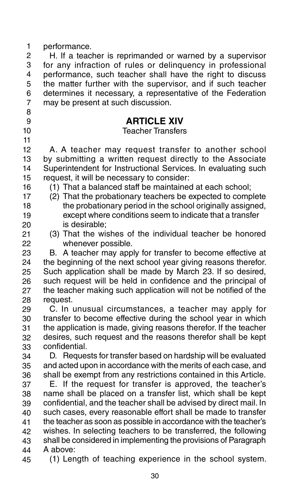1 performance.

16

21 22

 $\mathfrak{p}$ 3 4 5 6 7 H. If a teacher is reprimanded or warned by a supervisor for any infraction of rules or delinquency in professional performance, such teacher shall have the right to discuss the matter further with the supervisor, and if such teacher determines it necessary, a representative of the Federation may be present at such discussion.

# **ARTICLE XIV**

Teacher Transfers

12 13 14 15 A. A teacher may request transfer to another school by submitting a written request directly to the Associate Superintendent for Instructional Services. In evaluating such request, it will be necessary to consider:

- (1) That a balanced staff be maintained at each school;
- 17 18 19 20 (2) That the probationary teachers be expected to complete the probationary period in the school originally assigned, except where conditions seem to indicate that a transfer is desirable;
	- (3) That the wishes of the individual teacher be honored whenever possible.

23 24 25 26 27 28 B. A teacher may apply for transfer to become effective at the beginning of the next school year giving reasons therefor. Such application shall be made by March 23. If so desired, such request will be held in confidence and the principal of the teacher making such application will not be notified of the request.

- **29** 30 31 32 33 C. In unusual circumstances, a teacher may apply for transfer to become effective during the school year in which the application is made, giving reasons therefor. If the teacher desires, such request and the reasons therefor shall be kept confidential.
- 34 35 36 D. Requests for transfer based on hardship will be evaluated and acted upon in accordance with the merits of each case, and shall be exempt from any restrictions contained in this Article.
- 37 38 39 40 41 42 43 44 E. If the request for transfer is approved, the teacher's name shall be placed on a transfer list, which shall be kept confidential, and the teacher shall be advised by direct mail. In such cases, every reasonable effort shall be made to transfer the teacher as soon as possible in accordance with the teacher's wishes. In selecting teachers to be transferred, the following shall be considered in implementing the provisions of Paragraph A above:
- 45 (1) Length of teaching experience in the school system.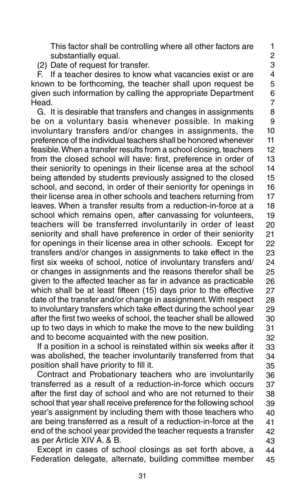This factor shall be controlling where all other factors are substantially equal.

(2) Date of request for transfer.

F. If a teacher desires to know what vacancies exist or are known to be forthcoming, the teacher shall upon request be given such information by calling the appropriate Department Head.

8 9 10 11 12 13 14 15 16 17 18 19 20 21 22 23 24 25 26 27 28 29 30 31 32 G. It is desirable that transfers and changes in assignments be on a voluntary basis whenever possible. In making involuntary transfers and/or changes in assignments, the preference of the individual teachers shall be honored whenever feasible. When a transfer results from a school closing, teachers from the closed school will have: first, preference in order of their seniority to openings in their license area at the school being attended by students previously assigned to the closed school, and second, in order of their seniority for openings in their license area in other schools and teachers returning from leaves. When a transfer results from a reduction-in-force at a school which remains open, after canvassing for volunteers, teachers will be transferred involuntarily in order of least seniority and shall have preference in order of their seniority for openings in their license area in other schools. Except for transfers and/or changes in assignments to take effect in the first six weeks of school, notice of involuntary transfers and/ or changes in assignments and the reasons therefor shall be given to the affected teacher as far in advance as practicable which shall be at least fifteen (15) days prior to the effective date of the transfer and/or change in assignment. With respect to involuntary transfers which take effect during the school year after the first two weeks of school, the teacher shall be allowed up to two days in which to make the move to the new building and to become acquainted with the new position.

33 34 35 If a position in a school is reinstated within six weeks after it was abolished, the teacher involuntarily transferred from that position shall have priority to fill it.

36 37 38 39 40 41 43 Contract and Probationary teachers who are involuntarily transferred as a result of a reduction-in-force which occurs after the first day of school and who are not returned to their school that year shall receive preference for the following school year's assignment by including them with those teachers who are being transferred as a result of a reduction-in-force at the end of the school year provided the teacher requests a transfer as per Article XIV A. & B.

44 45 Except in cases of school closings as set forth above, a Federation delegate, alternate, building committee member

42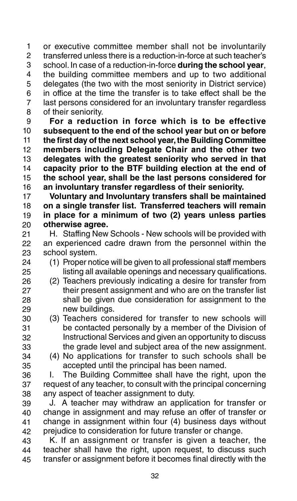1 2 3 4 5 6 7 8 or executive committee member shall not be involuntarily transferred unless there is a reduction-in-force at such teacher's school. In case of a reduction-in-force **during the school year**, the building committee members and up to two additional delegates (the two with the most seniority in District service) in office at the time the transfer is to take effect shall be the last persons considered for an involuntary transfer regardless of their seniority.

9 10 11 12 13 14 15 16 **For a reduction in force which is to be effective subsequent to the end of the school year but on or before the first day of the next school year, the Building Committee members including Delegate Chair and the other two delegates with the greatest seniority who served in that capacity prior to the BTF building election at the end of the school year, shall be the last persons considered for an involuntary transfer regardless of their seniority.** 

17 18 19 20 **Voluntary and Involuntary transfers shall be maintained on a single transfer list. Transferred teachers will remain in place for a minimum of two (2) years unless parties otherwise agree.**

21 22 23 24 H. Staffing New Schools - New schools will be provided with an experienced cadre drawn from the personnel within the school system.

25

34 35

- (1) Proper notice will be given to all professional staff members listing all available openings and necessary qualifications.
- 26 27 28 29 (2) Teachers previously indicating a desire for transfer from their present assignment and who are on the transfer list shall be given due consideration for assignment to the new buildings.
- 30 31 32 33 (3) Teachers considered for transfer to new schools will be contacted personally by a member of the Division of Instructional Services and given an opportunity to discuss the grade level and subject area of the new assignment.
	- (4) No applications for transfer to such schools shall be accepted until the principal has been named.
- 36 37 38 I. The Building Committee shall have the right, upon the request of any teacher, to consult with the principal concerning any aspect of teacher assignment to duty.

39 40 41 42 J. A teacher may withdraw an application for transfer or change in assignment and may refuse an offer of transfer or change in assignment within four (4) business days without prejudice to consideration for future transfer or change.

43 44 45 K. If an assignment or transfer is given a teacher, the teacher shall have the right, upon request, to discuss such transfer or assignment before it becomes final directly with the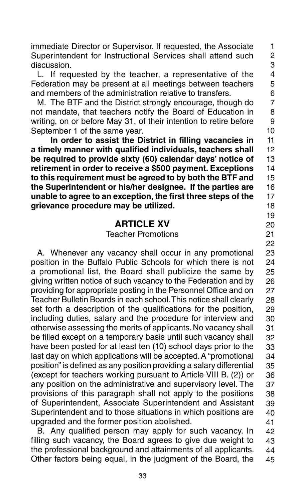immediate Director or Supervisor. If requested, the Associate Superintendent for Instructional Services shall attend such discussion.

L. If requested by the teacher, a representative of the Federation may be present at all meetings between teachers and members of the administration relative to transfers.

10 M. The BTF and the District strongly encourage, though do not mandate, that teachers notify the Board of Education in writing, on or before May 31, of their intention to retire before September 1 of the same year.

11 12 13 14 15 16 17 18 **In order to assist the District in filling vacancies in a timely manner with qualified individuals, teachers shall be required to provide sixty (60) calendar days' notice of retirement in order to receive a \$500 payment. Exceptions to this requirement must be agreed to by both the BTF and the Superintendent or his/her designee. If the parties are unable to agree to an exception, the first three steps of the grievance procedure may be utilized.**

## **ARTICLE XV**

#### Teacher Promotions

23 24 25 26 27 28 29 30 31 32 33 34 35 36 37 38 39 40 41 A. Whenever any vacancy shall occur in any promotional position in the Buffalo Public Schools for which there is not a promotional list, the Board shall publicize the same by giving written notice of such vacancy to the Federation and by providing for appropriate posting in the Personnel Office and on Teacher Bulletin Boards in each school. This notice shall clearly set forth a description of the qualifications for the position, including duties, salary and the procedure for interview and otherwise assessing the merits of applicants. No vacancy shall be filled except on a temporary basis until such vacancy shall have been posted for at least ten (10) school days prior to the last day on which applications will be accepted. A "promotional position" is defined as any position providing a salary differential (except for teachers working pursuant to Article VIII B. (2)) or any position on the administrative and supervisory level. The provisions of this paragraph shall not apply to the positions of Superintendent, Associate Superintendent and Assistant Superintendent and to those situations in which positions are upgraded and the former position abolished.

42 43 44 45 B. Any qualified person may apply for such vacancy. In filling such vacancy, the Board agrees to give due weight to the professional background and attainments of all applicants. Other factors being equal, in the judgment of the Board, the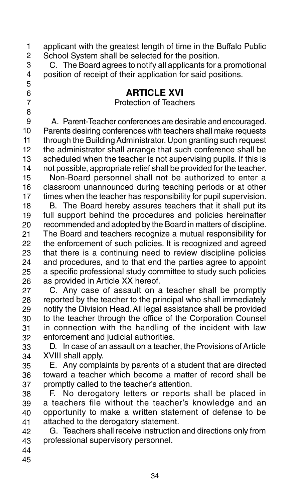1 2 applicant with the greatest length of time in the Buffalo Public School System shall be selected for the position.

3 4 5 C. The Board agrees to notify all applicants for a promotional position of receipt of their application for said positions.

# **ARTICLE XVI**

#### Protection of Teachers

9 10 11 12 13 14 15 16 17 A. Parent-Teacher conferences are desirable and encouraged. Parents desiring conferences with teachers shall make requests through the Building Administrator. Upon granting such request the administrator shall arrange that such conference shall be scheduled when the teacher is not supervising pupils. If this is not possible, appropriate relief shall be provided for the teacher. Non-Board personnel shall not be authorized to enter a classroom unannounced during teaching periods or at other times when the teacher has responsibility for pupil supervision.

18 19 20 21 22 23 24 25 26 B. The Board hereby assures teachers that it shall put its full support behind the procedures and policies hereinafter recommended and adopted by the Board in matters of discipline. The Board and teachers recognize a mutual responsibility for the enforcement of such policies. It is recognized and agreed that there is a continuing need to review discipline policies and procedures, and to that end the parties agree to appoint a specific professional study committee to study such policies as provided in Article XX hereof.

27 28 29 30 31 32 C. Any case of assault on a teacher shall be promptly reported by the teacher to the principal who shall immediately notify the Division Head. All legal assistance shall be provided to the teacher through the office of the Corporation Counsel in connection with the handling of the incident with law enforcement and judicial authorities.

33 34 D. In case of an assault on a teacher, the Provisions of Article XVIII shall apply.

35 36 37 E. Any complaints by parents of a student that are directed toward a teacher which become a matter of record shall be promptly called to the teacher's attention.

38 39 40 41 F. No derogatory letters or reports shall be placed in a teachers file without the teacher's knowledge and an opportunity to make a written statement of defense to be attached to the derogatory statement.

42 43 G. Teachers shall receive instruction and directions only from professional supervisory personnel.

44

6 7 8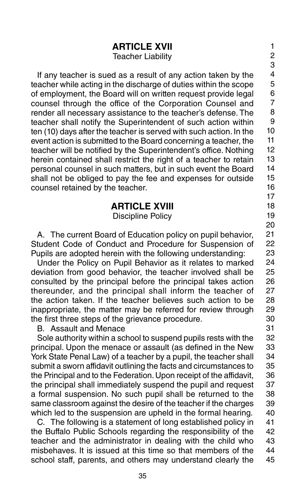## **ARTICLE XVII**

1  $\mathfrak{p}$ 3

Teacher Liability

4 5 6 7 8 9 10 11 12 13 14 15 16 If any teacher is sued as a result of any action taken by the teacher while acting in the discharge of duties within the scope of employment, the Board will on written request provide legal counsel through the office of the Corporation Counsel and render all necessary assistance to the teacher's defense. The teacher shall notify the Superintendent of such action within ten (10) days after the teacher is served with such action. In the event action is submitted to the Board concerning a teacher, the teacher will be notified by the Superintendent's office. Nothing herein contained shall restrict the right of a teacher to retain personal counsel in such matters, but in such event the Board shall not be obliged to pay the fee and expenses for outside counsel retained by the teacher.

# **ARTICLE XVIII**

Discipline Policy

A. The current Board of Education policy on pupil behavior, Student Code of Conduct and Procedure for Suspension of Pupils are adopted herein with the following understanding:

Under the Policy on Pupil Behavior as it relates to marked deviation from good behavior, the teacher involved shall be consulted by the principal before the principal takes action thereunder, and the principal shall inform the teacher of the action taken. If the teacher believes such action to be inappropriate, the matter may be referred for review through the first three steps of the grievance procedure.

#### B. Assault and Menace

32 33 34 35 36 37 38 39 40 Sole authority within a school to suspend pupils rests with the principal. Upon the menace or assault (as defined in the New York State Penal Law) of a teacher by a pupil, the teacher shall submit a sworn affidavit outlining the facts and circumstances to the Principal and to the Federation. Upon receipt of the affidavit, the principal shall immediately suspend the pupil and request a formal suspension. No such pupil shall be returned to the same classroom against the desire of the teacher if the charges which led to the suspension are upheld in the formal hearing.

41 42 43 44 45 C. The following is a statement of long established policy in the Buffalo Public Schools regarding the responsibility of the teacher and the administrator in dealing with the child who misbehaves. It is issued at this time so that members of the school staff, parents, and others may understand clearly the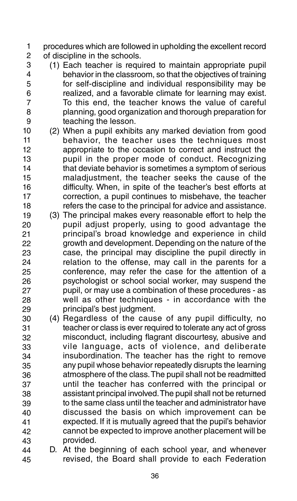- 1 2 procedures which are followed in upholding the excellent record
- of discipline in the schools.
- 3 4 5 6 7 8 9 (1) Each teacher is required to maintain appropriate pupil behavior in the classroom, so that the objectives of training for self-discipline and individual responsibility may be realized, and a favorable climate for learning may exist. To this end, the teacher knows the value of careful planning, good organization and thorough preparation for teaching the lesson.
- 10 11 12 13 14 15 16 17 18 (2) When a pupil exhibits any marked deviation from good behavior, the teacher uses the techniques most appropriate to the occasion to correct and instruct the pupil in the proper mode of conduct. Recognizing that deviate behavior is sometimes a symptom of serious maladjustment, the teacher seeks the cause of the difficulty. When, in spite of the teacher's best efforts at correction, a pupil continues to misbehave, the teacher refers the case to the principal for advice and assistance.
- 19 20 21 22 23 24 25 26 27 28 29 (3) The principal makes every reasonable effort to help the pupil adjust properly, using to good advantage the principal's broad knowledge and experience in child growth and development. Depending on the nature of the case, the principal may discipline the pupil directly in relation to the offense, may call in the parents for a conference, may refer the case for the attention of a psychologist or school social worker, may suspend the pupil, or may use a combination of these procedures - as well as other techniques - in accordance with the principal's best judgment.
- 30 31 32 33 34 35 36 37 38 39 40 41 42 43 (4) Regardless of the cause of any pupil difficulty, no teacher or class is ever required to tolerate any act of gross misconduct, including flagrant discourtesy, abusive and vile language, acts of violence, and deliberate insubordination. The teacher has the right to remove any pupil whose behavior repeatedly disrupts the learning atmosphere of the class. The pupil shall not be readmitted until the teacher has conferred with the principal or assistant principal involved. The pupil shall not be returned to the same class until the teacher and administrator have discussed the basis on which improvement can be expected. If it is mutually agreed that the pupil's behavior cannot be expected to improve another placement will be provided.
- 44 45 D. At the beginning of each school year, and whenever revised, the Board shall provide to each Federation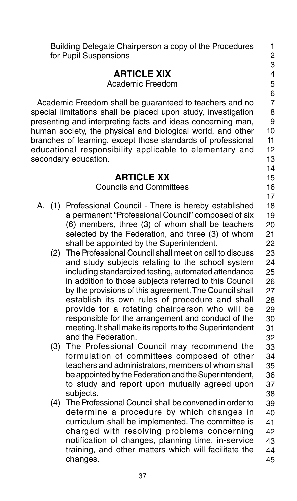|    |     | saasinis i roodoni onali bo gaarama<br>ecial limitations shall be placed upon study, investigation<br>senting and interpreting facts and ideas concerning man,<br>man society, the physical and biological world, and other<br>inches of learning, except those standards of professional<br>ucational responsibility applicable to elementary and<br>condary education. | 8<br>9<br>10<br>11<br>12<br>13 |
|----|-----|--------------------------------------------------------------------------------------------------------------------------------------------------------------------------------------------------------------------------------------------------------------------------------------------------------------------------------------------------------------------------|--------------------------------|
|    |     | <b>ARTICLE XX</b>                                                                                                                                                                                                                                                                                                                                                        | 14<br>15                       |
|    |     | <b>Councils and Committees</b>                                                                                                                                                                                                                                                                                                                                           | 16                             |
|    |     |                                                                                                                                                                                                                                                                                                                                                                          | 17                             |
| ι. | (1) | Professional Council - There is hereby established<br>a permanent "Professional Council" composed of six                                                                                                                                                                                                                                                                 | 18<br>19                       |
|    |     | (6) members, three (3) of whom shall be teachers                                                                                                                                                                                                                                                                                                                         | 20                             |
|    |     | selected by the Federation, and three (3) of whom                                                                                                                                                                                                                                                                                                                        | 21                             |
|    |     | shall be appointed by the Superintendent.                                                                                                                                                                                                                                                                                                                                | 22                             |
|    | (2) | The Professional Council shall meet on call to discuss<br>and study subjects relating to the school system                                                                                                                                                                                                                                                               | 23<br>24                       |
|    |     | including standardized testing, automated attendance                                                                                                                                                                                                                                                                                                                     | 25                             |
|    |     | in addition to those subjects referred to this Council                                                                                                                                                                                                                                                                                                                   | 26                             |
|    |     | by the provisions of this agreement. The Council shall                                                                                                                                                                                                                                                                                                                   | 27                             |
|    |     | establish its own rules of procedure and shall<br>provide for a rotating chairperson who will be                                                                                                                                                                                                                                                                         | 28<br>29                       |
|    |     | responsible for the arrangement and conduct of the                                                                                                                                                                                                                                                                                                                       | 30                             |
|    |     | meeting. It shall make its reports to the Superintendent                                                                                                                                                                                                                                                                                                                 | 31                             |
|    |     | and the Federation.                                                                                                                                                                                                                                                                                                                                                      | 32                             |
|    | (3) | The Professional Council may recommend the                                                                                                                                                                                                                                                                                                                               | 33                             |
|    |     | formulation of committees composed of other<br>teachers and administrators, members of whom shall                                                                                                                                                                                                                                                                        | 34<br>35                       |
|    |     | be appointed by the Federation and the Superintendent,                                                                                                                                                                                                                                                                                                                   | 36                             |
|    |     | to study and report upon mutually agreed upon                                                                                                                                                                                                                                                                                                                            | 37                             |
|    |     | subjects.                                                                                                                                                                                                                                                                                                                                                                | 38                             |
|    | (4) | The Professional Council shall be convened in order to<br>determine a procedure by which changes in                                                                                                                                                                                                                                                                      | 39<br>40                       |
|    |     | curriculum shall be implemented. The committee is                                                                                                                                                                                                                                                                                                                        | 41                             |
|    |     | charged with resolving problems concerning                                                                                                                                                                                                                                                                                                                               | 42                             |
|    |     | notification of changes, planning time, in-service                                                                                                                                                                                                                                                                                                                       | 43                             |
|    |     | training, and other matters which will facilitate the<br>changes.                                                                                                                                                                                                                                                                                                        | 44<br>45                       |
|    |     |                                                                                                                                                                                                                                                                                                                                                                          |                                |
|    |     | 37                                                                                                                                                                                                                                                                                                                                                                       |                                |
|    |     |                                                                                                                                                                                                                                                                                                                                                                          |                                |
|    |     |                                                                                                                                                                                                                                                                                                                                                                          |                                |
|    |     |                                                                                                                                                                                                                                                                                                                                                                          |                                |
|    |     |                                                                                                                                                                                                                                                                                                                                                                          |                                |
|    |     |                                                                                                                                                                                                                                                                                                                                                                          |                                |
|    |     |                                                                                                                                                                                                                                                                                                                                                                          |                                |

Building Delegate Chairperson a copy of the Procedures for Pupil Suspensions

# **ARTICLE XIX**

Academic Freedom

Academic Freedom shall be guaranteed to teachers and no special limitations shall be placed upon study, investigation presenting and interpreting facts and ideas concerning man, human society, the physical and biological world, and other branches of learning, except those standards of professional educational responsibility applicable to elementary and sec

- 18 19 20 21 22 A. (1) Professional Council - There is hereby established
	- 23 24 25 26 27 28 29 30 31 32
	- 33 34 35 36 37 38
	- 39 40 41 42 43 44 45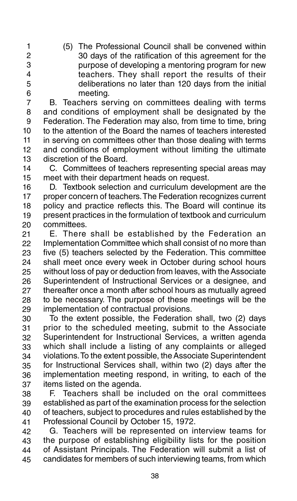1  $\overline{2}$ 3 4 5 6 (5) The Professional Council shall be convened within 30 days of the ratification of this agreement for the purpose of developing a mentoring program for new teachers. They shall report the results of their deliberations no later than 120 days from the initial meeting.

7 8 9 10 11 12 13 B. Teachers serving on committees dealing with terms and conditions of employment shall be designated by the Federation. The Federation may also, from time to time, bring to the attention of the Board the names of teachers interested in serving on committees other than those dealing with terms and conditions of employment without limiting the ultimate discretion of the Board.

14 15 C. Committees of teachers representing special areas may meet with their department heads on request.

16 17 18 19 20 D. Textbook selection and curriculum development are the proper concern of teachers. The Federation recognizes current policy and practice reflects this. The Board will continue its present practices in the formulation of textbook and curriculum committees.

21 22 23 24 25 26 27 28 29 E. There shall be established by the Federation an Implementation Committee which shall consist of no more than five (5) teachers selected by the Federation. This committee shall meet once every week in October during school hours without loss of pay or deduction from leaves, with the Associate Superintendent of Instructional Services or a designee, and thereafter once a month after school hours as mutually agreed to be necessary. The purpose of these meetings will be the implementation of contractual provisions.

30 31 32 33 34 35 36 37 To the extent possible, the Federation shall, two (2) days prior to the scheduled meeting, submit to the Associate Superintendent for Instructional Services, a written agenda which shall include a listing of any complaints or alleged violations. To the extent possible, the Associate Superintendent for Instructional Services shall, within two (2) days after the implementation meeting respond, in writing, to each of the items listed on the agenda.

38 39 40 41 F. Teachers shall be included on the oral committees established as part of the examination process for the selection of teachers, subject to procedures and rules established by the Professional Council by October 15, 1972.

42 43 44 45 G. Teachers will be represented on interview teams for the purpose of establishing eligibility lists for the position of Assistant Principals. The Federation will submit a list of candidates for members of such interviewing teams, from which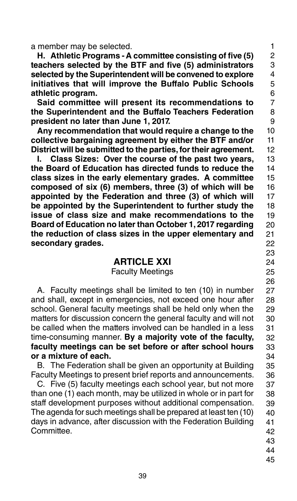a member may be selected.

**H. Athletic Programs - A committee consisting of five (5) teachers selected by the BTF and five (5) administrators selected by the Superintendent will be convened to explore initiatives that will improve the Buffalo Public Schools athletic program.**

**Said committee will present its recommendations to the Superintendent and the Buffalo Teachers Federation president no later than June 1, 2017.** 

10 11 12 **Any recommendation that would require a change to the collective bargaining agreement by either the BTF and/or District will be submitted to the parties, for their agreement.**

13 14 15 16 17 18 19 20 21 22 **I. Class Sizes: Over the course of the past two years, the Board of Education has directed funds to reduce the class sizes in the early elementary grades. A committee composed of six (6) members, three (3) of which will be appointed by the Federation and three (3) of which will be appointed by the Superintendent to further study the issue of class size and make recommendations to the Board of Education no later than October 1, 2017 regarding the reduction of class sizes in the upper elementary and secondary grades.** 

## **ARTICLE XXI**

Faculty Meetings

A. Faculty meetings shall be limited to ten (10) in number and shall, except in emergencies, not exceed one hour after school. General faculty meetings shall be held only when the matters for discussion concern the general faculty and will not be called when the matters involved can be handled in a less time-consuming manner. **By a majority vote of the faculty, faculty meetings can be set before or after school hours or a mixture of each.**

35 36 B. The Federation shall be given an opportunity at Building Faculty Meetings to present brief reports and announcements.

37 38 39 40 41 42 C. Five (5) faculty meetings each school year, but not more than one (1) each month, may be utilized in whole or in part for staff development purposes without additional compensation. The agenda for such meetings shall be prepared at least ten (10) days in advance, after discussion with the Federation Building Committee.

43

- 44
- 45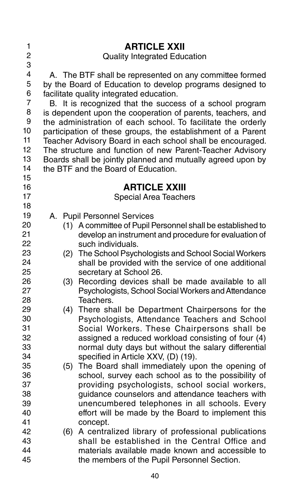| 1<br>$\overline{2}$<br>3                                                   |     | <b>ARTICLE XXII</b><br><b>Quality Integrated Education</b>                                                                                                                                                                                                                                                                                                                                                                                                                                                                                                                                                                                                   |
|----------------------------------------------------------------------------|-----|--------------------------------------------------------------------------------------------------------------------------------------------------------------------------------------------------------------------------------------------------------------------------------------------------------------------------------------------------------------------------------------------------------------------------------------------------------------------------------------------------------------------------------------------------------------------------------------------------------------------------------------------------------------|
| 4<br>5<br>6<br>7<br>8<br>9<br>10<br>11<br>12<br>13<br>14<br>15             |     | A. The BTF shall be represented on any committee formed<br>by the Board of Education to develop programs designed to<br>facilitate quality integrated education.<br>B. It is recognized that the success of a school program<br>is dependent upon the cooperation of parents, teachers, and<br>the administration of each school. To facilitate the orderly<br>participation of these groups, the establishment of a Parent<br>Teacher Advisory Board in each school shall be encouraged.<br>The structure and function of new Parent-Teacher Advisory<br>Boards shall be jointly planned and mutually agreed upon by<br>the BTF and the Board of Education. |
| 16<br>17<br>18                                                             |     | <b>ARTICLE XXIII</b><br><b>Special Area Teachers</b>                                                                                                                                                                                                                                                                                                                                                                                                                                                                                                                                                                                                         |
| 19<br>20<br>21<br>22<br>23<br>24<br>25<br>26<br>27<br>28<br>29<br>30<br>31 | (4) | A. Pupil Personnel Services<br>(1) A committee of Pupil Personnel shall be established to<br>develop an instrument and procedure for evaluation of<br>such individuals.<br>(2) The School Psychologists and School Social Workers<br>shall be provided with the service of one additional<br>secretary at School 26.<br>(3) Recording devices shall be made available to all<br>Psychologists, School Social Workers and Attendance<br>Teachers.<br>There shall be Department Chairpersons for the<br>Psychologists, Attendance Teachers and School<br>Social Workers. These Chairpersons shall be                                                           |
| 32<br>33<br>34<br>35<br>36<br>37<br>38<br>39<br>40<br>41<br>42             | (6) | assigned a reduced workload consisting of four (4)<br>normal duty days but without the salary differential<br>specified in Article XXV, (D) (19).<br>(5) The Board shall immediately upon the opening of<br>school, survey each school as to the possibility of<br>providing psychologists, school social workers,<br>guidance counselors and attendance teachers with<br>unencumbered telephones in all schools. Every<br>effort will be made by the Board to implement this<br>concept.<br>A centralized library of professional publications                                                                                                              |
| 43<br>44<br>45                                                             |     | shall be established in the Central Office and<br>materials available made known and accessible to<br>the members of the Pupil Personnel Section.                                                                                                                                                                                                                                                                                                                                                                                                                                                                                                            |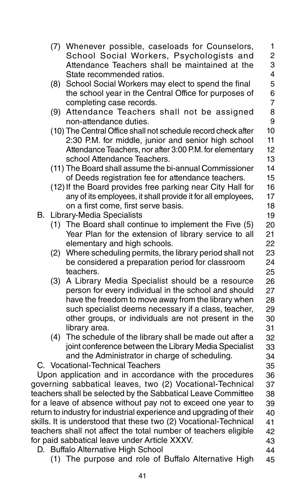1  $\mathfrak{p}$ 3 4 5 6 7 8 9 10 11 12 13 14 15 16 17 18 19 20 21 22 23 24 25 26 27 28 29 30 31 32 33 34 35 36 37 38 39 40 41 42 43 44 (7) Whenever possible, caseloads for Counselors, School Social Workers, Psychologists and Attendance Teachers shall be maintained at the State recommended ratios. (8) School Social Workers may elect to spend the final the school year in the Central Office for purposes of completing case records. (9) Attendance Teachers shall not be assigned non-attendance duties. (10) The Central Office shall not schedule record check after 2:30 P.M. for middle, junior and senior high school Attendance Teachers, nor after 3:00 P.M. for elementary school Attendance Teachers. (11) The Board shall assume the bi-annual Commissioner of Deeds registration fee for attendance teachers. (12) If the Board provides free parking near City Hall for any of its employees, it shall provide it for all employees, on a first come, first serve basis. B. Library-Media Specialists (1) The Board shall continue to implement the Five (5) Year Plan for the extension of library service to all elementary and high schools. (2) Where scheduling permits, the library period shall not be considered a preparation period for classroom teachers. (3) A Library Media Specialist should be a resource person for every individual in the school and should have the freedom to move away from the library when such specialist deems necessary if a class, teacher, other groups, or individuals are not present in the library area. (4) The schedule of the library shall be made out after a joint conference between the Library Media Specialist and the Administrator in charge of scheduling. C. Vocational-Technical Teachers Upon application and in accordance with the procedures governing sabbatical leaves, two (2) Vocational-Technical teachers shall be selected by the Sabbatical Leave Committee for a leave of absence without pay not to exceed one year to return to industry for industrial experience and upgrading of their skills. It is understood that these two (2) Vocational-Technical teachers shall not affect the total number of teachers eligible for paid sabbatical leave under Article XXXV. D. Buffalo Alternative High School

45 (1) The purpose and role of Buffalo Alternative High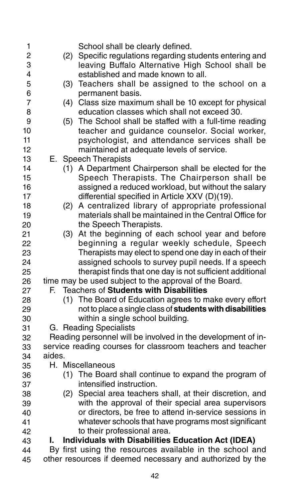| 1              |        | School shall be clearly defined.                             |
|----------------|--------|--------------------------------------------------------------|
| 2              |        | (2) Specific regulations regarding students entering and     |
| 3              |        | leaving Buffalo Alternative High School shall be             |
| 4              |        | established and made known to all.                           |
| 5              | (3)    | Teachers shall be assigned to the school on a                |
| 6              |        | permanent basis.                                             |
| $\overline{7}$ | (4)    | Class size maximum shall be 10 except for physical           |
| 8              |        | education classes which shall not exceed 30.                 |
| 9              | (5)    | The School shall be staffed with a full-time reading         |
| 10             |        | teacher and guidance counselor. Social worker,               |
| 11             |        | psychologist, and attendance services shall be               |
| 12             |        | maintained at adequate levels of service.                    |
| 13             | Е.     | <b>Speech Therapists</b>                                     |
| 14             |        | (1) A Department Chairperson shall be elected for the        |
| 15             |        | Speech Therapists. The Chairperson shall be                  |
| 16             |        | assigned a reduced workload, but without the salary          |
| 17             |        | differential specified in Article XXV (D)(19).               |
| 18             |        | (2) A centralized library of appropriate professional        |
| 19             |        | materials shall be maintained in the Central Office for      |
| 20             |        | the Speech Therapists.                                       |
| 21             |        | (3) At the beginning of each school year and before          |
| 22             |        | beginning a regular weekly schedule, Speech                  |
| 23             |        | Therapists may elect to spend one day in each of their       |
| 24             |        | assigned schools to survey pupil needs. If a speech          |
| 25             |        | therapist finds that one day is not sufficient additional    |
| 26             |        | time may be used subject to the approval of the Board.       |
| 27             | F.     | Teachers of Students with Disabilities                       |
| 28             |        | (1) The Board of Education agrees to make every effort       |
| 29             |        | not to place a single class of students with disabilities    |
| 30             |        | within a single school building.                             |
| 31             |        | G. Reading Specialists                                       |
| 32             |        | Reading personnel will be involved in the development of in- |
| 33             |        | service reading courses for classroom teachers and teacher   |
| 34             | aides. |                                                              |
| 35             |        | H. Miscellaneous                                             |
| 36             |        | (1) The Board shall continue to expand the program of        |
| 37             |        | intensified instruction.                                     |
| 38             |        | (2) Special area teachers shall, at their discretion, and    |
| 39             |        | with the approval of their special area supervisors          |
| 40             |        | or directors, be free to attend in-service sessions in       |
| 41             |        | whatever schools that have programs most significant         |
| 42             |        | to their professional area.                                  |
| 43             | I.     | Individuals with Disabilities Education Act (IDEA)           |
| 44             |        | By first using the resources available in the school and     |
| 45             |        | other resources if deemed necessary and authorized by the    |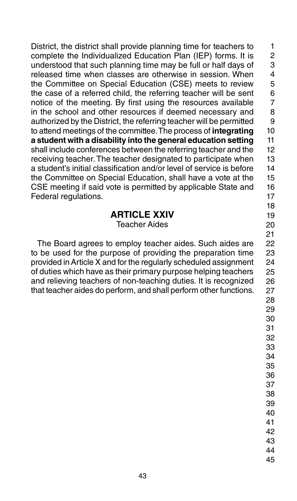$\mathfrak{p}$  District, the district shall provide planning time for teachers to complete the Individualized Education Plan (IEP) forms. It is understood that such planning time may be full or half days of released time when classes are otherwise in session. When the Committee on Special Education (CSE) meets to review the case of a referred child, the referring teacher will be sent notice of the meeting. By first using the resources available in the school and other resources if deemed necessary and authorized by the District, the referring teacher will be permitted to attend meetings of the committee. The process of **integrating a student with a disability into the general education setting**  shall include conferences between the referring teacher and the receiving teacher. The teacher designated to participate when a student's initial classification and/or level of service is before the Committee on Special Education, shall have a vote at the CSE meeting if said vote is permitted by applicable State and Federal regulations.

## **ARTICLE XXIV**

Teacher Aides

The Board agrees to employ teacher aides. Such aides are to be used for the purpose of providing the preparation time provided in Article X and for the regularly scheduled assignment of duties which have as their primary purpose helping teachers and relieving teachers of non-teaching duties. It is recognized that teacher aides do perform, and shall perform other functions.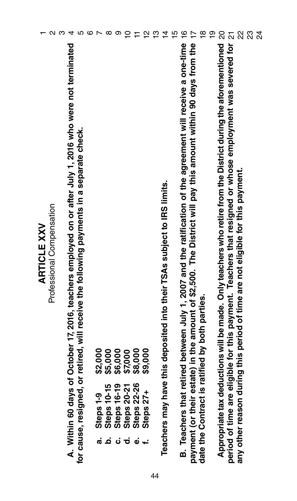|                    | N                         |                                                                                                           |                                                                                           |                      |                               |                               | ₽                      | 는                                  | 은                    | င္း | $\vec{4}$                                                               | 15 |                                                                                                                |                                                                                                                  | ≌                                              | ፵ |                                                                                                                           |                                                                                                             | ನಿ                                                                             | ೪ |  |
|--------------------|---------------------------|-----------------------------------------------------------------------------------------------------------|-------------------------------------------------------------------------------------------|----------------------|-------------------------------|-------------------------------|------------------------|------------------------------------|----------------------|-----|-------------------------------------------------------------------------|----|----------------------------------------------------------------------------------------------------------------|------------------------------------------------------------------------------------------------------------------|------------------------------------------------|---|---------------------------------------------------------------------------------------------------------------------------|-------------------------------------------------------------------------------------------------------------|--------------------------------------------------------------------------------|---|--|
| <b>ARTICLE XXV</b> | Professional Compensation | A. Within 60 days of October 17, 2016, teachers employed on or after July 1, 2016 who were not terminated | for cause, resigned, or retired, will receive the following payments in a separate check. | \$2,000<br>Steps 1-9 | \$5,000<br><b>Steps 10-15</b> | \$6,000<br><b>Steps 16-19</b> | \$7,000<br>Steps 20-21 | \$8,000<br><b>Steps 22-26</b><br>ق | \$9,000<br>Steps 27+ | 44  | Teachers may have this deposited into their TSAs subject to IRS limits. |    | B. Teachers that retired between July 1, 2007 and the ratification of the agreement will receive a one-time 16 | payment (or their estate) in the amount of \$2,500. The District will pay this amount within 90 days from the 17 | date the Contract is ratified by both parties. |   | Appropriate tax deductions will be made. Only teachers who retire from the District during the aforementioned $\rm _{20}$ | period of time are eligible for this payment. Teachers that resigned or whose employment was severed for 21 | any other reason during this period of time are not eligible for this payment. |   |  |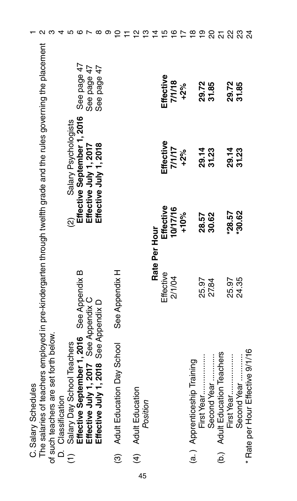|                     | N                                                                                                                 |                                       |                   | ယ                          | ဖ                                          |                                       | ∞                                     | თ | ₽                          | Ξ |                        | `ದ ವ     | $\ddot{4}$    | မ္        | မ္       |        |                              |       |             | ិតទទ័ខជំនួនវ                    |                |             |                                  |
|---------------------|-------------------------------------------------------------------------------------------------------------------|---------------------------------------|-------------------|----------------------------|--------------------------------------------|---------------------------------------|---------------------------------------|---|----------------------------|---|------------------------|----------|---------------|-----------|----------|--------|------------------------------|-------|-------------|---------------------------------|----------------|-------------|----------------------------------|
|                     |                                                                                                                   |                                       |                   |                            | See page 47                                | See page 47                           | See page 47                           |   |                            |   |                        |          |               | Effective | 7/1/18   | $+2%$  |                              | 29.72 | 31.85       |                                 | 29.72<br>31.85 |             |                                  |
|                     |                                                                                                                   |                                       |                   | Salary Psychologists       | Effective September 1, 2016                | Effective July 1, 2017                | Effective July 1, 2018                |   |                            |   |                        |          |               | Effective | 7/1/17   | $+2%$  |                              | 29.14 | 31.23       |                                 | 29.14          | 31.23       |                                  |
|                     |                                                                                                                   |                                       |                   | $\widehat{\mathfrak{Q}}$   |                                            |                                       |                                       |   |                            |   |                        |          | Rate Per Hour | Effective | 10/17/16 | $*10%$ |                              | 28.57 | 30.62       |                                 | $*28.57$       | *30.62      |                                  |
|                     |                                                                                                                   |                                       |                   |                            |                                            |                                       |                                       |   | See Appendix H             |   |                        |          |               | Effective | 2/1/04   |        |                              | 25.97 | 27.84       |                                 | 25.97          | 24.35       |                                  |
| C. Salary Schedules | The salaries of teachers employed in pre-kindergarten through twelfth grade and the rules governing the placement | of such teachers are set forth below. | D. Classification | Salary Day School Teachers | Effective September 1, 2016 See Appendix B | Effective July 1, 2017 See Appendix C | Effective July 1, 2018 See Appendix D |   | Adult Education Day School |   | <b>Adult Education</b> | Position |               |           |          |        | (a.) Apprenticeship Training |       | Second Year | <b>Adult Education Teachers</b> |                | Second Year | * Rate per Hour Effective 9/1/16 |
|                     |                                                                                                                   |                                       |                   | $\widehat{\tau}$           |                                            |                                       |                                       |   | $\widehat{\mathcal{E}}$    |   | E                      |          |               |           |          |        |                              |       |             | $\overline{e}$                  |                |             |                                  |
|                     |                                                                                                                   |                                       |                   |                            |                                            |                                       |                                       |   |                            |   |                        | 45       |               |           |          |        |                              |       |             |                                 |                |             |                                  |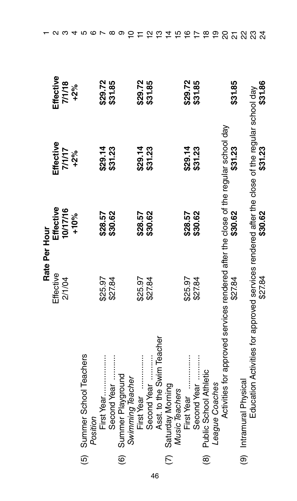|                   |                                                                                               | Rate Per Hour |           |           |                    |            |
|-------------------|-----------------------------------------------------------------------------------------------|---------------|-----------|-----------|--------------------|------------|
|                   |                                                                                               | Effective     | Effective | Effective | Effective          | N          |
|                   |                                                                                               | 2/1/04        | 10/17/16  | 7/1/17    | 7/1/18             |            |
|                   |                                                                                               |               | $*10%$    | $+2\%$    | $+2%$              |            |
|                   | (5) Summer School Teachers                                                                    |               |           |           |                    |            |
|                   | Position                                                                                      |               |           |           |                    |            |
|                   |                                                                                               | \$25.97       | \$28.57   | \$29.14   | \$29.72            |            |
|                   | Second Year                                                                                   | \$27.84       | \$30.62   | \$31.23   | \$31.85            | ∞          |
| $\widehat{6}$     | Summer Playground                                                                             |               |           |           |                    |            |
|                   | Swimming Teacher                                                                              |               |           |           |                    | ₽          |
|                   |                                                                                               | \$25.97       | \$28.57   | \$29.14   |                    | ₣          |
|                   | Second Year                                                                                   | \$27.84       | \$30.62   | \$31.23   | \$29.72<br>\$31.85 | 은          |
|                   | Asst. to the Swim Teacher                                                                     |               |           |           |                    | ෆ          |
|                   | Saturday Morning                                                                              |               |           |           |                    | $\vec{z}$  |
|                   | Music Teachers                                                                                |               |           |           |                    | مبر        |
|                   | :<br>:<br>:<br>:<br>First Year                                                                | \$25.97       | \$28.57   | \$29.14   | \$29.72            | ≌          |
|                   | Second Year                                                                                   | \$27.84       | \$30.62   | \$31.23   | \$31.85            | 5t         |
| $\widehat{\circ}$ | <b>Public School Athletic</b>                                                                 |               |           |           |                    |            |
|                   | League Coaches                                                                                |               |           |           |                    |            |
|                   | Activities for approved services rendered after the close of the regular school day           |               |           |           |                    | ុំ តូន ដូន |
|                   |                                                                                               | \$27.84       | \$30.62   | \$31.23   | \$31.85            |            |
|                   | (9) Intramural Physical                                                                       |               |           |           |                    |            |
|                   | Education Activities for approved services rendered after the close of the regular school day |               |           |           |                    | ನಿ         |
|                   |                                                                                               | \$27.84       | \$30.62   | \$31.23   | \$31.86            | 24         |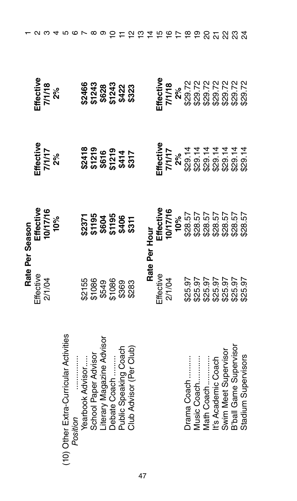|                                                                   |                                              | Rate Per Season                             |                                                     |                                                                                                                                                                                                                                                                                                                                                                                                                                                                                   |                                                         |
|-------------------------------------------------------------------|----------------------------------------------|---------------------------------------------|-----------------------------------------------------|-----------------------------------------------------------------------------------------------------------------------------------------------------------------------------------------------------------------------------------------------------------------------------------------------------------------------------------------------------------------------------------------------------------------------------------------------------------------------------------|---------------------------------------------------------|
|                                                                   | Effective                                    |                                             |                                                     |                                                                                                                                                                                                                                                                                                                                                                                                                                                                                   |                                                         |
|                                                                   | 2/1/04                                       | Effective<br>10/17/16<br>10%                | Effective<br>7/1/17<br>2%                           | Effective<br>7/1/18<br>2%                                                                                                                                                                                                                                                                                                                                                                                                                                                         |                                                         |
|                                                                   |                                              |                                             |                                                     |                                                                                                                                                                                                                                                                                                                                                                                                                                                                                   |                                                         |
| (10) Other Extra-Curricular Activities                            |                                              |                                             |                                                     |                                                                                                                                                                                                                                                                                                                                                                                                                                                                                   |                                                         |
| Position                                                          |                                              |                                             |                                                     |                                                                                                                                                                                                                                                                                                                                                                                                                                                                                   |                                                         |
| Yearbook Advisor                                                  |                                              |                                             |                                                     |                                                                                                                                                                                                                                                                                                                                                                                                                                                                                   | $\sim$ $\infty$ $\infty$                                |
|                                                                   |                                              |                                             |                                                     |                                                                                                                                                                                                                                                                                                                                                                                                                                                                                   |                                                         |
|                                                                   |                                              |                                             |                                                     |                                                                                                                                                                                                                                                                                                                                                                                                                                                                                   |                                                         |
| School Paper Advisor<br>Literary Magazine Advisor<br>Debate Coach |                                              |                                             |                                                     |                                                                                                                                                                                                                                                                                                                                                                                                                                                                                   | $\overline{C}$                                          |
| Public Speaking Coach                                             |                                              |                                             |                                                     |                                                                                                                                                                                                                                                                                                                                                                                                                                                                                   |                                                         |
| Club Advisor (Per Club)                                           | \$2155<br>\$1086<br>\$4086<br>\$283<br>\$283 | \$2371<br>\$1195<br>\$604<br>\$406<br>\$311 | <b>\$2418</b><br>\$1219<br>\$5121<br>\$517<br>\$517 | 8243<br>828 323<br>858 842<br>858 88                                                                                                                                                                                                                                                                                                                                                                                                                                              | 12 12 12 12 12 12 12 12 12 13 12 13 14 15 16 17 18 19 1 |
|                                                                   |                                              |                                             |                                                     |                                                                                                                                                                                                                                                                                                                                                                                                                                                                                   |                                                         |
|                                                                   |                                              | <b>Rate Per Hour</b>                        |                                                     |                                                                                                                                                                                                                                                                                                                                                                                                                                                                                   |                                                         |
|                                                                   | Effective                                    |                                             |                                                     |                                                                                                                                                                                                                                                                                                                                                                                                                                                                                   |                                                         |
|                                                                   | 2/1/04                                       | Effective<br>10/17/16                       |                                                     |                                                                                                                                                                                                                                                                                                                                                                                                                                                                                   |                                                         |
|                                                                   |                                              |                                             |                                                     |                                                                                                                                                                                                                                                                                                                                                                                                                                                                                   |                                                         |
| Jrama Coach                                                       |                                              |                                             |                                                     |                                                                                                                                                                                                                                                                                                                                                                                                                                                                                   |                                                         |
| Music Coach                                                       |                                              |                                             |                                                     |                                                                                                                                                                                                                                                                                                                                                                                                                                                                                   |                                                         |
| Math Coach                                                        |                                              |                                             |                                                     |                                                                                                                                                                                                                                                                                                                                                                                                                                                                                   |                                                         |
| t's Academic Coach                                                |                                              |                                             |                                                     |                                                                                                                                                                                                                                                                                                                                                                                                                                                                                   |                                                         |
| Swim Meet Supervisor                                              |                                              |                                             |                                                     |                                                                                                                                                                                                                                                                                                                                                                                                                                                                                   |                                                         |
| 3'ball Game Supervisor                                            |                                              |                                             |                                                     |                                                                                                                                                                                                                                                                                                                                                                                                                                                                                   |                                                         |
| Stadium Supervisors                                               |                                              |                                             |                                                     | $\begin{array}{l} \text{He} \text{tive}\\ \text{He} \text{tive}\\ \text{F} \text{tive}\\ \text{F} \text{tive}\\ \text{F} \text{tive}\\ \text{F} \text{tive}\\ \text{F} \text{tive}\\ \text{F} \text{tive}\\ \text{F} \text{tive}\\ \text{F} \text{tive}\\ \text{F} \text{tive}\\ \text{F} \text{tive}\\ \text{F} \text{tive}\\ \text{F} \text{tive}\\ \text{F} \text{tive}\\ \text{F} \text{tive}\\ \text{F} \text{tive}\\ \text{F} \text{tive}\\ \text{F} \text{tive}\\ \text{F$ |                                                         |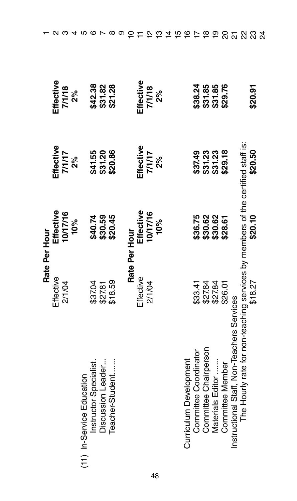|           |                                        |                           |                       |                   |                 |                                                                                      |               |                                        |           |                        |                       |                       |                  |                         | N                                                                                                                  | $\sim$                                     |                                                                                 |        |
|-----------|----------------------------------------|---------------------------|-----------------------|-------------------|-----------------|--------------------------------------------------------------------------------------|---------------|----------------------------------------|-----------|------------------------|-----------------------|-----------------------|------------------|-------------------------|--------------------------------------------------------------------------------------------------------------------|--------------------------------------------|---------------------------------------------------------------------------------|--------|
| Effective | 2%                                     |                           |                       |                   |                 |                                                                                      | Effective     |                                        |           |                        |                       |                       |                  |                         |                                                                                                                    |                                            | \$20.91                                                                         |        |
| Effective | 2%                                     |                           |                       |                   |                 |                                                                                      | Effective     | $2\%$                                  |           |                        |                       |                       |                  |                         |                                                                                                                    |                                            | \$20.50                                                                         |        |
| Effective | 10%                                    |                           |                       |                   | \$20.45         |                                                                                      | Effective     |                                        |           |                        | \$36.75               |                       |                  |                         |                                                                                                                    |                                            | \$20.10                                                                         |        |
| Effective |                                        |                           | \$37.04               | \$27.81           | \$18.59         |                                                                                      | Effective     |                                        |           |                        | \$33.41               | \$27.84               | \$27.84          |                         |                                                                                                                    |                                            | \$18.27                                                                         |        |
|           |                                        | (11) In-Service Education | Instructor Specialist | Discussion Leader | Teacher-Student |                                                                                      |               |                                        |           | Curriculum Development | Committee Coordinator | Committee Chairperson | Materials Editor | <b>Committee Member</b> |                                                                                                                    |                                            |                                                                                 |        |
|           | 7/1/18<br>7/1/17<br>10/17/16<br>2/1/04 |                           |                       |                   |                 | \$42.38<br>\$31.82<br>\$21.28<br>\$41.55<br>\$31.86<br>\$20.86<br>\$40.74<br>\$30.59 | Rate Per Hour | 7/1/18<br>7/1/17<br>10/17/16<br>2/1/04 | 2%<br>10% |                        |                       |                       |                  |                         | \$38.24<br>\$31.85<br>\$31.85<br>\$29.76<br>837.49<br>835.23<br>888.88<br>\$30.62<br>\$30.62<br>\$28.61<br>\$26.01 | Instructional Staff, Non-Teachers Services | The Hourly rate for non-teaching services by members of the certified staff is: | $\sim$ |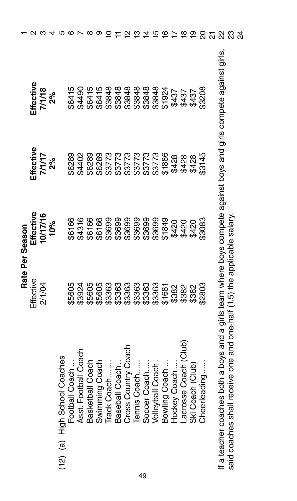|                                                                                                                    |           | Rate Per Season            |                  |           |                |
|--------------------------------------------------------------------------------------------------------------------|-----------|----------------------------|------------------|-----------|----------------|
|                                                                                                                    | Effective | Effective                  | Effective        | Effective |                |
|                                                                                                                    | 2/1/04    | 10/17/16                   | <b>ZYYYZ</b>     | 7/1/18    |                |
|                                                                                                                    |           | 10%                        | ಸ್ಥೆ             | 2%        |                |
| (12) (a) High School Coaches                                                                                       |           |                            |                  |           |                |
| Football Coach                                                                                                     | \$5605    | \$6166                     |                  |           |                |
| Asst. Football Coach                                                                                               | \$3924    | \$4316                     | \$6289<br>\$4402 |           |                |
| Basketball Coach                                                                                                   | \$5605    |                            | \$6289           |           | ∞              |
| Swimming Coach                                                                                                     |           | \$6166<br>\$6166<br>\$3699 | \$6289           |           | တ              |
| Track Coach                                                                                                        |           |                            |                  |           | ⊇              |
| Baseball Coach                                                                                                     |           |                            |                  |           |                |
| Cross Country Coach                                                                                                |           |                            |                  |           | 두 일 은          |
| Tennis Coach                                                                                                       |           |                            |                  |           |                |
| Soccer Coach                                                                                                       |           |                            |                  |           | $\overline{4}$ |
| <b>Jolleyball Coach.</b>                                                                                           |           |                            |                  |           | ءِ∟            |
| Bowling Coach                                                                                                      |           |                            |                  |           | ≌              |
| <b>Hockey Coach </b>                                                                                               |           |                            |                  |           | ⊵              |
| acrosse Coach (Club)                                                                                               |           |                            |                  |           |                |
| Ski Coach (Club)                                                                                                   |           |                            |                  |           |                |
| Cheerleading                                                                                                       | \$2803    |                            | 3145             |           | ុកទីខ្លួយខ្លួ  |
|                                                                                                                    |           |                            |                  |           |                |
| If a teacher coaches both a boys and a girls team where boys compete against boys and girls compete against girls, |           |                            |                  |           |                |
| said coaches shall receive one and one-half (1.5) the applicable salary.                                           |           |                            |                  |           |                |
|                                                                                                                    |           |                            |                  |           | 24             |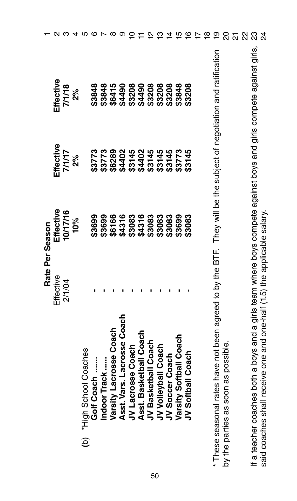|                                                                                                                     | Rate Per Season |                                                                  |           |                            |                             |
|---------------------------------------------------------------------------------------------------------------------|-----------------|------------------------------------------------------------------|-----------|----------------------------|-----------------------------|
|                                                                                                                     | Effective       | Effective                                                        | Effective | Effective                  | $\sim$                      |
|                                                                                                                     | 2/1/04          | 10/17/16                                                         | 7/1/17    | 7/1/18                     |                             |
|                                                                                                                     |                 | 10%                                                              | ಸ್ಥೆ      | ಸ್ಥೆ                       |                             |
| *High School Coaches<br>ê                                                                                           |                 |                                                                  |           |                            |                             |
| Golf Coach                                                                                                          |                 | \$3699                                                           | \$3773    | 53848                      |                             |
| Indoor Track                                                                                                        |                 |                                                                  |           | \$3848                     |                             |
| Varsity Lacrosse Coach                                                                                              |                 | <b>93699</b><br>651683083<br>6543083083<br>6543083083<br>6543083 |           | \$6415                     | $\infty$                    |
| Asst. Vars. Lacrosse Coach                                                                                          |                 |                                                                  |           |                            | თ                           |
| JV Lacrosse Coach                                                                                                   |                 |                                                                  |           |                            | $\subseteq$                 |
| Asst. Basketball Coach                                                                                              |                 |                                                                  |           |                            | $\pm$                       |
| JV Basketball Coach                                                                                                 |                 |                                                                  |           |                            |                             |
| JV Volleyball Coach                                                                                                 |                 |                                                                  |           |                            | $\frac{1}{2}$ $\frac{1}{2}$ |
| JV Soccer Coach                                                                                                     |                 |                                                                  |           |                            | $\overline{4}$              |
| Varsity Softball Coach                                                                                              |                 | \$3699                                                           |           | \$3208<br>\$3208<br>\$3848 |                             |
| JV Softball Coach                                                                                                   |                 | \$3083                                                           |           | \$3208                     | 1992                        |
|                                                                                                                     |                 |                                                                  |           |                            |                             |
|                                                                                                                     |                 |                                                                  |           |                            | $\frac{\infty}{2}$          |
| * These seasonal rates have not been agreed to by the BTF. They will be the subject of negotiation and ratification |                 |                                                                  |           |                            | $\overline{9}$              |
| by the parties as soon as possible.                                                                                 |                 |                                                                  |           |                            | 8                           |
|                                                                                                                     |                 |                                                                  |           |                            | $\overline{a}$              |
|                                                                                                                     |                 |                                                                  |           |                            | 2                           |
| If a teacher coaches both a boys and a girls team where boys compete against boys and girls compete against girls,  |                 |                                                                  |           |                            | ಔ                           |
| said coaches shall receive one and one-half (1.5) the applicable salary.                                            |                 |                                                                  |           |                            | $\overline{6}$              |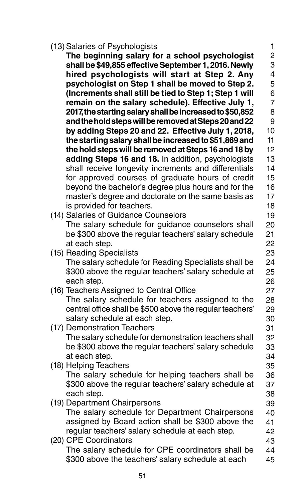| (13) Salaries of Psychologists                               | 1              |
|--------------------------------------------------------------|----------------|
| The beginning salary for a school psychologist               | $\overline{2}$ |
| shall be \$49,855 effective September 1, 2016. Newly         | 3              |
| hired psychologists will start at Step 2. Any                | $\overline{4}$ |
| psychologist on Step 1 shall be moved to Step 2.             | 5              |
| (Increments shall still be tied to Step 1; Step 1 will       | 6              |
| remain on the salary schedule). Effective July 1,            | 7              |
| 2017, the starting salary shall be increased to \$50,852     | 8              |
| and the hold steps will be removed at Steps 20 and 22        | 9              |
| by adding Steps 20 and 22. Effective July 1, 2018,           | 10             |
| the starting salary shall be increased to \$51,869 and       | 11             |
| the hold steps will be removed at Steps 16 and 18 by         | 12             |
| adding Steps 16 and 18. In addition, psychologists           | 13             |
| shall receive longevity increments and differentials         | 14             |
| for approved courses of graduate hours of credit             | 15             |
| beyond the bachelor's degree plus hours and for the          | 16             |
| master's degree and doctorate on the same basis as           | 17             |
| is provided for teachers.                                    | 18             |
| (14) Salaries of Guidance Counselors                         | 19             |
| The salary schedule for guidance counselors shall            | 20             |
| be \$300 above the regular teachers' salary schedule         | 21             |
| at each step.                                                | 22             |
| (15) Reading Specialists                                     | 23             |
| The salary schedule for Reading Specialists shall be         | 24             |
| \$300 above the regular teachers' salary schedule at         | 25             |
| each step.                                                   | 26             |
| (16) Teachers Assigned to Central Office                     | 27             |
| The salary schedule for teachers assigned to the             | 28             |
| central office shall be \$500 above the regular teachers'    | 29             |
| salary schedule at each step.<br>(17) Demonstration Teachers | 30<br>31       |
| The salary schedule for demonstration teachers shall         | 32             |
| be \$300 above the regular teachers' salary schedule         | 33             |
| at each step.                                                | 34             |
| (18) Helping Teachers                                        | 35             |
| The salary schedule for helping teachers shall be            | 36             |
| \$300 above the regular teachers' salary schedule at         | 37             |
| each step.                                                   | 38             |
| (19) Department Chairpersons                                 | 39             |
| The salary schedule for Department Chairpersons              | 40             |
| assigned by Board action shall be \$300 above the            | 41             |
| regular teachers' salary schedule at each step.              | 42             |
| (20) CPE Coordinators                                        | 43             |
| The salary schedule for CPE coordinators shall be            | 44             |
| \$300 above the teachers' salary schedule at each            | 45             |
|                                                              |                |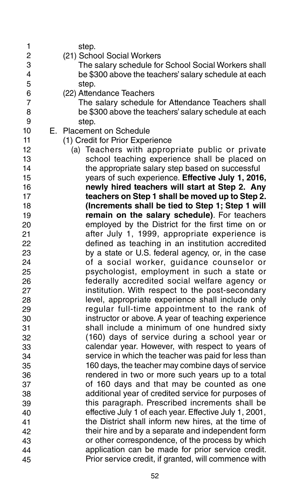| 1  | step.                                                  |
|----|--------------------------------------------------------|
| 2  | (21) School Social Workers                             |
| 3  | The salary schedule for School Social Workers shall    |
| 4  | be \$300 above the teachers' salary schedule at each   |
| 5  | step.                                                  |
| 6  | (22) Attendance Teachers                               |
| 7  | The salary schedule for Attendance Teachers shall      |
| 8  | be \$300 above the teachers' salary schedule at each   |
| 9  | step.                                                  |
| 10 | E. Placement on Schedule                               |
| 11 | (1) Credit for Prior Experience                        |
| 12 | (a) Teachers with appropriate public or private        |
| 13 | school teaching experience shall be placed on          |
| 14 | the appropriate salary step based on successful        |
| 15 | years of such experience. Effective July 1, 2016,      |
| 16 | newly hired teachers will start at Step 2. Any         |
| 17 | teachers on Step 1 shall be moved up to Step 2.        |
| 18 | (Increments shall be tied to Step 1; Step 1 will       |
| 19 | remain on the salary schedule). For teachers           |
| 20 | employed by the District for the first time on or      |
| 21 | after July 1, 1999, appropriate experience is          |
| 22 | defined as teaching in an institution accredited       |
| 23 | by a state or U.S. federal agency, or, in the case     |
| 24 | of a social worker, guidance counselor or              |
| 25 | psychologist, employment in such a state or            |
| 26 | federally accredited social welfare agency or          |
| 27 | institution. With respect to the post-secondary        |
| 28 | level, appropriate experience shall include only       |
| 29 | regular full-time appointment to the rank of           |
| 30 | instructor or above. A year of teaching experience     |
| 31 | shall include a minimum of one hundred sixty           |
| 32 | (160) days of service during a school year or          |
| 33 | calendar year. However, with respect to years of       |
| 34 | service in which the teacher was paid for less than    |
| 35 | 160 days, the teacher may combine days of service      |
| 36 | rendered in two or more such years up to a total       |
| 37 | of 160 days and that may be counted as one             |
| 38 | additional year of credited service for purposes of    |
| 39 | this paragraph. Prescribed increments shall be         |
| 40 | effective July 1 of each year. Effective July 1, 2001, |
| 41 | the District shall inform new hires, at the time of    |
| 42 | their hire and by a separate and independent form      |
| 43 | or other correspondence, of the process by which       |
| 44 | application can be made for prior service credit.      |
| 45 | Prior service credit, if granted, will commence with   |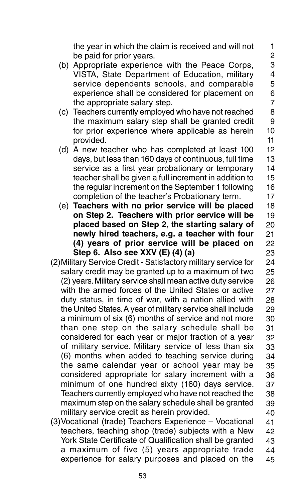the year in which the claim is received and will not be paid for prior years.

- (b) Appropriate experience with the Peace Corps, VISTA, State Department of Education, military service dependents schools, and comparable experience shall be considered for placement on the appropriate salary step.
- 10 11 (c) Teachers currently employed who have not reached the maximum salary step shall be granted credit for prior experience where applicable as herein provided.
- 12 13 14 15 16 17 (d) A new teacher who has completed at least 100 days, but less than 160 days of continuous, full time service as a first year probationary or temporary teacher shall be given a full increment in addition to the regular increment on the September 1 following completion of the teacher's Probationary term.
- 18 19 20 21 22 23 (e) **Teachers with no prior service will be placed on Step 2. Teachers with prior service will be placed based on Step 2, the starting salary of newly hired teachers, e.g. a teacher with four (4) years of prior service will be placed on Step 6. Also see XXV (E) (4) (a)**
- 24 25 26 27 28 29 30 31 32 33 34 35 36 37 38 39 40 (2)Military Service Credit - Satisfactory military service for salary credit may be granted up to a maximum of two (2) years. Military service shall mean active duty service with the armed forces of the United States or active duty status, in time of war, with a nation allied with the United States. A year of military service shall include a minimum of six (6) months of service and not more than one step on the salary schedule shall be considered for each year or major fraction of a year of military service. Military service of less than six (6) months when added to teaching service during the same calendar year or school year may be considered appropriate for salary increment with a minimum of one hundred sixty (160) days service. Teachers currently employed who have not reached the maximum step on the salary schedule shall be granted military service credit as herein provided.
- 41 42 43 44 45 (3)Vocational (trade) Teachers Experience – Vocational teachers, teaching shop (trade) subjects with a New York State Certificate of Qualification shall be granted a maximum of five (5) years appropriate trade experience for salary purposes and placed on the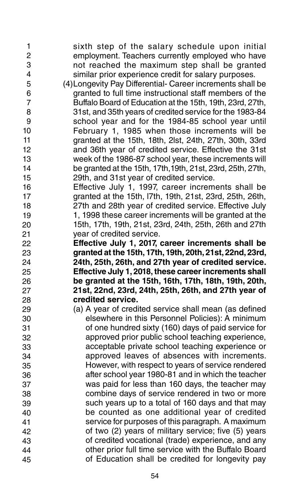1  $\overline{2}$ 3 4 sixth step of the salary schedule upon initial employment. Teachers currently employed who have not reached the maximum step shall be granted similar prior experience credit for salary purposes.

5 6 7 8 9 10 11 12 13 14 15 (4)Longevity Pay Differential- Career increments shall be granted to full time instructional staff members of the Buffalo Board of Education at the 15th, 19th, 23rd, 27th, 31st, and 35th years of credited service for the 1983-84 school year and for the 1984-85 school year until February 1, 1985 when those increments will be granted at the 15th, 18th, 2lst, 24th, 27th, 30th, 33rd and 36th year of credited service. Effective the 31st week of the 1986-87 school year, these increments will be granted at the 15th, 17th,19th, 21st, 23rd, 25th, 27th, 29th, and 31st year of credited service.

16 17 18 19 20 21 Effective July 1, 1997, career increments shall be granted at the 15th, l7th, 19th, 21st, 23rd, 25th, 26th, 27th and 28th year of credited service. Effective July 1, 1998 these career increments will be granted at the 15th, 17th, 19th, 21st, 23rd, 24th, 25th, 26th and 27th year of credited service.

22 23 24 25 26 27 28 **Effective July 1, 2017, career increments shall be granted at the 15th, 17th, 19th, 20th, 21st, 22nd, 23rd, 24th, 25th, 26th, and 27th year of credited service. Effective July 1, 2018, these career increments shall be granted at the 15th, 16th, 17th, 18th, 19th, 20th, 21st, 22nd, 23rd, 24th, 25th, 26th, and 27th year of credited service.**

29 30 31 32 33 34 35 36 37 38 39 40 41 42 43 44 45 (a) A year of credited service shall mean (as defined elsewhere in this Personnel Policies): A minimum of one hundred sixty (160) days of paid service for approved prior public school teaching experience, acceptable private school teaching experience or approved leaves of absences with increments. However, with respect to years of service rendered after school year 1980-81 and in which the teacher was paid for less than 160 days, the teacher may combine days of service rendered in two or more such years up to a total of 160 days and that may be counted as one additional year of credited service for purposes of this paragraph. A maximum of two (2) years of military service; five (5) years of credited vocational (trade) experience, and any other prior full time service with the Buffalo Board of Education shall be credited for longevity pay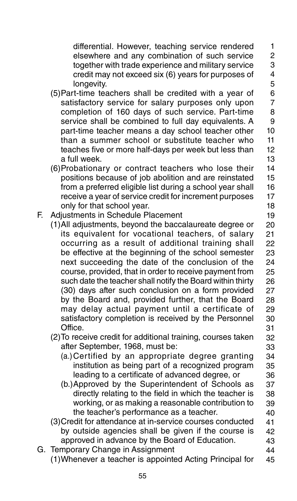1  $\mathfrak{p}$ 3 4 5 differential. However, teaching service rendered elsewhere and any combination of such service together with trade experience and military service credit may not exceed six (6) years for purposes of longevity.

- 6 7 8 9 10 11 12 13 (5)Part-time teachers shall be credited with a year of satisfactory service for salary purposes only upon completion of 160 days of such service. Part-time service shall be combined to full day equivalents. A part-time teacher means a day school teacher other than a summer school or substitute teacher who teaches five or more half-days per week but less than a full week.
- 14 15 16 17 18 19 (6)Probationary or contract teachers who lose their positions because of job abolition and are reinstated from a preferred eligible list during a school year shall receive a year of service credit for increment purposes only for that school year.
- F. Adjustments in Schedule Placement
	- 20 21 22 23 24 25 26 27 28 29 30 31 (1)All adjustments, beyond the baccalaureate degree or its equivalent for vocational teachers, of salary occurring as a result of additional training shall be effective at the beginning of the school semester next succeeding the date of the conclusion of the course, provided, that in order to receive payment from such date the teacher shall notify the Board within thirty (30) days after such conclusion on a form provided by the Board and, provided further, that the Board may delay actual payment until a certificate of satisfactory completion is received by the Personnel Office.
	- (2)To receive credit for additional training, courses taken after September, 1968, must be:
		- 34 35 36 (a.)Certified by an appropriate degree granting institution as being part of a recognized program leading to a certificate of advanced degree, or

- 37 38 39 40 (b.)Approved by the Superintendent of Schools as directly relating to the field in which the teacher is working, or as making a reasonable contribution to the teacher's performance as a teacher.
- 41 42 43 (3)Credit for attendance at in-service courses conducted by outside agencies shall be given if the course is approved in advance by the Board of Education.
- 44 45 G. Temporary Change in Assignment (1)Whenever a teacher is appointed Acting Principal for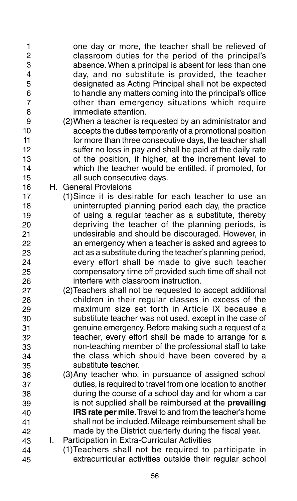1  $\overline{2}$ 3 4 5 6 7 8 one day or more, the teacher shall be relieved of classroom duties for the period of the principal's absence. When a principal is absent for less than one day, and no substitute is provided, the teacher designated as Acting Principal shall not be expected to handle any matters coming into the principal's office other than emergency situations which require immediate attention.

- 9 10 11 12 13 14 15 (2)When a teacher is requested by an administrator and accepts the duties temporarily of a promotional position for more than three consecutive days, the teacher shall suffer no loss in pay and shall be paid at the daily rate of the position, if higher, at the increment level to which the teacher would be entitled, if promoted, for all such consecutive days.
- 16 H. General Provisions
- 17 18 19 20 21 22 23 24 25 26 (1)Since it is desirable for each teacher to use an uninterrupted planning period each day, the practice of using a regular teacher as a substitute, thereby depriving the teacher of the planning periods, is undesirable and should be discouraged. However, in an emergency when a teacher is asked and agrees to act as a substitute during the teacher's planning period, every effort shall be made to give such teacher compensatory time off provided such time off shall not interfere with classroom instruction.
- 27 28 29 30 31 32 33 34 35 (2)Teachers shall not be requested to accept additional children in their regular classes in excess of the maximum size set forth in Article IX because a substitute teacher was not used, except in the case of genuine emergency. Before making such a request of a teacher, every effort shall be made to arrange for a non-teaching member of the professional staff to take the class which should have been covered by a substitute teacher.
- 36 37 38 39 40 41 42 (3)Any teacher who, in pursuance of assigned school duties, is required to travel from one location to another during the course of a school day and for whom a car is not supplied shall be reimbursed at the **prevailing IRS rate per mile**. Travel to and from the teacher's home shall not be included. Mileage reimbursement shall be made by the District quarterly during the fiscal year.
- 43 I. Participation in Extra-Curricular Activities
- 44 45 (1)Teachers shall not be required to participate in extracurricular activities outside their regular school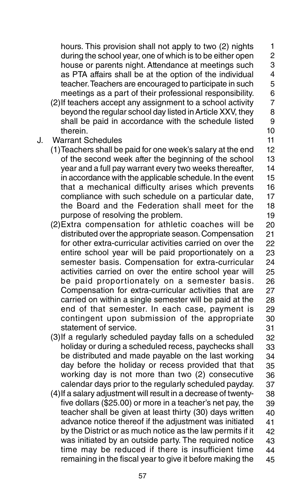1  $\mathfrak{p}$ 3 4 5 6 hours. This provision shall not apply to two (2) nights during the school year, one of which is to be either open house or parents night. Attendance at meetings such as PTA affairs shall be at the option of the individual teacher. Teachers are encouraged to participate in such meetings as a part of their professional responsibility.

> 7 8 9

- 10 (2)If teachers accept any assignment to a school activity beyond the regular school day listed in Article XXV, they shall be paid in accordance with the schedule listed therein.
- J. Warrant Schedules
	- 12 13 14 15 16 17 18 19 (1)Teachers shall be paid for one week's salary at the end of the second week after the beginning of the school year and a full pay warrant every two weeks thereafter, in accordance with the applicable schedule. In the event that a mechanical difficulty arises which prevents compliance with such schedule on a particular date, the Board and the Federation shall meet for the purpose of resolving the problem.
	- 20 21 22 23 24 25 26 27 28 29 30 31 (2)Extra compensation for athletic coaches will be distributed over the appropriate season. Compensation for other extra-curricular activities carried on over the entire school year will be paid proportionately on a semester basis. Compensation for extra-curricular activities carried on over the entire school year will be paid proportionately on a semester basis. Compensation for extra-curricular activities that are carried on within a single semester will be paid at the end of that semester. In each case, payment is contingent upon submission of the appropriate statement of service.
	- 32 33 34 35 36 37 (3)If a regularly scheduled payday falls on a scheduled holiday or during a scheduled recess, paychecks shall be distributed and made payable on the last working day before the holiday or recess provided that that working day is not more than two (2) consecutive calendar days prior to the regularly scheduled payday.
	- 38 39 40 41 42 43 44 45 (4)If a salary adjustment will result in a decrease of twentyfive dollars (\$25.00) or more in a teacher's net pay, the teacher shall be given at least thirty (30) days written advance notice thereof if the adjustment was initiated by the District or as much notice as the law permits if it was initiated by an outside party. The required notice time may be reduced if there is insufficient time remaining in the fiscal year to give it before making the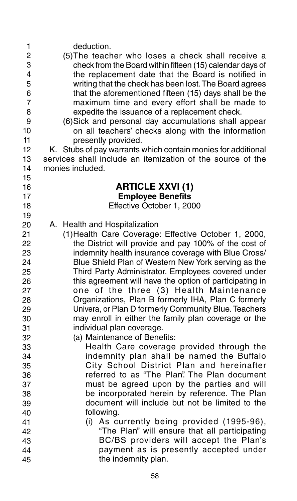| $\mathbf{1}$ | deduction.                                                                                  |  |  |  |  |  |
|--------------|---------------------------------------------------------------------------------------------|--|--|--|--|--|
| 2            | (5) The teacher who loses a check shall receive a                                           |  |  |  |  |  |
| 3            | check from the Board within fifteen (15) calendar days of                                   |  |  |  |  |  |
| 4            | the replacement date that the Board is notified in                                          |  |  |  |  |  |
| 5            | writing that the check has been lost. The Board agrees                                      |  |  |  |  |  |
| 6            | that the aforementioned fifteen (15) days shall be the                                      |  |  |  |  |  |
| 7            | maximum time and every effort shall be made to                                              |  |  |  |  |  |
| 8            | expedite the issuance of a replacement check.                                               |  |  |  |  |  |
| 9            | (6) Sick and personal day accumulations shall appear                                        |  |  |  |  |  |
| 10           | on all teachers' checks along with the information                                          |  |  |  |  |  |
| 11           | presently provided.                                                                         |  |  |  |  |  |
| 12           | K. Stubs of pay warrants which contain monies for additional                                |  |  |  |  |  |
| 13           | services shall include an itemization of the source of the                                  |  |  |  |  |  |
| 14           | monies included.                                                                            |  |  |  |  |  |
| 15           |                                                                                             |  |  |  |  |  |
| 16           | <b>ARTICLE XXVI (1)</b>                                                                     |  |  |  |  |  |
| 17<br>18     | <b>Employee Benefits</b><br>Effective October 1, 2000                                       |  |  |  |  |  |
| 19           |                                                                                             |  |  |  |  |  |
| 20           | A. Health and Hospitalization                                                               |  |  |  |  |  |
| 21           | (1) Health Care Coverage: Effective October 1, 2000,                                        |  |  |  |  |  |
| 22           | the District will provide and pay 100% of the cost of                                       |  |  |  |  |  |
| 23           | indemnity health insurance coverage with Blue Cross/                                        |  |  |  |  |  |
| 24           | Blue Shield Plan of Western New York serving as the                                         |  |  |  |  |  |
| 25           | Third Party Administrator. Employees covered under                                          |  |  |  |  |  |
| 26           | this agreement will have the option of participating in                                     |  |  |  |  |  |
| 27           | one of the three (3) Health Maintenance                                                     |  |  |  |  |  |
| 28           | Organizations, Plan B formerly IHA, Plan C formerly                                         |  |  |  |  |  |
| 29           | Univera, or Plan D formerly Community Blue. Teachers                                        |  |  |  |  |  |
| 30           | may enroll in either the family plan coverage or the                                        |  |  |  |  |  |
| 31           | individual plan coverage.                                                                   |  |  |  |  |  |
| 32           | (a) Maintenance of Benefits:                                                                |  |  |  |  |  |
| 33           | Health Care coverage provided through the                                                   |  |  |  |  |  |
| 34           | indemnity plan shall be named the Buffalo                                                   |  |  |  |  |  |
| 35           | City School District Plan and hereinafter                                                   |  |  |  |  |  |
| 36           | referred to as "The Plan". The Plan document                                                |  |  |  |  |  |
| 37           | must be agreed upon by the parties and will                                                 |  |  |  |  |  |
| 38           | be incorporated herein by reference. The Plan                                               |  |  |  |  |  |
| 39           | document will include but not be limited to the                                             |  |  |  |  |  |
| 40           | following.                                                                                  |  |  |  |  |  |
| 41           | (i) As currently being provided (1995-96),<br>"The Plan" will ensure that all participating |  |  |  |  |  |
| 42<br>43     | BC/BS providers will accept the Plan's                                                      |  |  |  |  |  |
| 44           | payment as is presently accepted under                                                      |  |  |  |  |  |
| 45           | the indemnity plan.                                                                         |  |  |  |  |  |
|              |                                                                                             |  |  |  |  |  |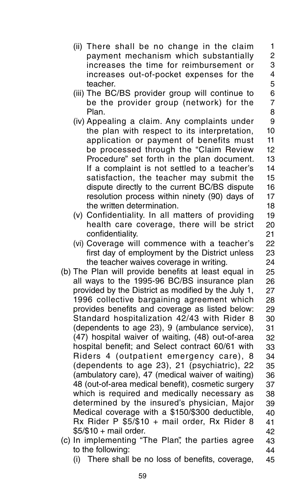(ii) There shall be no change in the claim payment mechanism which substantially increases the time for reimbursement or increases out-of-pocket expenses for the teacher.

- (iii) The BC/BS provider group will continue to be the provider group (network) for the Plan.
- 9 10 11 12 13 14 15 16 17 18 (iv) Appealing a claim. Any complaints under the plan with respect to its interpretation, application or payment of benefits must be processed through the "Claim Review Procedure" set forth in the plan document. If a complaint is not settled to a teacher's satisfaction, the teacher may submit the dispute directly to the current BC/BS dispute resolution process within ninety (90) days of the written determination.
- 19 20 21 (v) Confidentiality. In all matters of providing health care coverage, there will be strict confidentiality.
- (vi) Coverage will commence with a teacher's first day of employment by the District unless the teacher waives coverage in writing.
- 25 26 27 28 29 30 31 32 33 34 35 36 37 38 39 40 41 42 (b) The Plan will provide benefits at least equal in all ways to the 1995-96 BC/BS insurance plan provided by the District as modified by the July 1, 1996 collective bargaining agreement which provides benefits and coverage as listed below: Standard hospitalization 42/43 with Rider 8 (dependents to age 23), 9 (ambulance service), (47) hospital waiver of waiting, (48) out-of-area hospital benefit; and Select contract 60/61 with Riders 4 (outpatient emergency care), 8 (dependents to age 23), 21 (psychiatric), 22 (ambulatory care), 47 (medical waiver of waiting) 48 (out-of-area medical benefit), cosmetic surgery which is required and medically necessary as determined by the insured's physician, Major Medical coverage with a \$150/\$300 deductible, Rx Rider P \$5/\$10 + mail order, Rx Rider 8  $$5/$10 + mail order.$
- 43 44 (c) In implementing "The Plan", the parties agree to the following:
	- 45 (i) There shall be no loss of benefits, coverage,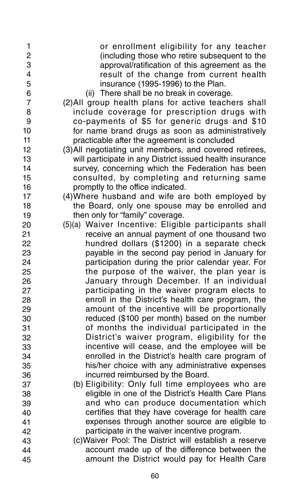- 1  $\overline{2}$ 3 4 5 6 or enrollment eligibility for any teacher (including those who retire subsequent to the approval/ratification of this agreement as the result of the change from current health insurance (1995-1996) to the Plan.
	- (ii) There shall be no break in coverage.

- (2) All group health plans for active teachers shall include coverage for prescription drugs with co-payments of \$5 for generic drugs and \$10 for name brand drugs as soon as administratively practicable after the agreement is concluded
- 12 13 14 15 16 (3)All negotiating unit members, and covered retirees, will participate in any District issued health insurance survey, concerning which the Federation has been consulted, by completing and returning same promptly to the office indicated.
	- (4)Where husband and wife are both employed by the Board, only one spouse may be enrolled and then only for "family" coverage.
- 20 21 22 23 24 25 26 27 28 29 30 31 32 33 34 35 36 (5)(a) Waiver Incentive: Eligible participants shall receive an annual payment of one thousand two hundred dollars (\$1200) in a separate check payable in the second pay period in January for participation during the prior calendar year. For the purpose of the waiver, the plan year is January through December. If an individual participating in the waiver program elects to enroll in the District's health care program, the amount of the incentive will be proportionally reduced (\$100 per month) based on the number of months the individual participated in the District's waiver program, eligibility for the incentive will cease, and the employee will be enrolled in the District's health care program of his/her choice with any administrative expenses incurred reimbursed by the Board.
- 37 38 39 40 41 42 (b) Eligibility: Only full time employees who are eligible in one of the District's Health Care Plans and who can produce documentation which certifies that they have coverage for health care expenses through another source are eligible to participate in the waiver incentive program.
- 43 44 45 (c)Waiver Pool: The District will establish a reserve account made up of the difference between the amount the District would pay for Health Care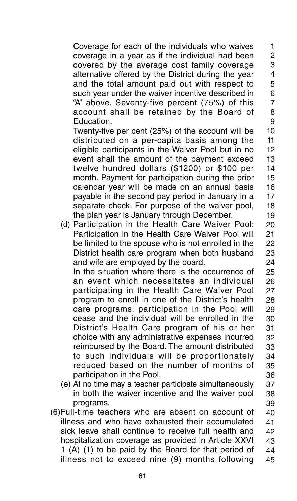1  $\mathfrak{p}$ 3 4 5 6 7 8 9 Coverage for each of the individuals who waives coverage in a year as if the individual had been covered by the average cost family coverage alternative offered by the District during the year and the total amount paid out with respect to such year under the waiver incentive described in "A" above. Seventy-five percent (75%) of this account shall be retained by the Board of Education.

10 11 12 13 14 15 16 17 18 19 Twenty-five per cent (25%) of the account will be distributed on a per-capita basis among the eligible participants in the Waiver Pool but in no event shall the amount of the payment exceed twelve hundred dollars (\$1200) or \$100 per month. Payment for participation during the prior calendar year will be made on an annual basis payable in the second pay period in January in a separate check. For purpose of the waiver pool, the plan year is January through December.

20 21 22 23 24 (d) Participation in the Health Care Waiver Pool: Participation in the Health Care Waiver Pool will be limited to the spouse who is not enrolled in the District health care program when both husband and wife are employed by the board.

25 26 27 28 29 30 31 32 33 34 35 36 In the situation where there is the occurrence of an event which necessitates an individual participating in the Health Care Waiver Pool program to enroll in one of the District's health care programs, participation in the Pool will cease and the individual will be enrolled in the District's Health Care program of his or her choice with any administrative expenses incurred reimbursed by the Board. The amount distributed to such individuals will be proportionately reduced based on the number of months of participation in the Pool.

- 37 38 39 (e) At no time may a teacher participate simultaneously in both the waiver incentive and the waiver pool programs.
- 40 41 42 43 44 45 (6)Full-time teachers who are absent on account of illness and who have exhausted their accumulated sick leave shall continue to receive full health and hospitalization coverage as provided in Article XXVI 1 (A) (1) to be paid by the Board for that period of illness not to exceed nine (9) months following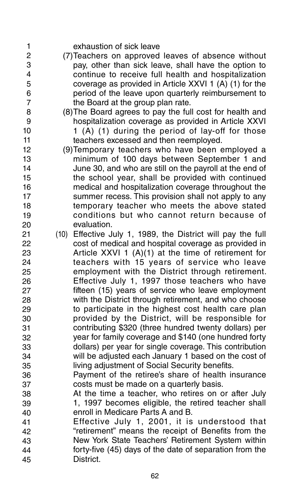1  $\overline{2}$ 3 4 5 6 7 8 9 10 11 12 13 14 15 16 17 18 19 20 21 22 23 24 25 26 27 28 29 30 31 32 33 34 35 36 37 38 39 40 41 42 43 44 45 exhaustion of sick leave (7)Teachers on approved leaves of absence without pay, other than sick leave, shall have the option to continue to receive full health and hospitalization coverage as provided in Article XXVI 1 (A) (1) for the period of the leave upon quarterly reimbursement to the Board at the group plan rate. (8)The Board agrees to pay the full cost for health and hospitalization coverage as provided in Article XXVI 1 (A) (1) during the period of lay-off for those teachers excessed and then reemployed. (9)Temporary teachers who have been employed a minimum of 100 days between September 1 and June 30, and who are still on the payroll at the end of the school year, shall be provided with continued medical and hospitalization coverage throughout the summer recess. This provision shall not apply to any temporary teacher who meets the above stated conditions but who cannot return because of evaluation. (10) Effective July 1, 1989, the District will pay the full cost of medical and hospital coverage as provided in Article XXVI 1 (A)(1) at the time of retirement for teachers with 15 years of service who leave employment with the District through retirement. Effective July 1, 1997 those teachers who have fifteen (15) years of service who leave employment with the District through retirement, and who choose to participate in the highest cost health care plan provided by the District, will be responsible for contributing \$320 (three hundred twenty dollars) per year for family coverage and \$140 (one hundred forty dollars) per year for single coverage. This contribution will be adjusted each January 1 based on the cost of living adjustment of Social Security benefits. Payment of the retiree's share of health insurance costs must be made on a quarterly basis. At the time a teacher, who retires on or after July 1, 1997 becomes eligible, the retired teacher shall enroll in Medicare Parts A and B. Effective July 1, 2001, it is understood that "retirement" means the receipt of Benefits from the New York State Teachers' Retirement System within forty-five (45) days of the date of separation from the **District**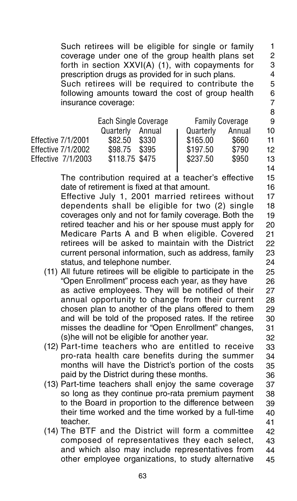Such retirees will be eligible for single or family coverage under one of the group health plans set forth in section XXVI(A) (1), with copayments for prescription drugs as provided for in such plans. Such retirees will be required to contribute the following amounts toward the cost of group health

15 16

insurance coverage:

|                           | Each Single Coverage |        | <b>Family Coverage</b> |        | 9  |  |
|---------------------------|----------------------|--------|------------------------|--------|----|--|
|                           | Quarterly            | Annual | Quarterly              | Annual | 10 |  |
| <b>Effective 7/1/2001</b> | \$82.50              | \$330  | \$165.00               | \$660  | 11 |  |
| Effective 7/1/2002        | \$98.75              | \$395  | \$197.50               | \$790  | 12 |  |
| Effective 7/1/2003        | \$118.75 \$475       |        | \$237.50               | \$950  | 13 |  |
|                           |                      |        |                        |        | 14 |  |

 The contribution required at a teacher's effective date of retirement is fixed at that amount.

17 18 19 20 21 22 23 24 Effective July 1, 2001 married retirees without dependents shall be eligible for two (2) single coverages only and not for family coverage. Both the retired teacher and his or her spouse must apply for Medicare Parts A and B when eligible. Covered retirees will be asked to maintain with the District current personal information, such as address, family status, and telephone number.

- 25 26 27 28 29 30 31 32 (11) All future retirees will be eligible to participate in the "Open Enrollment" process each year, as they have as active employees. They will be notified of their annual opportunity to change from their current chosen plan to another of the plans offered to them and will be told of the proposed rates. If the retiree misses the deadline for "Open Enrollment" changes, (s)he will not be eligible for another year.
- 33 34 35 36 (12) Part-time teachers who are entitled to receive pro-rata health care benefits during the summer months will have the District's portion of the costs paid by the District during these months.
- 37 38 39 40 41 (13) Part-time teachers shall enjoy the same coverage so long as they continue pro-rata premium payment to the Board in proportion to the difference between their time worked and the time worked by a full-time teacher.
- 42 43 44 45 (14) The BTF and the District will form a committee composed of representatives they each select, and which also may include representatives from other employee organizations, to study alternative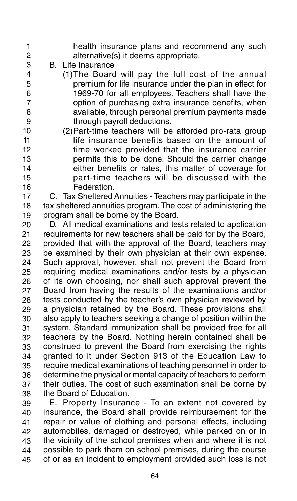- 1  $\overline{2}$  health insurance plans and recommend any such alternative(s) it deems appropriate.
	- B. Life Insurance

3

4 5 6 7 8 9 (1)The Board will pay the full cost of the annual premium for life insurance under the plan in effect for 1969-70 for all employees. Teachers shall have the option of purchasing extra insurance benefits, when available, through personal premium payments made through payroll deductions.

10 11 12 13 14 15 16 (2)Part-time teachers will be afforded pro-rata group life insurance benefits based on the amount of time worked provided that the insurance carrier permits this to be done. Should the carrier change either benefits or rates, this matter of coverage for part-time teachers will be discussed with the Federation.

17 18 19 C. Tax Sheltered Annuities - Teachers may participate in the tax sheltered annuities program. The cost of administering the program shall be borne by the Board.

20 21 22 23 24 25 26 27 28 29 30 31 32 33 34 35 36 37 38 D. All medical examinations and tests related to application requirements for new teachers shall be paid for by the Board, provided that with the approval of the Board, teachers may be examined by their own physician at their own expense. Such approval, however, shall not prevent the Board from requiring medical examinations and/or tests by a physician of its own choosing, nor shall such approval prevent the Board from having the results of the examinations and/or tests conducted by the teacher's own physician reviewed by a physician retained by the Board. These provisions shall also apply to teachers seeking a change of position within the system. Standard immunization shall be provided free for all teachers by the Board. Nothing herein contained shall be construed to prevent the Board from exercising the rights granted to it under Section 913 of the Education Law to require medical examinations of teaching personnel in order to determine the physical or mental capacity of teachers to perform their duties. The cost of such examination shall be borne by the Board of Education.

39 40 41 42 43 44 45 E. Property Insurance - To an extent not covered by insurance, the Board shall provide reimbursement for the repair or value of clothing and personal effects, including automobiles, damaged or destroyed, while parked on or in the vicinity of the school premises when and where it is not possible to park them on school premises, during the course of or as an incident to employment provided such loss is not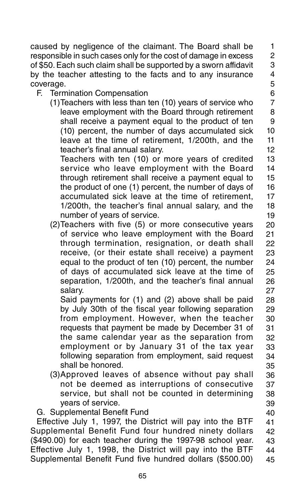caused by negligence of the claimant. The Board shall be responsible in such cases only for the cost of damage in excess of \$50. Each such claim shall be supported by a sworn affidavit by the teacher attesting to the facts and to any insurance coverage.

- F. Termination Compensation
	- 7 8 9 10 11 12 (1)Teachers with less than ten (10) years of service who leave employment with the Board through retirement shall receive a payment equal to the product of ten (10) percent, the number of days accumulated sick leave at the time of retirement, 1/200th, and the teacher's final annual salary.

40

13 14 15 16 17 18 19 Teachers with ten (10) or more years of credited service who leave employment with the Board through retirement shall receive a payment equal to the product of one (1) percent, the number of days of accumulated sick leave at the time of retirement, 1/200th, the teacher's final annual salary, and the number of years of service.

20 21 22 23 24 25 26 27 (2)Teachers with five (5) or more consecutive years of service who leave employment with the Board through termination, resignation, or death shall receive, (or their estate shall receive) a payment equal to the product of ten (10) percent, the number of days of accumulated sick leave at the time of separation, 1/200th, and the teacher's final annual salary.

28 29 30 31 32 33 34 35 Said payments for (1) and (2) above shall be paid by July 30th of the fiscal year following separation from employment. However, when the teacher requests that payment be made by December 31 of the same calendar year as the separation from employment or by January 31 of the tax year following separation from employment, said request shall be honored.

36 37 38 39 (3)Approved leaves of absence without pay shall not be deemed as interruptions of consecutive service, but shall not be counted in determining years of service.

G. Supplemental Benefit Fund

41 42 43 44 45 Effective July 1, 1997, the District will pay into the BTF Supplemental Benefit Fund four hundred ninety dollars (\$490.00) for each teacher during the 1997-98 school year. Effective July 1, 1998, the District will pay into the BTF Supplemental Benefit Fund five hundred dollars (\$500.00)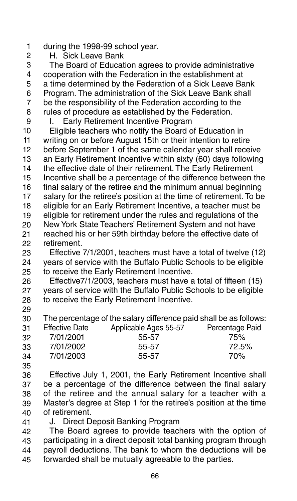- 1 during the 1998-99 school year.
- $\mathfrak{p}$ H. Sick Leave Bank

3 4 5 6 7 8 The Board of Education agrees to provide administrative cooperation with the Federation in the establishment at a time determined by the Federation of a Sick Leave Bank Program. The administration of the Sick Leave Bank shall be the responsibility of the Federation according to the rules of procedure as established by the Federation.

9 I. Early Retirement Incentive Program

10 11 12 13 14 15 16 17 18 19 20 21 22 Eligible teachers who notify the Board of Education in writing on or before August 15th or their intention to retire before September 1 of the same calendar year shall receive an Early Retirement Incentive within sixty  $(60)$  days following the effective date of their retirement. The Early Retirement Incentive shall be a percentage of the difference between the final salary of the retiree and the minimum annual beginning salary for the retiree's position at the time of retirement. To be eligible for an Early Retirement Incentive, a teacher must be eligible for retirement under the rules and regulations of the New York State Teachers' Retirement System and not have reached his or her 59th birthday before the effective date of retirement.

23 24 25 Effective 7/1/2001, teachers must have a total of twelve (12) years of service with the Buffalo Public Schools to be eligible to receive the Early Retirement Incentive.

26 27 28 Effective7/1/2003, teachers must have a total of fifteen (15) years of service with the Buffalo Public Schools to be eligible to receive the Early Retirement Incentive.

29

30 The percentage of the salary difference paid shall be as follows:

| Percentage Paid |
|-----------------|
| 75%             |
| 72.5%           |
| 70%             |
|                 |

35

36 37 38 39 40 Effective July 1, 2001, the Early Retirement Incentive shall be a percentage of the difference between the final salary of the retiree and the annual salary for a teacher with a Master's degree at Step 1 for the retiree's position at the time of retirement.

41 J. Direct Deposit Banking Program

42 43 44 45 The Board agrees to provide teachers with the option of participating in a direct deposit total banking program through payroll deductions. The bank to whom the deductions will be forwarded shall be mutually agreeable to the parties.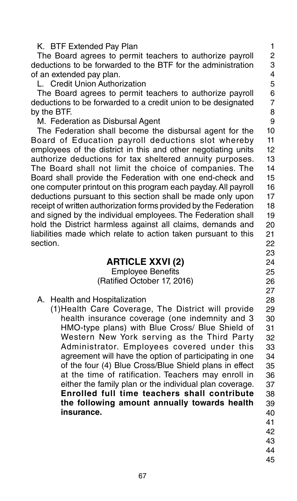K. BTF Extended Pay Plan

The Board agrees to permit teachers to authorize payroll deductions to be forwarded to the BTF for the administration of an extended pay plan.

L. Credit Union Authorization

The Board agrees to permit teachers to authorize payroll deductions to be forwarded to a credit union to be designated by the BTF.

M. Federation as Disbursal Agent

10 11 12 13 14 15 16 17 18 19 20 21 22 The Federation shall become the disbursal agent for the Board of Education payroll deductions slot whereby employees of the district in this and other negotiating units authorize deductions for tax sheltered annuity purposes. The Board shall not limit the choice of companies. The Board shall provide the Federation with one end-check and one computer printout on this program each payday. All payroll deductions pursuant to this section shall be made only upon receipt of written authorization forms provided by the Federation and signed by the individual employees. The Federation shall hold the District harmless against all claims, demands and liabilities made which relate to action taken pursuant to this section.

#### **ARTICLE XXVI (2)**

Employee Benefits (Ratified October 17, 2016)

A. Health and Hospitalization

29 30 31 32 33 34 35 36 37 38 39 (1)Health Care Coverage, The District will provide health insurance coverage (one indemnity and 3 HMO-type plans) with Blue Cross/ Blue Shield of Western New York serving as the Third Party Administrator. Employees covered under this agreement will have the option of participating in one of the four (4) Blue Cross/Blue Shield plans in effect at the time of ratification. Teachers may enroll in either the family plan or the individual plan coverage. **Enrolled full time teachers shall contribute the following amount annually towards health insurance.**

40 41 42

43

44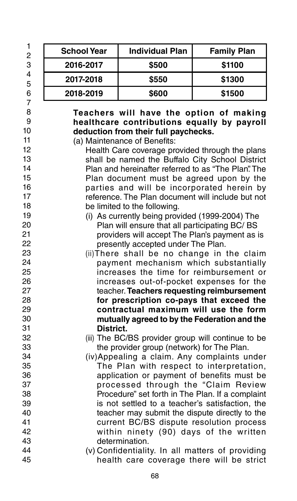| <b>School Year</b> | <b>Individual Plan</b> | <b>Family Plan</b> |
|--------------------|------------------------|--------------------|
| 2016-2017          | \$500                  | \$1100             |
| 2017-2018          | \$550                  | \$1300             |
| 2018-2019          | \$600                  | \$1500             |

 **Teachers will have the option of making healthcare contributions equally by payroll deduction from their full paychecks.**

(a) Maintenance of Benefits:

 Health Care coverage provided through the plans shall be named the Buffalo City School District Plan and hereinafter referred to as "The Plan". The Plan document must be agreed upon by the parties and will be incorporated herein by reference. The Plan document will include but not be limited to the following.

- (i) As currently being provided (1999-2004) The Plan will ensure that all participating BC/ BS providers will accept The Plan's payment as is presently accepted under The Plan.
	- (ii)There shall be no change in the claim payment mechanism which substantially increases the time for reimbursement or increases out-of-pocket expenses for the teacher. **Teachers requesting reimbursement for prescription co-pays that exceed the contractual maximum will use the form mutually agreed to by the Federation and the District.**
		- (iii) The BC/BS provider group will continue to be the provider group (network) for The Plan.
- 34 35 36 37 38 39 40 41 42 43 (iv)Appealing a claim. Any complaints under The Plan with respect to interpretation, application or payment of benefits must be processed through the "Claim Review Procedure" set forth in The Plan. If a complaint is not settled to a teacher's satisfaction, the teacher may submit the dispute directly to the current BC/BS dispute resolution process within ninety (90) days of the written determination.
- 44 45 (v) Confidentiality. In all matters of providing health care coverage there will be strict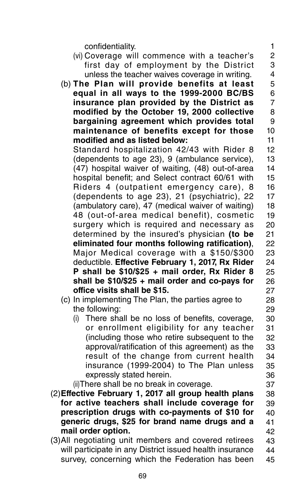| confidentiality.                                      | 1              |
|-------------------------------------------------------|----------------|
| (vi) Coverage will commence with a teacher's          | 2              |
| first day of employment by the District               | 3              |
| unless the teacher waives coverage in writing.        | 4              |
| (b) The Plan will provide benefits at least           | 5              |
| equal in all ways to the 1999-2000 BC/BS              | 6              |
| insurance plan provided by the District as            | $\overline{7}$ |
| modified by the October 19, 2000 collective           | 8              |
| bargaining agreement which provides total             | 9              |
| maintenance of benefits except for those              | 10             |
| modified and as listed below:                         | 11             |
| Standard hospitalization 42/43 with Rider 8           | 12             |
| (dependents to age 23), 9 (ambulance service),        | 13             |
| (47) hospital waiver of waiting, (48) out-of-area     | 14             |
| hospital benefit; and Select contract 60/61 with      | 15             |
| Riders 4 (outpatient emergency care), 8               | 16             |
| (dependents to age 23), 21 (psychiatric), 22          | 17             |
| (ambulatory care), 47 (medical waiver of waiting)     | 18             |
| 48 (out-of-area medical benefit), cosmetic            | 19             |
| surgery which is required and necessary as            | 20             |
| determined by the insured's physician (to be          | 21             |
| eliminated four months following ratification),       | 22             |
| Major Medical coverage with a \$150/\$300             | 23             |
| deductible. Effective February 1, 2017, Rx Rider      | 24             |
| P shall be \$10/\$25 + mail order, Rx Rider 8         | 25             |
| shall be $$10/$25 + mail order$ and co-pays for       | 26             |
| office visits shall be \$15.                          | 27             |
| (c) In implementing The Plan, the parties agree to    | 28             |
| the following:                                        | 29             |
| There shall be no loss of benefits, coverage,<br>(i)  | 30             |
| or enrollment eligibility for any teacher             | 31             |
| (including those who retire subsequent to the         | 32             |
| approval/ratification of this agreement) as the       | 33             |
| result of the change from current health              | 34             |
| insurance (1999-2004) to The Plan unless              | 35             |
| expressly stated herein.                              | 36             |
| (ii) There shall be no break in coverage.             | 37             |
| (2) Effective February 1, 2017 all group health plans | 38             |

- 39 40 41 42 (2)**Effective February 1, 2017 all group health plans for active teachers shall include coverage for prescription drugs with co-payments of \$10 for generic drugs, \$25 for brand name drugs and a mail order option.**
- 43 44 45 (3)All negotiating unit members and covered retirees will participate in any District issued health insurance survey, concerning which the Federation has been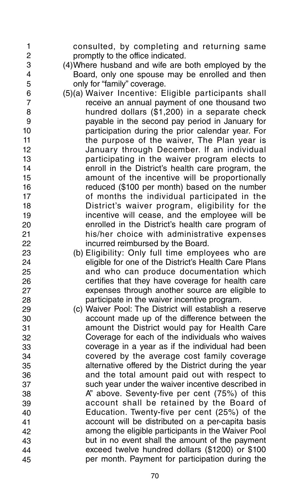consulted, by completing and returning same promptly to the office indicated.

3 4 5 (4)Where husband and wife are both employed by the Board, only one spouse may be enrolled and then only for "family" coverage.

1  $\mathfrak{p}$ 

- 6 7 8 9 10 11 12 13 14 15 16 17 18 19 20 21 22 (5)(a) Waiver Incentive: Eligible participants shall receive an annual payment of one thousand two hundred dollars (\$1,200) in a separate check payable in the second pay period in January for participation during the prior calendar year. For the purpose of the waiver, The Plan year is January through December. lf an individual participating in the waiver program elects to enroll in the District's health care program, the amount of the incentive will be proportionally reduced (\$100 per month) based on the number of months the individual participated in the District's waiver program, eligibility for the incentive will cease, and the employee will be enrolled in the District's health care program of his/her choice with administrative expenses incurred reimbursed by the Board.
	- (b) Eligibility: Only full time employees who are eligible for one of the District's Health Care Plans and who can produce documentation which certifies that they have coverage for health care expenses through another source are eligible to participate in the waiver incentive program.
- 29 30 31 32 33 34 35 36 37 38 39 40 41 42 43 44 45 (c) Waiver Pool: The District will establish a reserve account made up of the difference between the amount the District would pay for Health Care Coverage for each of the individuals who waives coverage in a year as if the individual had been covered by the average cost family coverage alternative offered by the District during the year and the total amount paid out with respect to such year under the waiver incentive described in A" above. Seventy-five per cent (75%) of this account shall be retained by the Board of Education. Twenty-five per cent (25%) of the account will be distributed on a per-capita basis among the eligible participants in the Waiver Pool but in no event shall the amount of the payment exceed twelve hundred dollars (\$1200) or \$100 per month. Payment for participation during the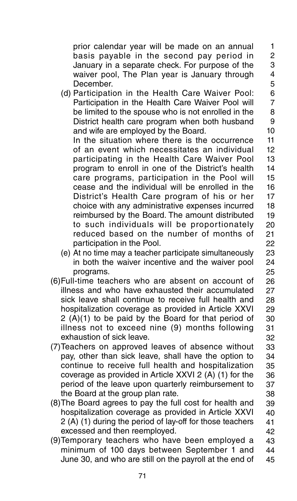1  $\mathfrak{p}$ 3 4 5 prior calendar year will be made on an annual basis payable in the second pay period in January in a separate check. For purpose of the waiver pool, The Plan year is January through December.

6 7 8 9 10 (d) Participation in the Health Care Waiver Pool: Participation in the Health Care Waiver Pool will be limited to the spouse who is not enrolled in the District health care program when both husband and wife are employed by the Board.

11 12 13 14 15 16 17 18 19 20 21 22 In the situation where there is the occurrence of an event which necessitates an individual participating in the Health Care Waiver Pool program to enroll in one of the District's health care programs, participation in the Pool will cease and the individual will be enrolled in the District's Health Care program of his or her choice with any administrative expenses incurred reimbursed by the Board. The amount distributed to such individuals will be proportionately reduced based on the number of months of participation in the Pool.

- (e) At no time may a teacher participate simultaneously in both the waiver incentive and the waiver pool programs.
- 26 27 28 29 30 31 32 (6)Full-time teachers who are absent on account of illness and who have exhausted their accumulated sick leave shall continue to receive full health and hospitalization coverage as provided in Article XXVI 2 (A)(1) to be paid by the Board for that period of illness not to exceed nine (9) months following exhaustion of sick leave.
- 33 34 35 36 37 38 (7)Teachers on approved leaves of absence without pay, other than sick leave, shall have the option to continue to receive full health and hospitalization coverage as provided in Article XXVI 2 (A) (1) for the period of the leave upon quarterly reimbursement to the Board at the group plan rate.
- 39 40 41 42 (8)The Board agrees to pay the full cost for health and hospitalization coverage as provided in Article XXVI 2 (A) (1) during the period of lay-off for those teachers excessed and then reemployed.
- 43 44 45 (9)Temporary teachers who have been employed a minimum of 100 days between September 1 and June 30, and who are still on the payroll at the end of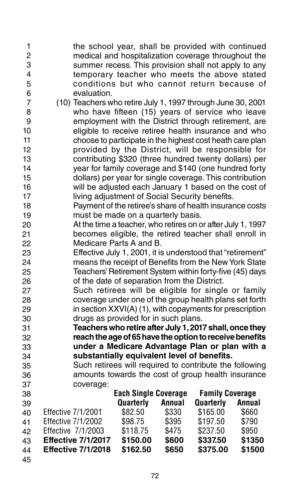1  $\overline{2}$ 3 4 5 6 the school year, shall be provided with continued medical and hospitalization coverage throughout the summer recess. This provision shall not apply to any temporary teacher who meets the above stated conditions but who cannot return because of evaluation.

- 7 8 9 10 11 12 13 14 15 16 17 (10) Teachers who retire July 1, 1997 through June 30, 2001 who have fifteen (15) years of service who leave employment with the District through retirement, are eligible to receive retiree health insurance and who choose to participate in the highest cost heath care plan provided by the District, will be responsible for contributing \$320 (three hundred twenty dollars) per year for family coverage and \$140 (one hundred forty dollars) per year for single coverage. This contribution will be adjusted each January 1 based on the cost of living adjustment of Social Security benefits.
- 18 19 Payment of the retiree's share of health insurance costs must be made on a quarterly basis.
- 20 21 22 At the time a teacher, who retires on or after July 1, 1997 becomes eligible, the retired teacher shall enroll in Medicare Parts A and B.
- 23 24 25 26 Effective July 1, 2001, it is understood that "retirement" means the receipt of Benefits from the New York State Teachers' Retirement System within forty-five (45) days of the date of separation from the District.
- 27 28 29 30 Such retirees will be eligible for single or family coverage under one of the group health plans set forth in section XXVI(A) (1), with copayments for prescription drugs as provided for in such plans.
- 31 32 33 34 **Teachers who retire after July 1, 2017 shall, once they reach the age of 65 have the option to receive benefits under a Medicare Advantage Plan or plan with a substantially equivalent level of benefits.**
- 35 36 37 Such retirees will required to contribute the following amounts towards the cost of group health insurance coverage:

| 38 |                           | <b>Each Single Coverage</b> |        | <b>Family Coverage</b> |        |
|----|---------------------------|-----------------------------|--------|------------------------|--------|
| 39 |                           | Quarterly                   | Annual | Quarterly              | Annual |
| 40 | Effective 7/1/2001        | \$82.50                     | \$330  | \$165.00               | \$660  |
| 41 | Effective 7/1/2002        | \$98.75                     | \$395  | \$197.50               | \$790  |
| 42 | Effective 7/1/2003        | \$118.75                    | \$475  | \$237.50               | \$950  |
| 43 | <b>Effective 7/1/2017</b> | \$150.00                    | \$600  | \$337.50               | \$1350 |
| 44 | <b>Effective 7/1/2018</b> | \$162.50                    | \$650  | \$375.00               | \$1500 |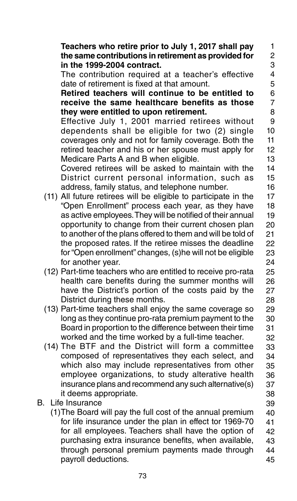**Teachers who retire prior to July 1, 2017 shall pay the same contributions in retirement as provided for in the 1999-2004 contract.**

39

The contribution required at a teacher's effective date of retirement is fixed at that amount.

 **Retired teachers will continue to be entitled to receive the same healthcare benefits as those they were entitled to upon retirement.**

10 11 12 13 Effective July 1, 2001 married retirees without dependents shall be eligible for two (2) single coverages only and not for family coverage. Both the retired teacher and his or her spouse must apply for Medicare Parts A and B when eligible.

14 15 16 Covered retirees will be asked to maintain with the District current personal information, such as address, family status, and telephone number.

- 17 18 19 20 21 22 23 24 (11) All future retirees will be eligible to participate in the "Open Enrollment" process each year, as they have as active employees. They will be notified of their annual opportunity to change from their current chosen plan to another of the plans offered to them and will be told of the proposed rates. lf the retiree misses the deadline for "Open enrollment" changes, (s)he will not be eligible for another year.
- 25 26 27 28 (12) Part-time teachers who are entitled to receive pro-rata health care benefits during the summer months will have the District's portion of the costs paid by the District during these months.
- 29 30 31 32 (13) Part-time teachers shall enjoy the same coverage so long as they continue pro-rata premium payment to the Board in proportion to the difference between their time worked and the time worked by a full-time teacher.
- 33 34 35 36 37 38 (14) The BTF and the District will form a committee composed of representatives they each select, and which also may include representatives from other employee organizations, to study alterative health insurance plans and recommend any such alternative(s) it deems appropriate.
- B. Life Insurance
	- 40 41 42 43 44 45 (1)The Board will pay the full cost of the annual premium for life insurance under the plan in effect tor 1969-70 for all employees. Teachers shall have the option of purchasing extra insurance benefits, when available, through personal premium payments made through payroll deductions.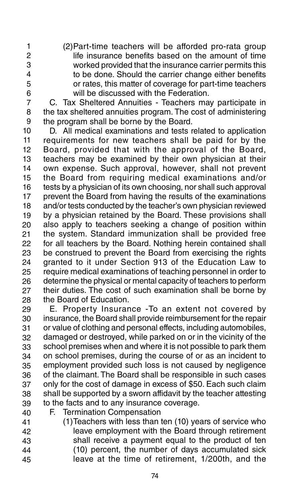1 2 3 4 5 6 (2)Part-time teachers will be afforded pro-rata group life insurance benefits based on the amount of time worked provided that the insurance carrier permits this to be done. Should the carrier change either benefits or rates, this matter of coverage for part-time teachers will be discussed with the Federation

7 8 9 C. Tax Sheltered Annuities - Teachers may participate in the tax sheltered annuities program. The cost of administering the program shall be borne by the Board.

10 11 12 13 14 15 16 17 18 19 20 21 22 23 24 25 26 27 28 D. All medical examinations and tests related to application requirements for new teachers shall be paid for by the Board, provided that with the approval of the Board, teachers may be examined by their own physician at their own expense. Such approval, however, shall not prevent the Board from requiring medical examinations and/or tests by a physician of its own choosing, nor shall such approval prevent the Board from having the results of the examinations and/or tests conducted by the teacher's own physician reviewed by a physician retained by the Board. These provisions shall also apply to teachers seeking a change of position within the system. Standard immunization shall be provided free for all teachers by the Board. Nothing herein contained shall be construed to prevent the Board from exercising the rights granted to it under Section 913 of the Education Law to require medical examinations of teaching personnel in order to determine the physical or mental capacity of teachers to perform their duties. The cost of such examination shall be borne by the Board of Education.

29 30 31 32 33 34 35 36 37 38 39 E. Property Insurance -To an extent not covered by insurance, the Board shall provide reimbursement for the repair or value of clothing and personal effects, including automobiles, damaged or destroyed, while parked on or in the vicinity of the school premises when and where it is not possible to park them on school premises, during the course of or as an incident to employment provided such loss is not caused by negligence of the claimant. The Board shall be responsible in such cases only for the cost of damage in excess of \$50. Each such claim shall be supported by a sworn affidavit by the teacher attesting to the facts and to any insurance coverage.

- 40 F. Termination Compensation
- 41 42 43 44 45 (1)Teachers with less than ten (10) years of service who leave employment with the Board through retirement shall receive a payment equal to the product of ten (10) percent, the number of days accumulated sick leave at the time of retirement, 1/200th, and the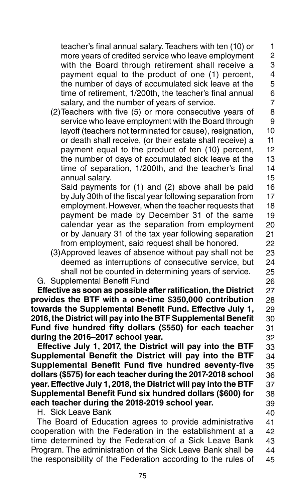1  $\mathfrak{p}$ 3 4 5 6 7 teacher's final annual salary. Teachers with ten (10) or more years of credited service who leave employment with the Board through retirement shall receive a payment equal to the product of one (1) percent, the number of days of accumulated sick leave at the time of retirement, 1/200th, the teacher's final annual salary, and the number of years of service.

8 9 10 11 12 13 14 15 (2)Teachers with five (5) or more consecutive years of service who leave employment with the Board through layoff (teachers not terminated for cause), resignation, or death shall receive, (or their estate shall receive) a payment equal to the product of ten (10) percent, the number of days of accumulated sick leave at the time of separation, 1/200th, and the teacher's final annual salary.

16 17 18 19 20 21 22 Said payments for (1) and (2) above shall be paid by July 30th of the fiscal year following separation from employment. However, when the teacher requests that payment be made by December 31 of the same calendar year as the separation from employment or by January 31 of the tax year following separation from employment, said request shall be honored.

> 40

(3)Approved leaves of absence without pay shall not be deemed as interruptions of consecutive service, but shall not be counted in determining years of service.

G. Supplemental Benefit Fund

27 28 29 30 31 32 **Effective as soon as possible after ratification, the District provides the BTF with a one-time \$350,000 contribution towards the Supplemental Benefit Fund. Effective July 1, 2016, the District will pay into the BTF Supplemental Benefit Fund five hundred fifty dollars (\$550) for each teacher during the 2016–2017 school year.** 

33 34 35 36 37 38 39 **Effective July 1, 2017, the District will pay into the BTF Supplemental Benefit the District will pay into the BTF Supplemental Benefit Fund five hundred seventy-five dollars (\$575) for each teacher during the 2017-2018 school year. Effective July 1, 2018, the District will pay into the BTF Supplemental Benefit Fund six hundred dollars (\$600) for each teacher during the 2018-2019 school year.**

H. Sick Leave Bank

41 42 43 44 45 The Board of Education agrees to provide administrative cooperation with the Federation in the establishment at a time determined by the Federation of a Sick Leave Bank Program. The administration of the Sick Leave Bank shall be the responsibility of the Federation according to the rules of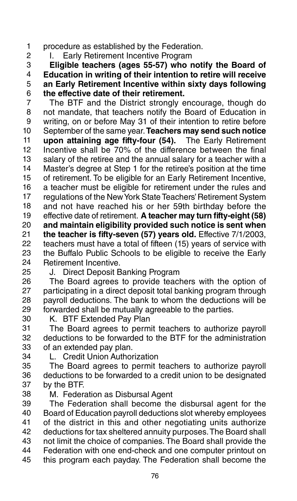1 procedure as established by the Federation.

 $\mathfrak{p}$ I. Early Retirement Incentive Program

3 4 5 6 **Eligible teachers (ages 55-57) who notify the Board of Education in writing of their intention to retire will receive an Early Retirement Incentive within sixty days following the effective date of their retirement.**

7 8 9 10 11 12 13 14 15 16 17 18 19 20 21 22 23 24 The BTF and the District strongly encourage, though do not mandate, that teachers notify the Board of Education in writing, on or before May 31 of their intention to retire before September of the same year. **Teachers may send such notice upon attaining age fifty-four (54).** The Early Retirement Incentive shall be 70% of the difference between the final salary of the retiree and the annual salary for a teacher with a Master's degree at Step 1 for the retiree's position at the time of retirement. To be eligible for an Early Retirement Incentive, a teacher must be eligible for retirement under the rules and regulations of the New York State Teachers' Retirement System and not have reached his or her 59th birthday before the effective date of retirement. **A teacher may turn fifty-eight (58) and maintain eligibility provided such notice is sent when the teacher is fifty-seven (57) years old.** Effective 7/1/2003, teachers must have a total of fifteen (15) years of service with the Buffalo Public Schools to be eligible to receive the Early Retirement Incentive.

- 25
	- J. Direct Deposit Banking Program

26 27 28 29 The Board agrees to provide teachers with the option of participating in a direct deposit total banking program through payroll deductions. The bank to whom the deductions will be forwarded shall be mutually agreeable to the parties.

30 K. BTF Extended Pav Plan

31 32 33 The Board agrees to permit teachers to authorize payroll deductions to be forwarded to the BTF for the administration of an extended pay plan.

34 L. Credit Union Authorization

35 36 37 The Board agrees to permit teachers to authorize payroll deductions to be forwarded to a credit union to be designated by the BTF.

38 M. Federation as Disbursal Agent

39 40 41 42 43 44 45 The Federation shall become the disbursal agent for the Board of Education payroll deductions slot whereby employees of the district in this and other negotiating units authorize deductions for tax sheltered annuity purposes. The Board shall not limit the choice of companies. The Board shall provide the Federation with one end-check and one computer printout on this program each payday. The Federation shall become the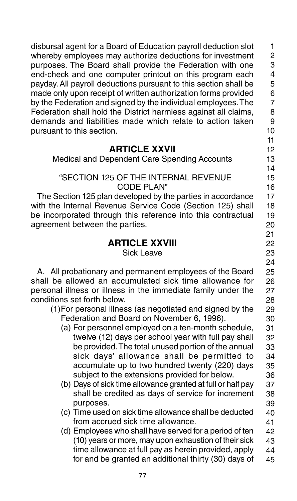1  $\mathfrak{p}$ 3 4 5 6 7 8 9 10 11 disbursal agent for a Board of Education payroll deduction slot whereby employees may authorize deductions for investment purposes. The Board shall provide the Federation with one end-check and one computer printout on this program each payday. All payroll deductions pursuant to this section shall be made only upon receipt of written authorization forms provided by the Federation and signed by the individual employees. The Federation shall hold the District harmless against all claims, demands and liabilities made which relate to action taken pursuant to this section.

#### **ARTICLE XXVII**

Medical and Dependent Care Spending Accounts

#### "SECTION 125 OF THE INTERNAL REVENUE CODE PLAN"

The Section 125 plan developed by the parties in accordance with the Internal Revenue Service Code (Section 125) shall be incorporated through this reference into this contractual agreement between the parties.

#### **ARTICLE XXVIII**

Sick Leave

A. All probationary and permanent employees of the Board shall be allowed an accumulated sick time allowance for personal illness or illness in the immediate family under the conditions set forth below.

(1)For personal illness (as negotiated and signed by the Federation and Board on November 6, 1996).

- 31 32 33 34 35 36 (a) For personnel employed on a ten-month schedule, twelve (12) days per school year with full pay shall be provided. The total unused portion of the annual sick days' allowance shall be permitted to accumulate up to two hundred twenty (220) days subject to the extensions provided for below.
- 37 38 39 (b) Days of sick time allowance granted at full or half pay shall be credited as days of service for increment purposes.
- 40 41 (c) Time used on sick time allowance shall be deducted from accrued sick time allowance.
- 42 43 44 45 (d) Employees who shall have served for a period of ten (10) years or more, may upon exhaustion of their sick time allowance at full pay as herein provided, apply for and be granted an additional thirty (30) days of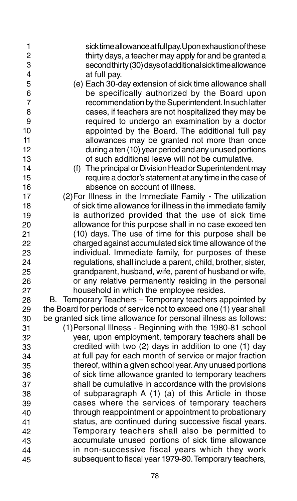| 5<br>6<br>7<br>recommendation by the Superintendent. In such latter<br>cases, if teachers are not hospitalized they may be<br>8<br>required to undergo an examination by a doctor<br>9<br>appointed by the Board. The additional full pay<br>10<br>allowances may be granted not more than once<br>11<br>during a ten (10) year period and any unused portions<br>12<br>of such additional leave will not be cumulative.<br>13<br>(f) The principal or Division Head or Superintendent may<br>14<br>require a doctor's statement at any time in the case of<br>15<br>absence on account of illness.<br>16<br>(2) For Illness in the Immediate Family - The utilization<br>17<br>of sick time allowance for illness in the immediate family<br>18 | 1<br>2<br>3<br>4 | sick time allowance at full pay. Upon exhaustion of these<br>thirty days, a teacher may apply for and be granted a<br>second thirty (30) days of additional sick time allowance<br>at full pay. |
|--------------------------------------------------------------------------------------------------------------------------------------------------------------------------------------------------------------------------------------------------------------------------------------------------------------------------------------------------------------------------------------------------------------------------------------------------------------------------------------------------------------------------------------------------------------------------------------------------------------------------------------------------------------------------------------------------------------------------------------------------|------------------|-------------------------------------------------------------------------------------------------------------------------------------------------------------------------------------------------|
|                                                                                                                                                                                                                                                                                                                                                                                                                                                                                                                                                                                                                                                                                                                                                  |                  | (e) Each 30-day extension of sick time allowance shall                                                                                                                                          |
|                                                                                                                                                                                                                                                                                                                                                                                                                                                                                                                                                                                                                                                                                                                                                  |                  | be specifically authorized by the Board upon                                                                                                                                                    |
|                                                                                                                                                                                                                                                                                                                                                                                                                                                                                                                                                                                                                                                                                                                                                  |                  |                                                                                                                                                                                                 |
|                                                                                                                                                                                                                                                                                                                                                                                                                                                                                                                                                                                                                                                                                                                                                  |                  |                                                                                                                                                                                                 |
|                                                                                                                                                                                                                                                                                                                                                                                                                                                                                                                                                                                                                                                                                                                                                  |                  |                                                                                                                                                                                                 |
|                                                                                                                                                                                                                                                                                                                                                                                                                                                                                                                                                                                                                                                                                                                                                  |                  |                                                                                                                                                                                                 |
|                                                                                                                                                                                                                                                                                                                                                                                                                                                                                                                                                                                                                                                                                                                                                  |                  |                                                                                                                                                                                                 |
|                                                                                                                                                                                                                                                                                                                                                                                                                                                                                                                                                                                                                                                                                                                                                  |                  |                                                                                                                                                                                                 |
|                                                                                                                                                                                                                                                                                                                                                                                                                                                                                                                                                                                                                                                                                                                                                  |                  |                                                                                                                                                                                                 |
|                                                                                                                                                                                                                                                                                                                                                                                                                                                                                                                                                                                                                                                                                                                                                  |                  |                                                                                                                                                                                                 |
|                                                                                                                                                                                                                                                                                                                                                                                                                                                                                                                                                                                                                                                                                                                                                  |                  |                                                                                                                                                                                                 |
|                                                                                                                                                                                                                                                                                                                                                                                                                                                                                                                                                                                                                                                                                                                                                  |                  |                                                                                                                                                                                                 |
|                                                                                                                                                                                                                                                                                                                                                                                                                                                                                                                                                                                                                                                                                                                                                  |                  |                                                                                                                                                                                                 |
|                                                                                                                                                                                                                                                                                                                                                                                                                                                                                                                                                                                                                                                                                                                                                  |                  |                                                                                                                                                                                                 |
| 19                                                                                                                                                                                                                                                                                                                                                                                                                                                                                                                                                                                                                                                                                                                                               |                  | is authorized provided that the use of sick time                                                                                                                                                |
| 20                                                                                                                                                                                                                                                                                                                                                                                                                                                                                                                                                                                                                                                                                                                                               |                  | allowance for this purpose shall in no case exceed ten                                                                                                                                          |
| 21                                                                                                                                                                                                                                                                                                                                                                                                                                                                                                                                                                                                                                                                                                                                               |                  | (10) days. The use of time for this purpose shall be                                                                                                                                            |
| 22                                                                                                                                                                                                                                                                                                                                                                                                                                                                                                                                                                                                                                                                                                                                               |                  | charged against accumulated sick time allowance of the                                                                                                                                          |
| 23                                                                                                                                                                                                                                                                                                                                                                                                                                                                                                                                                                                                                                                                                                                                               |                  | individual. Immediate family, for purposes of these                                                                                                                                             |
| 24                                                                                                                                                                                                                                                                                                                                                                                                                                                                                                                                                                                                                                                                                                                                               |                  | regulations, shall include a parent, child, brother, sister,                                                                                                                                    |
| 25                                                                                                                                                                                                                                                                                                                                                                                                                                                                                                                                                                                                                                                                                                                                               |                  | grandparent, husband, wife, parent of husband or wife,                                                                                                                                          |
| 26                                                                                                                                                                                                                                                                                                                                                                                                                                                                                                                                                                                                                                                                                                                                               |                  | or any relative permanently residing in the personal                                                                                                                                            |
| household in which the employee resides.<br>27                                                                                                                                                                                                                                                                                                                                                                                                                                                                                                                                                                                                                                                                                                   |                  |                                                                                                                                                                                                 |
| 28                                                                                                                                                                                                                                                                                                                                                                                                                                                                                                                                                                                                                                                                                                                                               |                  | B. Temporary Teachers - Temporary teachers appointed by                                                                                                                                         |
| 29                                                                                                                                                                                                                                                                                                                                                                                                                                                                                                                                                                                                                                                                                                                                               |                  | the Board for periods of service not to exceed one (1) year shall                                                                                                                               |
| 30                                                                                                                                                                                                                                                                                                                                                                                                                                                                                                                                                                                                                                                                                                                                               |                  | be granted sick time allowance for personal illness as follows:<br>(1) Personal Illness - Beginning with the 1980-81 school                                                                     |
| 31<br>32                                                                                                                                                                                                                                                                                                                                                                                                                                                                                                                                                                                                                                                                                                                                         |                  | year, upon employment, temporary teachers shall be                                                                                                                                              |
| 33                                                                                                                                                                                                                                                                                                                                                                                                                                                                                                                                                                                                                                                                                                                                               |                  | credited with two (2) days in addition to one (1) day                                                                                                                                           |
| 34                                                                                                                                                                                                                                                                                                                                                                                                                                                                                                                                                                                                                                                                                                                                               |                  | at full pay for each month of service or major fraction                                                                                                                                         |
| 35                                                                                                                                                                                                                                                                                                                                                                                                                                                                                                                                                                                                                                                                                                                                               |                  | thereof, within a given school year. Any unused portions                                                                                                                                        |
| 36                                                                                                                                                                                                                                                                                                                                                                                                                                                                                                                                                                                                                                                                                                                                               |                  | of sick time allowance granted to temporary teachers                                                                                                                                            |
| 37                                                                                                                                                                                                                                                                                                                                                                                                                                                                                                                                                                                                                                                                                                                                               |                  | shall be cumulative in accordance with the provisions                                                                                                                                           |
| 38                                                                                                                                                                                                                                                                                                                                                                                                                                                                                                                                                                                                                                                                                                                                               |                  | of subparagraph A (1) (a) of this Article in those                                                                                                                                              |
| 39                                                                                                                                                                                                                                                                                                                                                                                                                                                                                                                                                                                                                                                                                                                                               |                  | cases where the services of temporary teachers                                                                                                                                                  |
| 40                                                                                                                                                                                                                                                                                                                                                                                                                                                                                                                                                                                                                                                                                                                                               |                  | through reappointment or appointment to probationary                                                                                                                                            |
| 41                                                                                                                                                                                                                                                                                                                                                                                                                                                                                                                                                                                                                                                                                                                                               |                  | status, are continued during successive fiscal years.                                                                                                                                           |
| 42                                                                                                                                                                                                                                                                                                                                                                                                                                                                                                                                                                                                                                                                                                                                               |                  | Temporary teachers shall also be permitted to                                                                                                                                                   |
| 43                                                                                                                                                                                                                                                                                                                                                                                                                                                                                                                                                                                                                                                                                                                                               |                  | accumulate unused portions of sick time allowance                                                                                                                                               |
| 44                                                                                                                                                                                                                                                                                                                                                                                                                                                                                                                                                                                                                                                                                                                                               |                  | in non-successive fiscal years which they work                                                                                                                                                  |
| 45                                                                                                                                                                                                                                                                                                                                                                                                                                                                                                                                                                                                                                                                                                                                               |                  | subsequent to fiscal year 1979-80. Temporary teachers,                                                                                                                                          |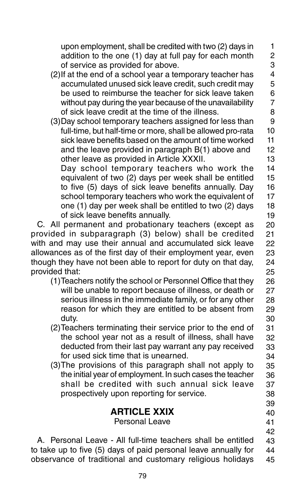1  $\mathfrak{p}$ 3 upon employment, shall be credited with two (2) days in addition to the one (1) day at full pay for each month of service as provided for above.

- 4 5 6 7 8 (2)If at the end of a school year a temporary teacher has accumulated unused sick leave credit, such credit may be used to reimburse the teacher for sick leave taken without pay during the year because of the unavailability of sick leave credit at the time of the illness.
- 9 10 11 12 13 14 15 16 17 18 19 (3)Day school temporary teachers assigned for less than full-time, but half-time or more, shall be allowed pro-rata sick leave benefits based on the amount of time worked and the leave provided in paragraph B(1) above and other leave as provided in Article XXXII. Day school temporary teachers who work the equivalent of two (2) days per week shall be entitled to five (5) days of sick leave benefits annually. Day school temporary teachers who work the equivalent of one (1) day per week shall be entitled to two (2) days of sick leave benefits annually.

20 21 22 23 24 25 C. All permanent and probationary teachers (except as provided in subparagraph (3) below) shall be credited with and may use their annual and accumulated sick leave allowances as of the first day of their employment year, even though they have not been able to report for duty on that day, provided that:

- 26 27 28 29 30 (1)Teachers notify the school or Personnel Office that they will be unable to report because of illness, or death or serious illness in the immediate family, or for any other reason for which they are entitled to be absent from duty.
- 31 32 33 34 (2)Teachers terminating their service prior to the end of the school year not as a result of illness, shall have deducted from their last pay warrant any pay received for used sick time that is unearned.
- 35 36 37 38 (3)The provisions of this paragraph shall not apply to the initial year of employment. In such cases the teacher shall be credited with such annual sick leave prospectively upon reporting for service.

#### **ARTICLE XXIX**

Personal Leave

43 44 45 A. Personal Leave - All full-time teachers shall be entitled to take up to five (5) days of paid personal leave annually for observance of traditional and customary religious holidays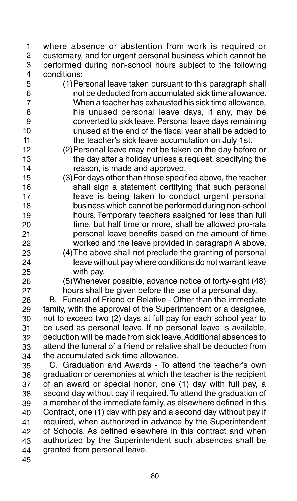1 2 3 4 where absence or abstention from work is required or customary, and for urgent personal business which cannot be performed during non-school hours subject to the following conditions:

- 5 6 7 8 9 10 11 (1)Personal leave taken pursuant to this paragraph shall not be deducted from accumulated sick time allowance. When a teacher has exhausted his sick time allowance, his unused personal leave days, if any, may be converted to sick leave. Personal leave days remaining unused at the end of the fiscal year shall be added to the teacher's sick leave accumulation on July 1st.
- 12 13 14 (2)Personal leave may not be taken on the day before or the day after a holiday unless a request, specifying the reason, is made and approved.
- 15 16 17 18 19 20 21 22 (3)For days other than those specified above, the teacher shall sign a statement certifying that such personal leave is being taken to conduct urgent personal business which cannot be performed during non-school hours. Temporary teachers assigned for less than full time, but half time or more, shall be allowed pro-rata personal leave benefits based on the amount of time worked and the leave provided in paragraph A above.
- 23 24 25 (4)The above shall not preclude the granting of personal leave without pay where conditions do not warrant leave with pay.
- 26 27 (5)Whenever possible, advance notice of forty-eight (48) hours shall be given before the use of a personal day.

28 29 30 31 32 33 34 B. Funeral of Friend or Relative - Other than the immediate family, with the approval of the Superintendent or a designee. not to exceed two (2) days at full pay for each school year to be used as personal leave. If no personal leave is available, deduction will be made from sick leave. Additional absences to attend the funeral of a friend or relative shall be deducted from the accumulated sick time allowance.

35 36 37 38 39 40 41 42 43 44 C. Graduation and Awards - To attend the teacher's own graduation or ceremonies at which the teacher is the recipient of an award or special honor, one (1) day with full pay, a second day without pay if required. To attend the graduation of a member of the immediate family, as elsewhere defined in this Contract, one (1) day with pay and a second day without pay if required, when authorized in advance by the Superintendent of Schools. As defined elsewhere in this contract and when authorized by the Superintendent such absences shall be granted from personal leave.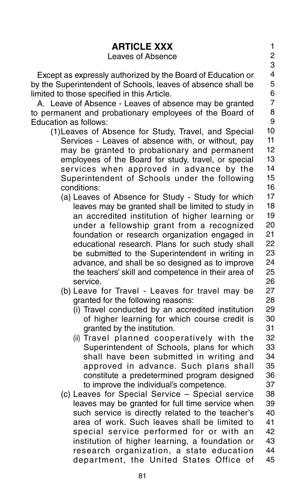#### **ARTICLE XXX**

28

#### Leaves of Absence

Except as expressly authorized by the Board of Education or by the Superintendent of Schools, leaves of absence shall be limited to those specified in this Article.

A. Leave of Absence - Leaves of absence may be granted to permanent and probationary employees of the Board of Education as follows:

- 10 11 12 13 14 15 16 (1)Leaves of Absence for Study, Travel, and Special Services - Leaves of absence with, or without, pay may be granted to probationary and permanent employees of the Board for study, travel, or special services when approved in advance by the Superintendent of Schools under the following conditions:
	- 17 18 19 20 21 22 23 24 25 26 27 (a) Leaves of Absence for Study - Study for which leaves may be granted shall be limited to study in an accredited institution of higher learning or under a fellowship grant from a recognized foundation or research organization engaged in educational research. Plans for such study shall be submitted to the Superintendent in writing in advance, and shall be so designed as to improve the teachers' skill and competence in their area of service.
	- (b) Leave for Travel Leaves for travel may be granted for the following reasons:
		- 29 30 31 (i) Travel conducted by an accredited institution of higher learning for which course credit is granted by the institution.
		- 32 33 34 35 36 37 (ii) Travel planned cooperatively with the Superintendent of Schools, plans for which shall have been submitted in writing and approved in advance. Such plans shall constitute a predetermined program designed to improve the individual's competence.
	- 38 39 40 41 42 43 44 45 (c) Leaves for Special Service – Special service leaves may be granted for full time service when such service is directly related to the teacher's area of work. Such leaves shall be limited to special service performed for or with an institution of higher learning, a foundation or research organization, a state education department, the United States Office of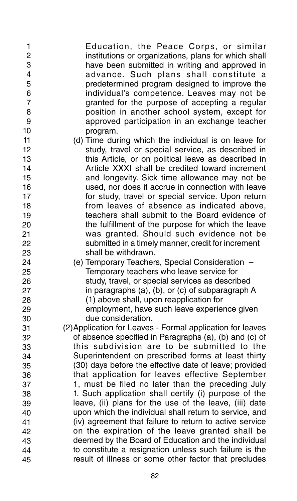1  $\overline{2}$ 3 4 5 6 7 8 9 10 Education, the Peace Corps, or similar institutions or organizations, plans for which shall have been submitted in writing and approved in advance. Such plans shall constitute a predetermined program designed to improve the individual's competence. Leaves may not be granted for the purpose of accepting a regular position in another school system, except for approved participation in an exchange teacher program.

- 11 12 13 14 15 16 17 18 19 20 21 22 23 (d) Time during which the individual is on leave for study, travel or special service, as described in this Article, or on political leave as described in Article XXXI shall be credited toward increment and longevity. Sick time allowance may not be used, nor does it accrue in connection with leave for study, travel or special service. Upon return from leaves of absence as indicated above, teachers shall submit to the Board evidence of the fulfillment of the purpose for which the leave was granted. Should such evidence not be submitted in a timely manner, credit for increment shall be withdrawn.
	- (e) Temporary Teachers, Special Consideration Temporary teachers who leave service for study, travel, or special services as described in paragraphs (a), (b), or (c) of subparagraph A (1) above shall, upon reapplication for employment, have such leave experience given due consideration.

31 32 33 34 35 36 37 38 39 40 41 42 43 44 45 (2)Application for Leaves - Formal application for leaves of absence specified in Paragraphs (a), (b) and (c) of this subdivision are to be submitted to the Superintendent on prescribed forms at least thirty (30) days before the effective date of leave; provided that application for leaves effective September 1, must be filed no later than the preceding July 1. Such application shall certify (i) purpose of the leave, (ii) plans for the use of the leave, (iii) date upon which the individual shall return to service, and (iv) agreement that failure to return to active service on the expiration of the leave granted shall be deemed by the Board of Education and the individual to constitute a resignation unless such failure is the result of illness or some other factor that precludes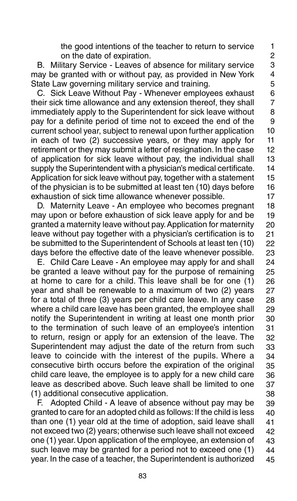the good intentions of the teacher to return to service on the date of expiration.

B. Military Service - Leaves of absence for military service may be granted with or without pay, as provided in New York State Law governing military service and training.

6 7 8 9 10 11 12 13 14 15 16 17 C. Sick Leave Without Pay - Whenever employees exhaust their sick time allowance and any extension thereof, they shall immediately apply to the Superintendent for sick leave without pay for a definite period of time not to exceed the end of the current school year, subject to renewal upon further application in each of two (2) successive years, or they may apply for retirement or they may submit a letter of resignation. In the case of application for sick leave without pay, the individual shall supply the Superintendent with a physician's medical certificate. Application for sick leave without pay, together with a statement of the physician is to be submitted at least ten (10) days before exhaustion of sick time allowance whenever possible.

18 19 20 21 22 23 D. Maternity Leave - An employee who becomes pregnant may upon or before exhaustion of sick leave apply for and be granted a maternity leave without pay. Application for maternity leave without pay together with a physician's certification is to be submitted to the Superintendent of Schools at least ten (10) days before the effective date of the leave whenever possible.

24 25 26 27 28 29 30 31 32 33 34 35 36 37 38 E. Child Care Leave - An employee may apply for and shall be granted a leave without pay for the purpose of remaining at home to care for a child. This leave shall be for one (1) year and shall be renewable to a maximum of two (2) years for a total of three (3) years per child care leave. In any case where a child care leave has been granted, the employee shall notify the Superintendent in writing at least one month prior to the termination of such leave of an employee's intention to return, resign or apply for an extension of the leave. The Superintendent may adjust the date of the return from such leave to coincide with the interest of the pupils. Where a consecutive birth occurs before the expiration of the original child care leave, the employee is to apply for a new child care leave as described above. Such leave shall be limited to one (1) additional consecutive application.

39 40 41 42 43 44 45 F. Adopted Child - A leave of absence without pay may be granted to care for an adopted child as follows: If the child is less than one (1) year old at the time of adoption, said leave shall not exceed two (2) years; otherwise such leave shall not exceed one (1) year. Upon application of the employee, an extension of such leave may be granted for a period not to exceed one (1) year. In the case of a teacher, the Superintendent is authorized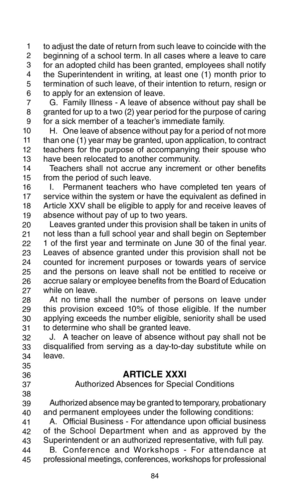1 2 3 4 5 6 to adjust the date of return from such leave to coincide with the beginning of a school term. ln all cases where a leave to care for an adopted child has been granted, employees shall notify the Superintendent in writing, at least one (1) month prior to termination of such leave, of their intention to return, resign or to apply for an extension of leave.

7 8 9 G. Family Illness - A leave of absence without pay shall be granted for up to a two (2) year period for the purpose of caring for a sick member of a teacher's immediate family.

10 11 12 13 H. One leave of absence without pay for a period of not more than one (1) year may be granted, upon application, to contract teachers for the purpose of accompanying their spouse who have been relocated to another community.

14 15 Teachers shall not accrue any increment or other benefits from the period of such leave.

16 17 18 19 I. Permanent teachers who have completed ten years of service within the system or have the equivalent as defined in Article XXV shall be eligible to apply for and receive leaves of absence without pay of up to two years.

20 21 22 23 24 25 26 27 Leaves granted under this provision shall be taken in units of not less than a full school year and shall begin on September 1 of the first year and terminate on June 30 of the final year. Leaves of absence granted under this provision shall not be counted for increment purposes or towards years of service and the persons on leave shall not be entitled to receive or accrue salary or employee benefits from the Board of Education while on leave.

28 29 30 31 At no time shall the number of persons on leave under this provision exceed 10% of those eligible. If the number applying exceeds the number eligible, seniority shall be used to determine who shall be granted leave.

32 33 34 J. A teacher on leave of absence without pay shall not be disqualified from serving as a day-to-day substitute while on leave.

#### **ARTICLE XXXI**

Authorized Absences for Special Conditions

39 40 Authorized absence may be granted to temporary, probationary and permanent employees under the following conditions:

41 42 43 A. Official Business - For attendance upon official business of the School Department when and as approved by the Superintendent or an authorized representative, with full pay.

44 45 B. Conference and Workshops - For attendance at professional meetings, conferences, workshops for professional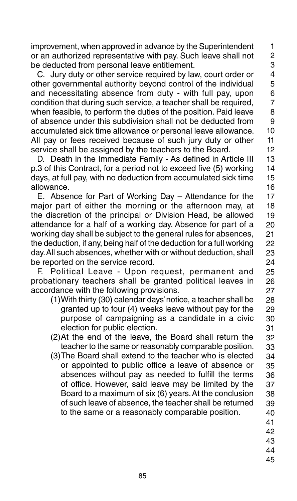1 2 3 improvement, when approved in advance by the Superintendent or an authorized representative with pay. Such leave shall not be deducted from personal leave entitlement.

4 5 6 7 8 9 10 11 12 C. Jury duty or other service required by law, court order or other governmental authority beyond control of the individual and necessitating absence from duty - with full pay, upon condition that during such service, a teacher shall be required, when feasible, to perform the duties of the position. Paid leave of absence under this subdivision shall not be deducted from accumulated sick time allowance or personal leave allowance. All pay or fees received because of such jury duty or other service shall be assigned by the teachers to the Board.

13 14 15 16 D. Death in the Immediate Family - As defined in Article III p.3 of this Contract, for a period not to exceed five (5) working days, at full pay, with no deduction from accumulated sick time allowance.

17 18 19 20 21 22 23 24 E. Absence for Part of Working Day – Attendance for the major part of either the morning or the afternoon may, at the discretion of the principal or Division Head, be allowed attendance for a half of a working day. Absence for part of a working day shall be subject to the general rules for absences, the deduction, if any, being half of the deduction for a full working day. All such absences, whether with or without deduction, shall be reported on the service record.

25 26 27 F. Political Leave - Upon request, permanent and probationary teachers shall be granted political leaves in accordance with the following provisions.

- 28 29 30 31 (1)With thirty (30) calendar days' notice, a teacher shall be granted up to four (4) weeks leave without pay for the purpose of campaigning as a candidate in a civic election for public election.
- 32 33 (2)At the end of the leave, the Board shall return the teacher to the same or reasonably comparable position.
- 34 35 36 37 38 39 40 (3)The Board shall extend to the teacher who is elected or appointed to public office a leave of absence or absences without pay as needed to fulfill the terms of office. However, said leave may be limited by the Board to a maximum of six (6) years. At the conclusion of such leave of absence, the teacher shall be returned to the same or a reasonably comparable position.
	- 41 42 43
	- 44
	- 45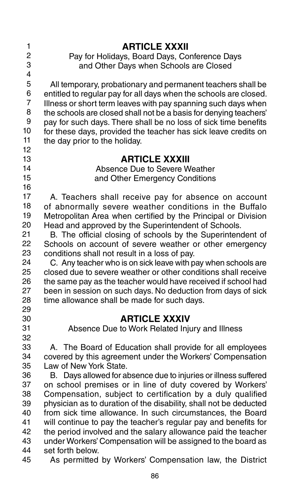| 1              | <b>ARTICLE XXXII</b>                                              |
|----------------|-------------------------------------------------------------------|
| $\overline{2}$ | Pay for Holidays, Board Days, Conference Days                     |
| 3              | and Other Days when Schools are Closed                            |
| 4              |                                                                   |
| 5              | All temporary, probationary and permanent teachers shall be       |
| 6              | entitled to regular pay for all days when the schools are closed. |
| $\overline{7}$ | Illness or short term leaves with pay spanning such days when     |
| 8              | the schools are closed shall not be a basis for denying teachers' |
| 9              | pay for such days. There shall be no loss of sick time benefits   |
| 10             | for these days, provided the teacher has sick leave credits on    |
| 11             | the day prior to the holiday.                                     |
| 12             |                                                                   |
| 13             | <b>ARTICLE XXXIII</b>                                             |
| 14             | Absence Due to Severe Weather                                     |
| 15             | and Other Emergency Conditions                                    |
| 16             |                                                                   |
| 17             | A. Teachers shall receive pay for absence on account              |
| 18             | of abnormally severe weather conditions in the Buffalo            |
| 19             | Metropolitan Area when certified by the Principal or Division     |
| 20             | Head and approved by the Superintendent of Schools.               |
| 21             | B. The official closing of schools by the Superintendent of       |
| 22             | Schools on account of severe weather or other emergency           |
| 23             | conditions shall not result in a loss of pay.                     |
| 24             | C. Any teacher who is on sick leave with pay when schools are     |
| 25             | closed due to severe weather or other conditions shall receive    |
| 26             | the same pay as the teacher would have received if school had     |
| 27             | been in session on such days. No deduction from days of sick      |
| 28             | time allowance shall be made for such days.                       |
| 29             |                                                                   |
| 30<br>31       | <b>ARTICLE XXXIV</b>                                              |
| 32             | Absence Due to Work Related Injury and Illness                    |
| 33             | A. The Board of Education shall provide for all employees         |
| 34             | covered by this agreement under the Workers' Compensation         |
| 35             | Law of New York State.                                            |
| 36             | B. Days allowed for absence due to injuries or illness suffered   |
| 37             | on school premises or in line of duty covered by Workers'         |
| 38             | Compensation, subject to certification by a duly qualified        |
| 39             | physician as to duration of the disability, shall not be deducted |
| 40             | from sick time allowance. In such circumstances, the Board        |
| 41             | will continue to pay the teacher's regular pay and benefits for   |
| 42             | the period involved and the salary allowance paid the teacher     |
| 43             | under Workers' Compensation will be assigned to the board as      |
| 44             | set forth below.                                                  |
| 45             | As permitted by Workers' Compensation law, the District           |
|                |                                                                   |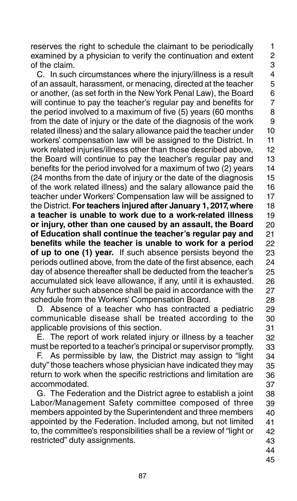reserves the right to schedule the claimant to be periodically examined by a physician to verify the continuation and extent of the claim.

4 5 6 7 8 9 10 11 12 13 14 15 16 17 18 19 20 21 22 23 24 25 26 27 28 C. In such circumstances where the injury/illness is a result of an assault, harassment, or menacing, directed at the teacher or another, (as set forth in the New York Penal Law), the Board will continue to pay the teacher's regular pay and benefits for the period involved to a maximum of five (5) years (60 months from the date of injury or the date of the diagnosis of the work related illness) and the salary allowance paid the teacher under workers' compensation law will be assigned to the District. In work related injuries/illness other than those described above, the Board will continue to pay the teacher's regular pay and benefits for the period involved for a maximum of two (2) years (24 months from the date of injury or the date of the diagnosis of the work related illness) and the salary allowance paid the teacher under Workers' Compensation law will be assigned to the District. **For teachers injured after January 1, 2017, where a teacher is unable to work due to a work-related illness or injury, other than one caused by an assault, the Board of Education shall continue the teacher's regular pay and benefits while the teacher is unable to work for a period of up to one (1) year.** If such absence persists beyond the periods outlined above, from the date of the first absence, each day of absence thereafter shall be deducted from the teacher's accumulated sick leave allowance, if any, until it is exhausted. Any further such absence shall be paid in accordance with the schedule from the Workers' Compensation Board.

29 30 31 D. Absence of a teacher who has contracted a pediatric communicable disease shall be treated according to the applicable provisions of this section.

E. The report of work related injury or illness by a teacher must be reported to a teacher's principal or supervisor promptly.

34 35 36 37 F. As permissible by law, the District may assign to "light duty" those teachers whose physician have indicated they may return to work when the specific restrictions and limitation are accommodated.

38 39 40 41 42 43 G. The Federation and the District agree to establish a joint Labor/Management Safety committee composed of three members appointed by the Superintendent and three members appointed by the Federation. Included among, but not limited to, the committee's responsibilities shall be a review of "light or restricted" duty assignments.

44

32 33

1  $\mathfrak{p}$ 3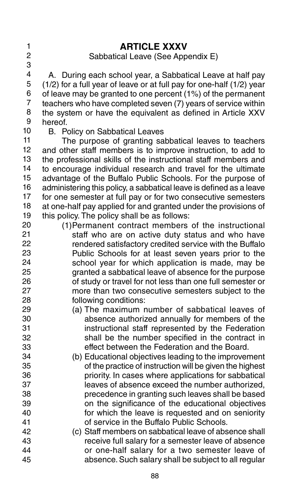| 1<br>$\overline{2}$           | <b>ARTICLE XXXV</b><br>Sabbatical Leave (See Appendix E)                                                                                                                                                                                                             |
|-------------------------------|----------------------------------------------------------------------------------------------------------------------------------------------------------------------------------------------------------------------------------------------------------------------|
| 3                             |                                                                                                                                                                                                                                                                      |
| 4<br>5<br>6<br>$\overline{7}$ | A. During each school year, a Sabbatical Leave at half pay<br>(1/2) for a full year of leave or at full pay for one-half (1/2) year<br>of leave may be granted to one percent (1%) of the permanent<br>teachers who have completed seven (7) years of service within |
| 8                             | the system or have the equivalent as defined in Article XXV                                                                                                                                                                                                          |
| 9                             | hereof.                                                                                                                                                                                                                                                              |
| 10                            | B. Policy on Sabbatical Leaves                                                                                                                                                                                                                                       |
| 11                            | The purpose of granting sabbatical leaves to teachers                                                                                                                                                                                                                |
| 12                            | and other staff members is to improve instruction, to add to                                                                                                                                                                                                         |
| 13                            | the professional skills of the instructional staff members and                                                                                                                                                                                                       |
| 14                            | to encourage individual research and travel for the ultimate                                                                                                                                                                                                         |
| 15<br>16                      | advantage of the Buffalo Public Schools. For the purpose of                                                                                                                                                                                                          |
| 17                            | administering this policy, a sabbatical leave is defined as a leave                                                                                                                                                                                                  |
| 18                            | for one semester at full pay or for two consecutive semesters                                                                                                                                                                                                        |
| 19                            | at one-half pay applied for and granted under the provisions of<br>this policy. The policy shall be as follows:                                                                                                                                                      |
| 20                            | (1) Permanent contract members of the instructional                                                                                                                                                                                                                  |
| 21                            | staff who are on active duty status and who have                                                                                                                                                                                                                     |
| 22                            | rendered satisfactory credited service with the Buffalo                                                                                                                                                                                                              |
| 23                            | Public Schools for at least seven years prior to the                                                                                                                                                                                                                 |
| 24                            | school year for which application is made, may be                                                                                                                                                                                                                    |
| 25                            | granted a sabbatical leave of absence for the purpose                                                                                                                                                                                                                |
| 26                            | of study or travel for not less than one full semester or                                                                                                                                                                                                            |
| 27                            | more than two consecutive semesters subject to the                                                                                                                                                                                                                   |
| 28                            | following conditions:                                                                                                                                                                                                                                                |
| 29                            | (a) The maximum number of sabbatical leaves of                                                                                                                                                                                                                       |
| 30                            | absence authorized annually for members of the                                                                                                                                                                                                                       |
| 31                            | instructional staff represented by the Federation                                                                                                                                                                                                                    |
| 32                            | shall be the number specified in the contract in                                                                                                                                                                                                                     |
| 33                            | effect between the Federation and the Board.                                                                                                                                                                                                                         |
| 34                            | (b) Educational objectives leading to the improvement                                                                                                                                                                                                                |
| 35                            | of the practice of instruction will be given the highest                                                                                                                                                                                                             |
| 36                            | priority. In cases where applications for sabbatical                                                                                                                                                                                                                 |
| 37                            | leaves of absence exceed the number authorized.                                                                                                                                                                                                                      |
| 38                            | precedence in granting such leaves shall be based                                                                                                                                                                                                                    |
| 39                            | on the significance of the educational objectives                                                                                                                                                                                                                    |
| 40                            | for which the leave is requested and on seniority                                                                                                                                                                                                                    |
| 41                            | of service in the Buffalo Public Schools.                                                                                                                                                                                                                            |
| 42                            | (c) Staff members on sabbatical leave of absence shall                                                                                                                                                                                                               |
| 43                            | receive full salary for a semester leave of absence                                                                                                                                                                                                                  |
| 44                            | or one-half salary for a two semester leave of                                                                                                                                                                                                                       |
| 45                            | absence. Such salary shall be subject to all regular                                                                                                                                                                                                                 |
|                               |                                                                                                                                                                                                                                                                      |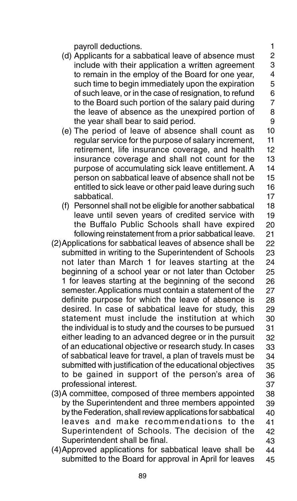payroll deductions.

 $\mathfrak{p}$ 3 4 5 6 7 8 9 (d) Applicants for a sabbatical leave of absence must include with their application a written agreement to remain in the employ of the Board for one year, such time to begin immediately upon the expiration of such leave, or in the case of resignation, to refund to the Board such portion of the salary paid during the leave of absence as the unexpired portion of the year shall bear to said period.

- 10 11 12 13 14 15 16 17 (e) The period of leave of absence shall count as regular service for the purpose of salary increment, retirement, life insurance coverage, and health insurance coverage and shall not count for the purpose of accumulating sick leave entitlement. A person on sabbatical leave of absence shall not be entitled to sick leave or other paid leave during such sabbatical.
- 18 19 20 21 (f) Personnel shall not be eligible for another sabbatical leave until seven years of credited service with the Buffalo Public Schools shall have expired following reinstatement from a prior sabbatical leave.
- 22 23 24 25 26 27 28 29 30 31 32 33 34 35 36 37 (2)Applications for sabbatical leaves of absence shall be submitted in writing to the Superintendent of Schools not later than March 1 for leaves starting at the beginning of a school year or not later than October 1 for leaves starting at the beginning of the second semester. Applications must contain a statement of the definite purpose for which the leave of absence is desired. In case of sabbatical leave for study, this statement must include the institution at which the individual is to study and the courses to be pursued either leading to an advanced degree or in the pursuit of an educational objective or research study. In cases of sabbatical leave for travel, a plan of travels must be submitted with justification of the educational objectives to be gained in support of the person's area of professional interest.
- 38 39 40 41 42 43 (3)A committee, composed of three members appointed by the Superintendent and three members appointed by the Federation, shall review applications for sabbatical leaves and make recommendations to the Superintendent of Schools. The decision of the Superintendent shall be final.
- 44 45 (4)Approved applications for sabbatical leave shall be submitted to the Board for approval in April for leaves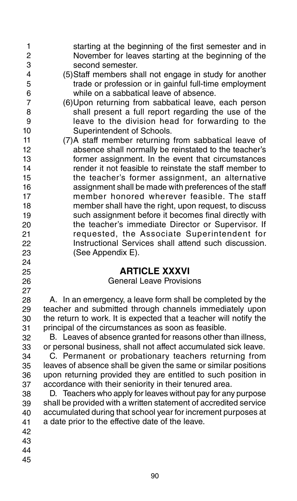1  $\overline{2}$ 3 4 5 6 7 8 9 10 11 12 13 14 15 16 17 18 19 20 21 22 23 24 25 26 27 28 29 30 31 32 33 34 35 36 37 38 39 40 41 42 43 44 starting at the beginning of the first semester and in November for leaves starting at the beginning of the second semester. (5)Staff members shall not engage in study for another trade or profession or in gainful full-time employment while on a sabbatical leave of absence. (6)Upon returning from sabbatical leave, each person shall present a full report regarding the use of the leave to the division head for forwarding to the Superintendent of Schools. (7)A staff member returning from sabbatical leave of absence shall normally be reinstated to the teacher's former assignment. In the event that circumstances render it not feasible to reinstate the staff member to the teacher's former assignment, an alternative assignment shall be made with preferences of the staff member honored wherever feasible. The staff member shall have the right, upon request, to discuss such assignment before it becomes final directly with the teacher's immediate Director or Supervisor. If requested, the Associate Superintendent for Instructional Services shall attend such discussion. (See Appendix E). **ARTICLE XXXVI** General Leave Provisions A. In an emergency, a leave form shall be completed by the teacher and submitted through channels immediately upon the return to work. It is expected that a teacher will notify the principal of the circumstances as soon as feasible. B. Leaves of absence granted for reasons other than illness, or personal business, shall not affect accumulated sick leave. C. Permanent or probationary teachers returning from leaves of absence shall be given the same or similar positions upon returning provided they are entitled to such position in accordance with their seniority in their tenured area. D. Teachers who apply for leaves without pay for any purpose shall be provided with a written statement of accredited service accumulated during that school year for increment purposes at a date prior to the effective date of the leave.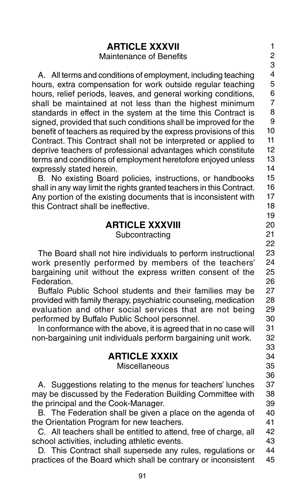#### **ARTICLE XXXVII**

1  $\mathfrak{p}$ 3

#### Maintenance of Benefits

4 5 6 7 8 9 10 11 12 13 14 15 A. All terms and conditions of employment, including teaching hours, extra compensation for work outside regular teaching hours, relief periods, leaves, and general working conditions, shall be maintained at not less than the highest minimum standards in effect in the system at the time this Contract is signed, provided that such conditions shall be improved for the benefit of teachers as required by the express provisions of this Contract. This Contract shall not be interpreted or applied to deprive teachers of professional advantages which constitute terms and conditions of employment heretofore enjoyed unless expressly stated herein.

B. No existing Board policies, instructions, or handbooks shall in any way limit the rights granted teachers in this Contract. Any portion of the existing documents that is inconsistent with this Contract shall be ineffective.

#### **ARTICLE XXXVIII**

Subcontracting

The Board shall not hire individuals to perform instructional work presently performed by members of the teachers' bargaining unit without the express written consent of the Federation.

27 28 29 30 Buffalo Public School students and their families may be provided with family therapy, psychiatric counseling, medication evaluation and other social services that are not being performed by Buffalo Public School personnel.

In conformance with the above, it is agreed that in no case will non-bargaining unit individuals perform bargaining unit work.

#### **ARTICLE XXXIX**

**Miscellaneous** 

37 38 39 A. Suggestions relating to the menus for teachers' lunches may be discussed by the Federation Building Committee with the principal and the Cook-Manager.

40 41 B. The Federation shall be given a place on the agenda of the Orientation Program for new teachers.

42 43 C. All teachers shall be entitled to attend, free of charge, all school activities, including athletic events.

44 45 D. This Contract shall supersede any rules, regulations or practices of the Board which shall be contrary or inconsistent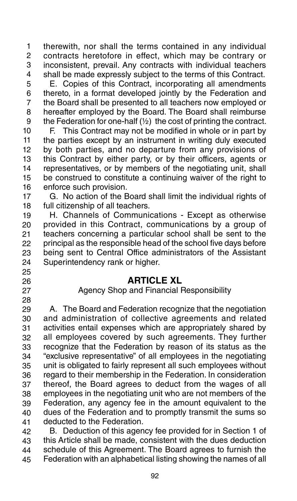1 2 3 4 therewith, nor shall the terms contained in any individual contracts heretofore in effect, which may be contrary or inconsistent, prevail. Any contracts with individual teachers shall be made expressly subject to the terms of this Contract.

5 6 7 8 9 E. Copies of this Contract, incorporating all amendments thereto, in a format developed jointly by the Federation and the Board shall be presented to all teachers now employed or hereafter employed by the Board. The Board shall reimburse the Federation for one-half (½) the cost of printing the contract.

10 11 12 13 14 15 16 F. This Contract may not be modified in whole or in part by the parties except by an instrument in writing duly executed by both parties, and no departure from any provisions of this Contract by either party, or by their officers, agents or representatives, or by members of the negotiating unit, shall be construed to constitute a continuing waiver of the right to enforce such provision.

17 18 G. No action of the Board shall limit the individual rights of full citizenship of all teachers.

19 20 21 22 23 24 H. Channels of Communications - Except as otherwise provided in this Contract, communications by a group of teachers concerning a particular school shall be sent to the principal as the responsible head of the school five days before being sent to Central Office administrators of the Assistant Superintendency rank or higher.

#### **ARTICLE XL**

Agency Shop and Financial Responsibility

29 30 31 32 33 34 35 36 37 38 39 40 41 A. The Board and Federation recognize that the negotiation and administration of collective agreements and related activities entail expenses which are appropriately shared by all employees covered by such agreements. They further recognize that the Federation by reason of its status as the "exclusive representative" of all employees in the negotiating unit is obligated to fairly represent all such employees without regard to their membership in the Federation. In consideration thereof, the Board agrees to deduct from the wages of all employees in the negotiating unit who are not members of the Federation, any agency fee in the amount equivalent to the dues of the Federation and to promptly transmit the sums so deducted to the Federation.

42 43 44 45 B. Deduction of this agency fee provided for in Section 1 of this Article shall be made, consistent with the dues deduction schedule of this Agreement. The Board agrees to furnish the Federation with an alphabetical listing showing the names of all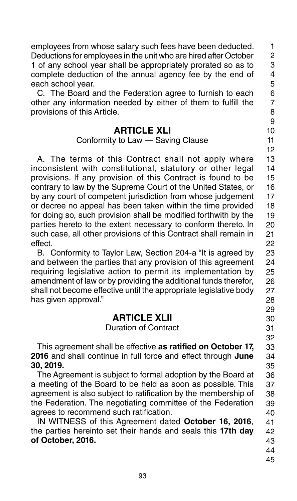employees from whose salary such fees have been deducted. Deductions for employees in the unit who are hired after October 1 of any school year shall be appropriately prorated so as to complete deduction of the annual agency fee by the end of each school year.

C. The Board and the Federation agree to furnish to each other any information needed by either of them to fulfill the provisions of this Article.

#### **ARTICLE XLI**

Conformity to Law — Saving Clause

13 14 15 16 17 18 19 20 21 22 A. The terms of this Contract shall not apply where inconsistent with constitutional, statutory or other legal provisions. lf any provision of this Contract is found to be contrary to law by the Supreme Court of the United States, or by any court of competent jurisdiction from whose judgement or decree no appeal has been taken within the time provided for doing so, such provision shall be modified forthwith by the parties hereto to the extent necessary to conform thereto. ln such case, all other provisions of this Contract shall remain in effect.

B. Conformity to Taylor Law, Section 204-a "It is agreed by and between the parties that any provision of this agreement requiring legislative action to permit its implementation by amendment of law or by providing the additional funds therefor, shall not become effective until the appropriate legislative body has given approval."

#### **ARTICLE XLII**

#### Duration of Contract

This agreement shall be effective **as ratified on October 17, 2016** and shall continue in full force and effect through **June 30, 2019.**

36 37 38 39 40 The Agreement is subject to formal adoption by the Board at a meeting of the Board to be held as soon as possible. This agreement is also subject to ratification by the membership of the Federation. The negotiating committee of the Federation agrees to recommend such ratification.

IN WITNESS of this Agreement dated **October 16, 2016**, the parties hereinto set their hands and seals this **17th day of October, 2016.**

42 43 44

41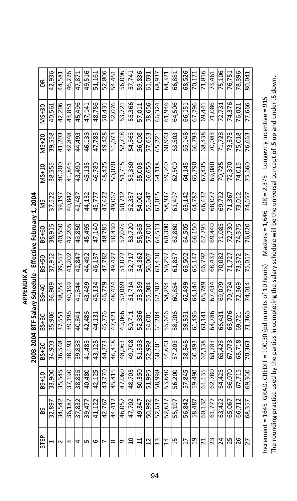| ď      |  |
|--------|--|
|        |  |
|        |  |
| 2<br>E |  |
| ۱      |  |
|        |  |
|        |  |
|        |  |
|        |  |
|        |  |
|        |  |
| Ľ      |  |
|        |  |
| Ę      |  |
|        |  |
|        |  |
|        |  |
|        |  |
|        |  |
|        |  |

| l        |
|----------|
| l        |
|          |
|          |
|          |
|          |
|          |
|          |
|          |
|          |
| ׇ֠       |
|          |
| ı        |
| ֠<br>ׇ֠  |
| í        |
|          |
|          |
| ֠        |
|          |
|          |
|          |
|          |
| l        |
|          |
|          |
|          |
|          |
|          |
|          |
|          |
|          |
| ׇ֠<br>ׇ֠ |
|          |
| ׇ֠       |
| ׇ֠       |
| ׇ֠       |
|          |
|          |

| ã           | 42,936 | 44,581 | 46,226 | 47,871 | 49,516 | 51,161 | 52,806 | 54,451   | 56,096 | 57,741         | 59,836 | 61,031 | 68,937       | 64,321         | 66,881 | 68,526          | 70,171 | 71,816         | 73,461 | 75,106 | 76,751 | 78,396 | 80,041 |
|-------------|--------|--------|--------|--------|--------|--------|--------|----------|--------|----------------|--------|--------|--------------|----------------|--------|-----------------|--------|----------------|--------|--------|--------|--------|--------|
| $M5+30$     | 40,561 | 42,206 | 43,851 | 45,496 | 47,141 | 48,786 | 50,431 | 52,076   | 53,721 | 55,366         | 57,011 | 58,656 | 66,324       | 61,946         | 64,506 | 66,151          | 67,796 | 69,441         | 71,086 | 72,731 | 74,376 | 76,021 | 77,666 |
| $MS+20$     | 39,558 | 41,203 | 42,848 | 44,493 | 46,138 | 47,783 | 49,428 | 51,073   | 52,718 | 54,363         | 56,008 | 57,653 | 65,221       | 60,943         | 63,503 | 65,148          | 66,793 | 68,438         | 70,083 | 71,728 | 73,373 | 75,018 | 76,663 |
| MS+10       | 38,555 | 40,200 | 41,845 | 43,490 | 45,135 | 46,780 | 48,425 | 50,070   | 51,715 | 53,360         | 55,005 | 56,650 | 64,118       | 59,940         | 62,500 | 64,145          | 65,790 | 67,435         | 69,080 | 70,725 | 72,370 | 74,015 | 75,660 |
| ŠM          | 37,522 | 39,197 | 40,842 | 42,487 | 44,132 | 45,777 | 47,422 | 49,067   | 50,712 | 52,357         | 54,002 | 55,647 | 63,015       | 58,937         | 61,497 | 63,142          | 64,787 | 66,432         | 68,077 | 69,722 | 71,367 | 73,012 | 74,657 |
| 35+60       | 38,915 | 40,560 | 42,205 | 43,850 | 45,495 | 47,140 | 48,785 | 50,430   | 52,075 | 53,720         | 55,365 | 57,010 | 64,513       | 60,300         | 62,860 | 64,505          | 66,150 | 67,795         | 69,440 | 71,085 | 72,730 | 74,375 | 76,020 |
| BS+50       | 37,912 | 39,557 | 41,202 | 42,847 | 44,492 | 46,137 | 47,782 | 49,427   | 51,072 | 52,717         | 54,362 | 56,007 | 63,410       | 59,297         | 61,857 | 63,502          | 65,147 | 66,792         | 68,437 | 70,082 | 71,727 | 73,372 | 75,017 |
| BS+40       | 36,909 | 38,554 | 40,199 | 41,844 | 43,489 | 45,134 | 46,779 | 48,424   | 50,069 | 51,714         | 53,359 | 55,004 | 62,307       | 58,294         | 60,854 | 62,499          | 64,144 | 65,789         | 67,434 | 69,079 | 70,724 | 72,369 | 74,014 |
| BS+30       | 35,906 | 37,551 | 39,196 | 40,841 | 42,486 | 44,131 | 45,776 | 47,421   | 49,066 | 50,711         | 52,356 | 54,001 | 61,204       | 55,646         | 58,206 | 59,851          | 61,496 | 63,141         | 64,786 | 66,431 | 68,076 | 69,721 | 71,366 |
| BS+20       | 34,903 | 36,548 | 38,193 | 39,838 | 41,483 | 43,128 | 44,773 | 46,418   | 48,063 | 49,708         | 51,353 | 52,998 | 60,101       | 54,643         | 57,203 | 58,848          | 60,493 | 62,138         | 63,783 | 65,428 | 67,073 | 68,718 | 70,363 |
| BS+10       | 33,900 | 35,545 | 37,190 | 38,835 | 40,480 | 42,125 | 43,770 | 45,415   | 47,060 | 48,705         | 50,350 | 51,995 | 58,998       | 53,640         | 56,200 | 57,845          | 59,490 | 61,135         | 62,780 | 64,425 | 66,070 | 67,715 | 69,360 |
| BS          | 32,897 | 34,542 | 36,187 | 37,832 | 39,477 | 41,122 | 42,767 | 44,412   | 46,057 | 47,702         | 49,347 | 50,992 | 52,637       | 52,637         | 55,197 | 56,842          | 58,487 | 60,132         | 61,777 | 63,422 | 65,067 | 66,712 | 68,357 |
| <b>STEP</b> |        |        | m      | 4      | ഗ      | ھ      |        | $\infty$ | Ō      | $\overline{a}$ | $\Xi$  | 51     | $\mathbf{u}$ | $\overline{1}$ | 15     | $\overline{17}$ | g      | $\overline{c}$ | 23     | 24     | 25     | 26     | 27     |

The rounding practice used by the parties in completing the salary schedule will be the universal concept of .5 up and under .5 down. The rounding practice used by the parties in completing the salary schedule will be the universal concept of .5 up and under .5 down.Increment = 1645 GRAD. CREDIT = 100.30 (pd in units of 10 hours) Masters = 1,646 DR = 2,375 Longevity Incentive = 915 Increment = 1645 GRAD. CREDIT = 100.30 (pd in units of 10 hours) Masters = 1,646 DR = 2,375 Longevity Incentive = 915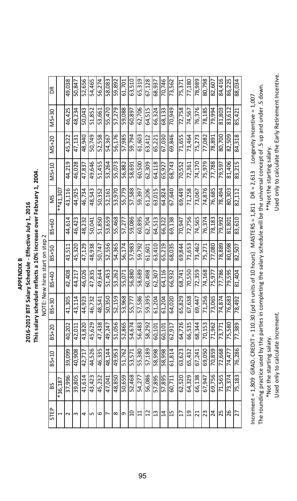## **APPENDIX B APPENDIX B**

# This salary schedule reflects a 10% increase over February 1, 2004. **This salary schedule reflects a 10% increase over February 1, 2004.** 2016-2017 BTF Salary Schedule - Effective July 1, 2016 **2016-2017 BTF Salary Schedule - Effective July 1, 2016**

NOTE: New hires start on step 2 NOTE: New hires start on step 2

| BŘ          |           | 49.038 | 50,847 | 52,656 | 54,465 | 56,274 | 58,083 | 59,892   | 61,701 | 63,510   | 65,319 | 67,128 | 68,937       | 70,746 | 73,562 | 75,371 | 77,180        | 78,989 | 80,798 | 82,607 | 84,416 | 86,225 | 88,034 |
|-------------|-----------|--------|--------|--------|--------|--------|--------|----------|--------|----------|--------|--------|--------------|--------|--------|--------|---------------|--------|--------|--------|--------|--------|--------|
| MS+30       |           | 46.425 | 48,234 | 50,043 | 51,852 | 53,661 | 55,470 | 57,279   | 59,088 | 60,897   | 62,706 | 64,515 | 66,324       | 68,133 | 70,949 | 72,758 | 74,567        | 76,376 | 78,185 | 79,994 | 81,803 | 83.612 | 85,421 |
| $MS+20$     |           | 45.322 | 47,131 | 48,940 | 50,749 | 52,558 | 54,367 | 56,176   | 57,985 | 59,794   | 61,603 | 63,412 | 65,221       | 67,030 | 69,846 | 71,655 | 73,464        | 75,273 | 77,082 | 78,891 | 80,700 | 82,509 | 84,318 |
| $MS+10$     |           | 44.219 | 46,028 | 47,837 | 49,646 | 51,455 | 53,264 | 55,073   | 56,882 | 58,691   | 60,500 | 62,309 | 64,118       | 65.927 | 68,743 | 70,552 | 72,361        | 74,170 | 75,979 | 77,788 | 79,597 | 81.406 | 83,215 |
| Š           | $*41,307$ | 43,116 | 44,925 | 46,734 | 48,543 | 50,352 | 52,161 | 53,970   | 55,779 | 57,588   | 59,397 | 61,206 | 63,015       | 64,824 | 67,640 | 69,449 | 71,258        | 73,067 | 74,876 | 76,685 | 78,494 | 80,303 | 82,112 |
| BS+60       |           | 44.614 | 46,423 | 48,232 | 50,041 | 51,850 | 53,659 | 55,468   | 57,277 | 59,086   | 60,895 | 62,704 | 64,513       | 66,322 | 69,138 | 70,947 | 72,756        | 74,565 | 76,374 | 78,183 | 79,992 | 81,801 | 83,610 |
| BS+50       |           | 43.511 | 45,320 | 47,129 | 48,938 | 50,747 | 52,556 | 54,365   | 56,174 | 57,983   | 59,792 | 61,601 | 63,410       | 65,219 | 68,035 | 69,844 | 71,653        | 73,462 | 75,271 | 77,080 | 78,889 | 80,698 | 82,507 |
| BS+40       |           | 42.408 | 44,217 | 46.026 | 47,835 | 49,644 | 51,453 | 53,262   | 55,071 | 56,880   | 58,689 | 60,498 | 62,307       | 64,116 | 66,932 | 68,741 | 70,550        | 72,359 | 74,168 | 75,977 | 77,786 | 79,595 | 81,404 |
| BS+30       |           | 41.305 | 43,114 | 44.923 | 46,732 | 48,541 | 50,350 | 52,159   | 53,968 | 55,777   | 57,586 | 59,395 | 61,204       | 61,204 | 64,020 | 65,829 | 67,638        | 69,447 | 71,256 | 73,065 | 74,874 | 76,683 | 78,492 |
| BS+20       |           | 40.202 | 42,011 | 43,820 | 45,629 | 47,438 | 49,247 | 51,056   | 52,865 | 54,674   | 56,483 | 58,292 | 60,101       | 60.101 | 62,917 | 64,726 | 66,535        | 68,344 | 70,153 | 71,962 | 73.771 | 75,580 | 77,389 |
| BS+10       |           | 39.099 | 40,908 | 42.717 | 44,526 | 46,335 | 48,144 | 49,953   | 51,762 | 53,571   | 55,380 | 57,189 | 58,998       | 58,998 | 61,814 | 63,623 | 65,432        | 67,241 | 69,050 | 70,859 | 72,668 | 74,477 | 76,286 |
| 59          | $*36,187$ | 37,996 | 39,805 | 41,614 | 43,423 | 45,232 | 47,041 | 48,850   | 50,659 | 52,468   | 54,277 | 56,086 | 57,895       | 57.895 | 60,711 | 62,520 | 64,329        | 66,138 | 67,947 | 69.756 | 71,565 | 73,374 | 75,183 |
| <b>STEP</b> |           |        | $\sim$ | 4      | m      | ه      |        | $\infty$ | ō      | $\Omega$ | Ч      | 2      | $\mathbf{u}$ | 4      | 15     | 17     | $\frac{9}{1}$ | ಸ      | 23     | 24     | 25     | 26     | 27     |
|             |           |        |        |        |        |        |        |          |        |          |        |        |              |        |        |        |               |        |        |        |        |        |        |

Used only to calculate Increment. Used only to calculate the Early Retirement Incentive.The rounding practice used by the parties in completing the salary schedule will be the universal concept of .5 up and under .5 down. The rounding practice used by the parties in completing the salary schedule will be the universal concept of .5 up and under .5 down. \*Not the starting salary.  $\blacksquare$ ا خ  $\frac{3}{2}$ <u>م</u>  $\frac{1}{16}$ ە<br>ت  $\frac{1}{2}$ 7≆

Increment = 1,809 GRAD. CREDIT = 110.30 (pd in units of 10 hours) MASTERS = 1,811 DR = 2,613 Longevity Incentive = 1,007

Increment = 1,809 GRAD. CREDIT = 110.30 (pd in units of 10 hours) MASTERS = 1,811 DR = 2,613 Longevity Incentive = 1,007

11 ا خ 13 .≝ُ  $\mathbb{F}^1$ e.  $\overline{5}$  . ا ≱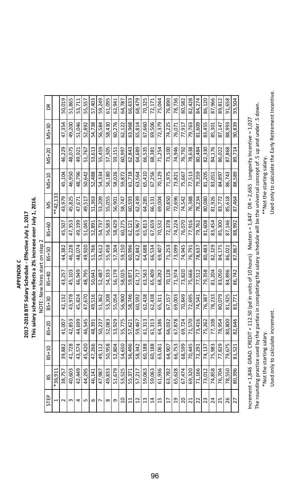## **APPENDIXC APPENDIX C**

#### 19  $\frac{2}{\pi}$  $\tilde{z}$ <u>مع</u>. €ة.  $\frac{1}{4}$ 25  $\frac{2}{2}$ ≨  $s_{\rm e}$ 29  $\ddot{5}$ 51 2017-2018 BTF Salary Schedule - Effective July 1, 2017 This salary schedule reflects a 2% increase over July 1, 2016.

 $\overline{a}$ 

NOTE: New hires start on step 2 NOTE: New hires start on step 2

| STEP            | SS <sub>1</sub> | BS+10  | $BS + 20$ | $BS + 30$ | BS+40  | BS+50  | BS+60  | ŠM        | MS+10  | $MS+20$ | $M5+30$ | Æ            |
|-----------------|-----------------|--------|-----------|-----------|--------|--------|--------|-----------|--------|---------|---------|--------------|
|                 | 36.911          |        |           |           |        |        |        | $*42.133$ |        |         |         |              |
| $\sim$          | 38,757          | 39,882 | 41,007    | 42,132    | 43,257 | 44,382 | 45,507 | 43,979    | 45,104 | 46,229  | 47.354  | 50,019       |
| m               | 40,603          | 41,728 | 42,853    | 43,978    | 45,103 | 46,228 | 47,353 | 45,825    | 46,950 | 48,075  | 49,200  | 51,865       |
| 4               | 42.449          | 43.574 | 44.699    | 45.824    | 46,949 | 48,074 | 49,199 | 47,671    | 48.796 | 49.921  | 51.046  | 53,711       |
| LO <sub>1</sub> | 44.295          | 45,420 | 46,545    | 47,670    | 48,795 | 49,920 | 51,045 | 49,517    | 50,642 | 51,767  | 52,892  | 55,557       |
| 6               | 46,141          | 47,266 | 48,391    | 49,516    | 50,641 | 51,766 | 52,891 | 51,363    | 52,488 | 53,61   | 54,738  | 57,403       |
| r               | 47,987          | 49.112 | 50,237    | 51,362    | 52,487 | 53,612 | 54,737 | 53,209    | 54,334 | 55,459  | 56,584  | 59,249       |
| $\infty$        | 49,833          | 50,958 | 52,083    | 53,208    | 54,333 | 55,458 | 56,583 | 55,055    | 56,180 | 57,305  | 58,430  | 61,095       |
| ō               | 51,679          | 52,804 | 53.929    | 55.054    | 56,179 | 57,304 | 58,429 | 56,901    | 58,026 | 59.151  | 60,276  | 62,941       |
| $\overline{10}$ | 53.525          | 54.650 | 55,775    | 56.900    | 58,025 | 59,150 | 60.275 | 58,747    | 59.872 | 50.997  | 62.122  | 64.787       |
| $\mathbf{1}$    | 55.371          | 56.496 | 57.621    | 58,746    | 59,871 | 50.996 | 62.121 | 50,593    | 61,718 | 62,843  | 63,968  | 66,633       |
| $\overline{1}$  | 57,217          | 58,342 | 59,467    | 60,592    | 61,717 | 62,842 | 63,967 | 62,439    | 63,564 | 64,689  | 65,814  | 68,479       |
| $\frac{3}{2}$   | 59,063          | 60,188 | 61,313    | 62,438    | 63,563 | 64,688 | 65,813 | 64,285    | 65,410 | 66,535  | 67,660  | 70,325       |
| $\overline{14}$ | 59,063          | 60,188 | 61,313    | 62,438    | 65,409 | 66,534 | 67,659 | 66,131    | 67,256 | 68,381  | 69,506  | 72,171       |
| $\frac{5}{1}$   | 61,936          | 63,061 | 64,186    | 65,311    | 68,282 | 69,407 | 70,532 | 69,004    | 70,129 | 71,254  | 72,379  | 75,044       |
| $\overline{1}$  | 63,782          | 64,907 | 66,032    | 67,157    | 70,128 | 71,253 | 72,378 | 70,850    | 71,975 | 73,100  | 74,225  | 76,890       |
| $\frac{9}{2}$   | 65,628          | 66,753 | 67,878    | 69,003    | 71,974 | 73,099 | 74,224 | 72,696    | 73,821 | 74,946  | 76,071  | 78,736       |
| 20              | 57.474          | 68,599 | 69.724    | 70.849    | 73,820 | 74.945 | 76,070 | 74,542    | 75.667 | 76,792  | 77.917  | 80,582       |
| 21              | 59.320          | 70,445 | 71,570    | 72,695    | 75,666 | 76,791 | 77,916 | 76,388    | 77,513 | 78,638  | 79,763  | 82,428       |
| 22              | 71,166          | 72,291 | 73,416    | 74,541    | 77,512 | 78,637 | 79.762 | 78,234    | 79,359 | 80,484  | 81,609  | 84,274       |
| 23              | 73,012          | 74,137 | 75,262    | 76.387    | 79,358 | 80,483 | 81,608 | 80,080    | 81,205 | 32,330  | 83,455  | 86,120       |
| 24              | 74,858          | 75,983 | 77,108    | 78,233    | 81,204 | 82,329 | 83,454 | 81,926    | 83,051 | 84.176  | 85,301  | 87,966       |
| 25              | 76,704          | 77,829 | 78,954    | 80,079    | 83,050 | 84,175 | 85,300 | 83,772    | 84,897 | 86,022  | 87,147  | , 812<br>89. |
| 26              | 78,550          | 79,675 | 80,800    | 81,925    | 84,896 | 86,021 | 87,146 | 85,618    | 86,743 | 87,868  | 88,993  | 91,658       |
| 27              | 80,396          | 81,521 | 82,646    | 83,771    | 86,742 | 87,867 | 88,992 | 87,464    | 88,589 | 89,714  | 90,839  | 93,504       |

The rounding practice used by the parties in completing the salary schedule will be the universal concept of .5 up and under .5 down. The rounding practice used by the parties in completing the salary schedule will be the universal concept of .5 up and under .5 down. Increment = 1,846 GRAD. CREDIT = 112.50 (pd in units of 10 hours) Masters = 1,847 DR = 2,665 Longevity Incentive = 1,027 ncrement = 1,846 GRAD. CREDIT = 112.50 (pd in units of 10 hours) Masters = 1,847 DR = 2,665 Longevity Incentive = 1,027 \*\* Not the starting salary. \* Not the starting salary.<br> \*Not the starting salary. Used only to calculate increment. The increment of the state of the calculate the farly Retirement Incentive.

Used only to calculate increment.

Used only to calculate the Early Retirement Incentive.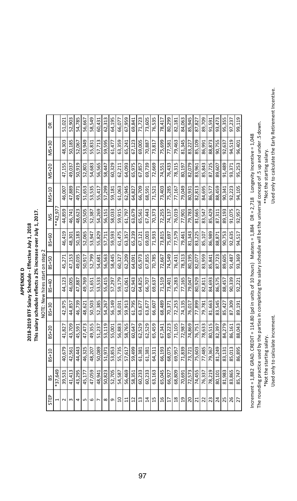### This salary schedule reflects a 2% increase over July 1, 2017. This salary schedule reflects a 2% increase over July 1, 2017. 2018-2019 BTF Salary Schedule - Effective July 1, 2018 2018-2019 BTF Salary Schedule - Effective July 1, 2018 **APPENDIX D APPENDIX D**

|   | ۵<br>¢              |
|---|---------------------|
|   | step<br>ទ           |
|   | ce etnet<br>ü       |
|   | ï<br>ţ<br>ğ         |
| í | j<br>×<br>İQTE<br>í |
|   |                     |

| $\tilde{a}$     |          | 51,021 | 52,903       | 54,785 | 56,667 | 58,549 | 50.431 | 62,313   | 64,195 | 56,077         | 67.959       | 59,841         | 71,723        | 73.605         | 76,535 | 78,417        | 30,299 | 82,181         | 84,063        | 85.945 | 87.827         | 89,709 | 91.591 | 93,473         | 95,355 | 97,237 | 99,119 |
|-----------------|----------|--------|--------------|--------|--------|--------|--------|----------|--------|----------------|--------------|----------------|---------------|----------------|--------|---------------|--------|----------------|---------------|--------|----------------|--------|--------|----------------|--------|--------|--------|
| $MS+30$         |          | 48,303 | 50,185       | 52,067 | 53,949 | 55,831 | 57,713 | 59,595   | 61.477 | 63,359         | 65,241       | 67.123         | 69,005        | 70,887         | 73,817 | 75,699        | 77,581 | 79.463         | 81.345        | 83,227 | 35,109         | 86,991 | 38,873 | 90,755         | 92,637 | 94,519 | 96,401 |
| $M5+20$         |          | 47,155 | 49.037       | 50,919 | 52,801 | 54,683 | 56,565 | 58,447   | 60.329 | 62,211         | 64.093       | 65,975         | 67,857        | 69,739         | 72,669 | 74,551        | 76,433 | 78,315         | 80,197        | 82.079 | 83,961         | 85,843 | 87.725 | 89,607         | 91,489 | 93,371 | 95,253 |
| $M5+10$         |          | 46,007 | 47.889       | 49,771 | 51,653 | 53,535 | 55,417 | 57,299   | 59.181 | 61,063         | 62,945       | 54,827         | 66,709        | 68.591         | 71,521 | 73,403        | 75,285 | 77,167         | 79,049        | 30,931 | 82.813         | 84,695 | 86,577 | 38,459         | 90,341 | 92,223 | 94,105 |
| Š               | $*42.97$ | 44,859 | 46,741       | 48,623 | 50,505 | 52,387 | 54,269 | 56,151   | 58.033 | 59,915         | 51.797       | 63.679         | 65,561        | 67.443         | 70,373 | 72,255        | 74,137 | 76,019         | 77.901        | 79,783 | 81.665         | 83,547 | 85.429 | 87,311         | 89,193 | 91,075 | 92,957 |
| $BS+60$         |          | 16,419 | 48,301       | 50,183 | 52,065 | 53,947 | 55.829 | 57,711   | 59.593 | 61,475         | 63,357       | 55,239         | 67,121        | 59,003         | 71,933 | 73,815        | 75,697 | 77.579         | 79.461        | 81.343 | 83,225         | 85,107 | 86,989 | 38,871         | 90,753 | 92,635 | 94,517 |
| BS+50           |          | 45,271 | 47.153       | 49,035 | 50,917 | 52,799 | 54,681 | 56,563   | 58.445 | 60,327         | 62.209       | 54,091         | 65.973        | 67,855         | 70,785 | 72,667        | 74,549 | 76,431         | 78,313        | 30,195 | 82.077         | 83,959 | 85,841 | 87,723         | 89,605 | 91,487 | 93,369 |
| <b>BS+40</b>    |          | 44,123 | 46,005       | 47,887 | 49,769 | 51,651 | 53,533 | 55.415   | 57.297 | 59,179         | 61.061       | 62,943         | 64.825        | 66,707         | 69,637 | 71,519        | 73,401 | 75,283         | 77,165        | 79,047 | 30,929         | 82,811 | 84.693 | 36,575         | 88,457 | 90,339 | 92,221 |
| $35 + 30$       |          | 42,975 | 44,857       | 46,739 | 48,621 | 50,503 | 52,385 | 54,267   | 56.149 | 58,031         | 59.913       | 51.795         | 63.677        | 63.677         | 66,607 | 68,489        | 70,371 | 72,253         | 74,135        | 76.017 | 77.899         | 79,781 | 81,663 | 83,545         | 85,427 | 87,309 | 89,191 |
| $BS + 20$       |          | 41,827 | 43,709       | 45,591 | 47,473 | 49,355 | 51,237 | 53,119   | 55,001 | 56,883         | 58,765       | 50,647         | 62,529        | 62.529         | 55,459 | 67,341        | 69,223 | 71,105         | 72,987        | 74,869 | 76.751         | 78,633 | 30,515 | 32,397         | 34,279 | 36,161 | 88,043 |
| BS+10           |          | 40,679 | 42,561       | 44,443 | 46,325 | 48,207 | 50,089 | 51,971   | 53.853 | 55,735         | 57,617       | 59,499         | 61,381        | 61.381         | 64,311 | 66,193        | 68,075 | 69,957         | 71,839        | 73,721 | 75,603         | 77,485 | 79.367 | 81,249         | 83,131 | 85,013 | 86,895 |
| SS <sub>1</sub> | *37.649  | 39,531 | 41,413       | 43,295 | 45,177 | 47,059 | 48,941 | 50,823   | 52.705 | 54,587         | 56,469       | 58,351         | 50,233        | 50,233         | 53,163 | 55,045        | 56,927 | 58,809         | 70,691        | 72.573 | 74,455         | 76,337 | 78,219 | 80,101         | 81,983 | 83,865 | 85,747 |
| STEP            |          | $\sim$ | $\mathsf{m}$ | 4      | S      | 6      |        | $\infty$ | ō      | $\overline{a}$ | $\mathbf{1}$ | $\overline{1}$ | $\frac{3}{2}$ | $\overline{1}$ | 15     | $\frac{6}{1}$ | 'n     | $\frac{8}{18}$ | $\frac{9}{2}$ | 20     | $\overline{a}$ | 22     | 23     | $\overline{a}$ | 25     | 26     | 27     |

The rounding practice used by the parties in completing the salary schedule will be the universal concept of .5 up and under .5 down. The rounding practice used by the parties in completing the salary schedule will be the universal concept of .5 up and under .5 down. Increment = 1,882 GRAD. CREDIT = 114.80 (pd in units of 10 hours) Masters = 1,884 DR = 2,718 Longevity Incentive = 1,048 ncrement = 1,882 GRAD. CREDIT = 114.80 (pd in units of 10 hours) Masters = 1,884 DR = 2,718 Longevity Incentive = 1,048 12<br>بم \* Not the starting salary. ៖<br>៖ 14<br>14 ំខ័ !<br>3 2<br>17  $\overline{a}$ ್ <u>1181 م</u> ⊇.<br>ت 3. a ! ತ ី ≥ី : ತಿ ق م

Used only to calculate increment. The model of the state only to calculate the Early Retirement Incentive.

rement Incentive.

<sub>Ret</sub> , 동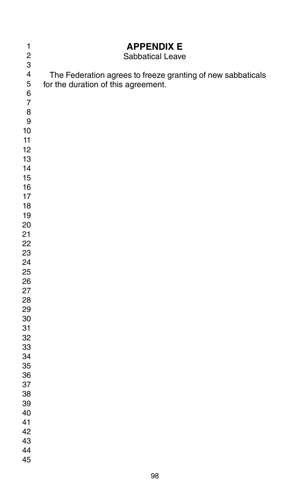| 1              | <b>APPENDIX E</b>                                           |
|----------------|-------------------------------------------------------------|
| $\overline{c}$ | Sabbatical Leave                                            |
| 3              |                                                             |
| $\overline{4}$ | The Federation agrees to freeze granting of new sabbaticals |
| 5              | for the duration of this agreement.                         |
| 6              |                                                             |
| $\overline{7}$ |                                                             |
|                |                                                             |
| 8              |                                                             |
| 9              |                                                             |
| 10             |                                                             |
| 11             |                                                             |
| 12             |                                                             |
| 13             |                                                             |
| 14             |                                                             |
| 15             |                                                             |
| 16             |                                                             |
| 17             |                                                             |
| 18             |                                                             |
| 19             |                                                             |
| 20             |                                                             |
| 21             |                                                             |
| 22             |                                                             |
| 23             |                                                             |
| 24             |                                                             |
| 25             |                                                             |
| 26             |                                                             |
| 27             |                                                             |
| 28             |                                                             |
|                |                                                             |
| 29             |                                                             |
| 30             |                                                             |
| 31             |                                                             |
| 32             |                                                             |
| 33             |                                                             |
| 34             |                                                             |
| 35             |                                                             |
| 36             |                                                             |
| 37             |                                                             |
| 38             |                                                             |
| 39             |                                                             |
| 40             |                                                             |
| 41             |                                                             |
| 42             |                                                             |
| 43             |                                                             |
| 44             |                                                             |
| 45             |                                                             |
|                |                                                             |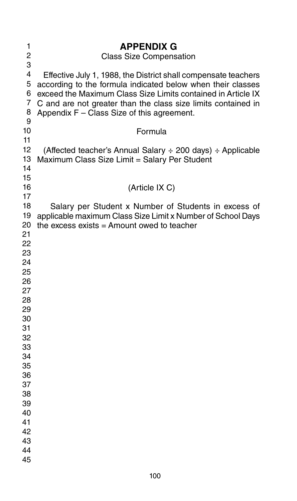| 1                          | <b>APPENDIX G</b>                                                                                                                                                                                                                                                                                            |
|----------------------------|--------------------------------------------------------------------------------------------------------------------------------------------------------------------------------------------------------------------------------------------------------------------------------------------------------------|
| 2<br>3                     | <b>Class Size Compensation</b>                                                                                                                                                                                                                                                                               |
| 4<br>5<br>6<br>7<br>8<br>9 | Effective July 1, 1988, the District shall compensate teachers<br>according to the formula indicated below when their classes<br>exceed the Maximum Class Size Limits contained in Article IX<br>C and are not greater than the class size limits contained in<br>Appendix F - Class Size of this agreement. |
| 10                         | Formula                                                                                                                                                                                                                                                                                                      |
| 11<br>12                   | (Affected teacher's Annual Salary $\div$ 200 days) $\div$ Applicable                                                                                                                                                                                                                                         |
| 13<br>14                   | Maximum Class Size Limit = Salary Per Student                                                                                                                                                                                                                                                                |
| 15                         |                                                                                                                                                                                                                                                                                                              |
| 16<br>17                   | (Article IX C)                                                                                                                                                                                                                                                                                               |
| 18<br>19<br>20<br>21       | Salary per Student x Number of Students in excess of<br>applicable maximum Class Size Limit x Number of School Days<br>the excess exists = Amount owed to teacher                                                                                                                                            |
| 22                         |                                                                                                                                                                                                                                                                                                              |
| 23                         |                                                                                                                                                                                                                                                                                                              |
| 24                         |                                                                                                                                                                                                                                                                                                              |
| 25                         |                                                                                                                                                                                                                                                                                                              |
| 26                         |                                                                                                                                                                                                                                                                                                              |
| 27                         |                                                                                                                                                                                                                                                                                                              |
| 28                         |                                                                                                                                                                                                                                                                                                              |
| 29                         |                                                                                                                                                                                                                                                                                                              |
| 30<br>31                   |                                                                                                                                                                                                                                                                                                              |
| 32                         |                                                                                                                                                                                                                                                                                                              |
| 33                         |                                                                                                                                                                                                                                                                                                              |
| 34                         |                                                                                                                                                                                                                                                                                                              |
| 35                         |                                                                                                                                                                                                                                                                                                              |
| 36                         |                                                                                                                                                                                                                                                                                                              |
| 37                         |                                                                                                                                                                                                                                                                                                              |
| 38                         |                                                                                                                                                                                                                                                                                                              |
| 39                         |                                                                                                                                                                                                                                                                                                              |
| 40<br>41                   |                                                                                                                                                                                                                                                                                                              |
| 42                         |                                                                                                                                                                                                                                                                                                              |
| 43                         |                                                                                                                                                                                                                                                                                                              |
| 44                         |                                                                                                                                                                                                                                                                                                              |
| 45                         |                                                                                                                                                                                                                                                                                                              |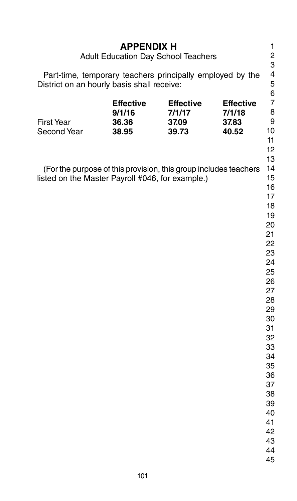|                                                                                                                      | <b>APPENDIX H</b>                            | <b>Adult Education Day School Teachers</b>   |                                              | 1<br>$\overline{c}$<br>3                                                                                                                                                                     |
|----------------------------------------------------------------------------------------------------------------------|----------------------------------------------|----------------------------------------------|----------------------------------------------|----------------------------------------------------------------------------------------------------------------------------------------------------------------------------------------------|
| Part-time, temporary teachers principally employed by the<br>District on an hourly basis shall receive:              |                                              |                                              |                                              |                                                                                                                                                                                              |
| <b>First Year</b><br>Second Year                                                                                     | <b>Effective</b><br>9/1/16<br>36.36<br>38.95 | <b>Effective</b><br>7/1/17<br>37.09<br>39.73 | <b>Effective</b><br>7/1/18<br>37.83<br>40.52 | 6<br>7<br>8<br>9<br>10<br>11<br>12<br>13                                                                                                                                                     |
| (For the purpose of this provision, this group includes teachers<br>listed on the Master Payroll #046, for example.) |                                              |                                              |                                              | 14<br>15<br>16<br>17<br>18<br>19<br>20<br>21<br>22<br>23<br>24<br>25<br>26<br>27<br>28<br>29<br>30<br>31<br>32<br>33<br>34<br>35<br>36<br>37<br>38<br>39<br>40<br>41<br>42<br>43<br>44<br>45 |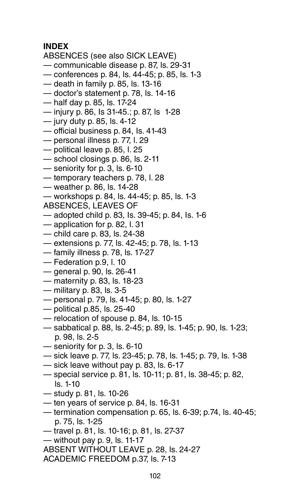## **INDEX**

ABSENCES (see also SICK LEAVE)

- communicable disease p. 87, ls. 29-31
- conferences p. 84, ls. 44-45; p. 85, ls. 1-3
- death in family p. 85, ls. 13-16
- doctor's statement p. 78, ls. 14-16
- half day p. 85, ls. 17-24
- injury p. 86, Is 31-45.; p. 87, ls 1-28
- jury duty p. 85, ls. 4-12
- official business p. 84, Is. 41-43
- personal illness p. 77, l. 29
- political leave p. 85, l. 25
- school closings p. 86, ls. 2-11
- seniority for p. 3, ls. 6-10
- temporary teachers p. 78, l. 28
- weather p. 86, ls. 14-28
- workshops p. 84, ls. 44-45; p. 85, ls. 1-3
- ABSENCES, LEAVES OF
- adopted child p. 83, Is. 39-45; p. 84, Is. 1-6
- application for p. 82, l. 31
- child care p. 83, ls. 24-38
- extensions p. 77, ls. 42-45; p. 78, ls. 1-13
- family illness p. 78, ls. 17-27
- Federation p.9, l. 10
- general p. 90, ls. 26-41
- maternity p. 83, ls. 18-23
- military p. 83, ls. 3-5
- personal p. 79, ls. 41-45; p. 80, ls. 1-27
- political p.85, ls. 25-40
- relocation of spouse p. 84, ls. 10-15
- sabbatical p. 88, ls. 2-45; p. 89, ls. 1-45; p. 90, ls. 1-23; p. 98, ls. 2-5
- seniority for p. 3, ls. 6-10
- sick leave p. 77, ls. 23-45; p. 78, ls. 1-45; p. 79, ls. 1-38
- sick leave without pay p. 83, ls. 6-17
- special service p. 81, ls. 10-11; p. 81, ls. 38-45; p. 82, ls. 1-10
- study p. 81, ls. 10-26
- ten years of service p. 84, ls. 16-31
- termination compensation p. 65, ls. 6-39; p.74, ls. 40-45; p. 75, ls. 1-25
- travel p. 81, ls. 10-16; p. 81, ls. 27-37
- without pay p. 9, ls. 11-17
- ABSENT WITHOUT LEAVE p. 28, ls. 24-27
- ACADEMIC FREEDOM p.37, ls. 7-13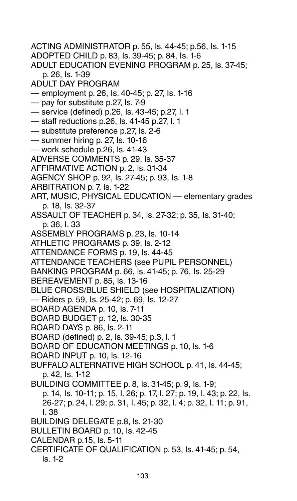ACTING ADMINISTRATOR p. 55, ls. 44-45; p.56, Is. 1-15 ADOPTED CHILD p. 83, ls. 39-45; p. 84, Is. 1-6 ADULT EDUCATION EVENING PROGRAM p. 25, ls. 37-45; p. 26, ls. 1-39 ADULT DAY PROGRAM — employment p. 26, Is. 40-45; p. 27, Is. 1-16 — pay for substitute p.27, ls. 7-9 — service (defined) p.26, ls. 43-45; p.27, l. 1 — staff reductions p.26, ls. 41-45 p.27, l. 1 — substitute preference p.27, ls. 2-6 — summer hiring p. 27, ls. 10-16 — work schedule p.26, ls. 41-43 ADVERSE COMMENTS p. 29, ls. 35-37 AFFIRMATIVE ACTION p. 2, ls. 31-34 AGENCY SHOP p. 92, ls. 27-45; p. 93, Is. 1-8 ARBITRATION p. 7, ls. 1-22 ART, MUSIC, PHYSICAL EDUCATION — elementary grades p. 18, Is. 32-37 ASSAULT OF TEACHER p. 34, ls. 27-32; p. 35, Is. 31-40; p. 36, I. 33 ASSEMBLY PROGRAMS p. 23, ls. 10-14 ATHLETIC PROGRAMS p. 39, ls. 2-12 ATTENDANCE FORMS p. 19, ls. 44-45 ATTENDANCE TEACHERS (see PUPIL PERSONNEL) BANKING PROGRAM p. 66, ls. 41-45; p. 76, Is. 25-29 BEREAVEMENT p. 85, ls. 13-16 BLUE CROSS/BLUE SHIELD (see HOSPITALIZATION) — Riders p. 59, Is. 25-42; p. 69, Is. 12-27 BOARD AGENDA p. 10, ls. 7-11 BOARD BUDGET p. 12, ls. 30-35 BOARD DAYS p. 86, ls. 2-11 BOARD (defined) p. 2, ls. 39-45; p.3, l. 1 BOARD OF EDUCATION MEETINGS p. 10, ls. 1-6 BOARD INPUT p. 10, ls. 12-16 BUFFALO ALTERNATIVE HIGH SCHOOL p. 41, ls. 44-45; p. 42, Is. 1-12 BUILDING COMMITTEE p. 8, ls. 31-45; p. 9, ls. 1-9; p. 14, Is. 10-11; p. 15, l. 26; p. 17, l. 27; p. 19, l. 43; p. 22, ls. 26-27; p. 24, l. 29; p. 31, l. 45; p. 32, l. 4; p. 32, I. 11; p. 91, I. 38 BUILDING DELEGATE p.8, ls. 21-30 BULLETIN BOARD p. 10, Is. 42-45 CALENDAR p.15, ls. 5-11 CERTIFICATE OF QUALIFICATION p. 53, ls. 41-45; p. 54, ls. 1-2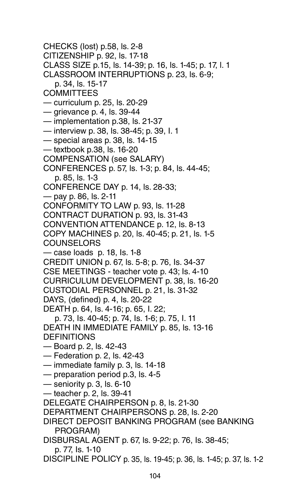CHECKS (lost) p.58, ls. 2-8 CITIZENSHIP p. 92, ls. 17-18 CLASS SIZE p.15, ls. 14-39; p. 16, ls. 1-45; p. 17, l. 1 CLASSROOM INTERRUPTIONS p. 23, ls. 6-9; p. 34, ls. 15-17 COMMITTEES — curriculum p. 25, ls. 20-29 — grievance p. 4, ls. 39-44 — implementation p.38, ls. 21-37 — interview p. 38, ls. 38-45; p. 39, I. 1 — special areas p. 38, ls. 14-15 — textbook p.38, ls. 16-20 COMPENSATION (see SALARY) CONFERENCES p. 57, ls. 1-3; p. 84, ls. 44-45; p. 85, ls. 1-3 CONFERENCE DAY p. 14, ls. 28-33; — pay p. 86, ls. 2-11 CONFORMITY TO LAW p. 93, ls. 11-28 CONTRACT DURATION p. 93, ls. 31-43 CONVENTION ATTENDANCE p. 12, ls. 8-13 COPY MACHINES p. 20, ls. 40-45; p. 21, ls. 1-5 **COUNSELORS** — case loads p. 18, Is. 1-8 CREDIT UNION p. 67, ls. 5-8; p. 76, Is. 34-37 CSE MEETINGS - teacher vote p. 43; Is. 4-10 CURRICULUM DEVELOPMENT p. 38, ls. 16-20 CUSTODIAL PERSONNEL p. 21, ls. 31-32 DAYS, (defined) p. 4, ls. 20-22 DEATH p. 64, Is. 4-16; p. 65, I. 22; p. 73, Is. 40-45; p. 74, Is. 1-6; p. 75, I. 11 DEATH IN IMMEDIATE FAMILY p. 85, ls. 13-16 DEFINITIONS — Board p. 2, ls. 42-43 — Federation p. 2, ls. 42-43 — immediate family p. 3, ls. 14-18 — preparation period p.3, ls. 4-5 — seniority p. 3, ls. 6-10 — teacher p. 2, ls. 39-41 DELEGATE CHAIRPERSON p. 8, ls. 21-30 DEPARTMENT CHAIRPERSONS p. 28, ls. 2-20 DIRECT DEPOSIT BANKING PROGRAM (see BANKING PROGRAM) DISBURSAL AGENT p. 67, ls. 9-22; p. 76, Is. 38-45; p. 77, Is. 1-10 DISCIPLINE POLICY p. 35, ls. 19-45; p. 36, ls. 1-45; p. 37, ls. 1-2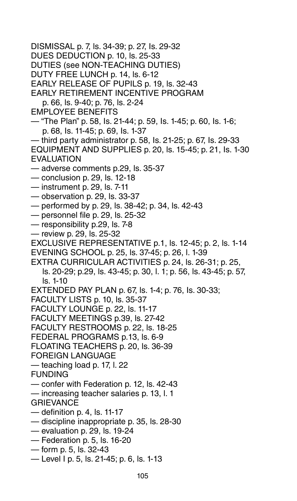DISMISSAL p. 7, ls. 34-39; p. 27, Is. 29-32 DUES DEDUCTION p. 10, ls. 25-33 DUTIES (see NON-TEACHING DUTIES) DUTY FREE LUNCH p. 14, ls. 6-12 EARLY RELEASE OF PUPILS p. 19, ls. 32-43 EARLY RETIREMENT INCENTIVE PROGRAM p. 66, ls. 9-40; p. 76, ls. 2-24 EMPLOYEE BENEFITS — "The Plan" p. 58, Is. 21-44; p. 59, Is. 1-45; p. 60, Is. 1-6; p. 68, Is. 11-45; p. 69, Is. 1-37 — third party administrator p. 58, Is. 21-25; p. 67, Is. 29-33 EQUIPMENT AND SUPPLIES p. 20, ls. 15-45; p. 21, Is. 1-30 **FVALUATION** — adverse comments p.29, ls. 35-37 — conclusion p. 29, ls. 12-18 — instrument p. 29, ls. 7-11 — observation p. 29, ls. 33-37 — performed by p. 29, ls. 38-42; p. 34, ls. 42-43 — personnel file p. 29, ls. 25-32 — responsibility p.29, ls. 7-8 — review p. 29, ls. 25-32 EXCLUSIVE REPRESENTATIVE p.1, ls. 12-45; p. 2, ls. 1-14 EVENING SCHOOL p. 25, ls. 37-45; p. 26, l. 1-39 EXTRA CURRICULAR ACTIVITIES p. 24, ls. 26-31; p. 25, ls. 20-29; p.29, ls. 43-45; p. 30, l. 1; p. 56, ls. 43-45; p. 57, ls. 1-10 EXTENDED PAY PLAN p. 67, ls. 1-4; p. 76, Is. 30-33; FACULTY LISTS p. 10, ls. 35-37 FACULTY LOUNGE p. 22, ls. 11-17 FACULTY MEETINGS p.39, ls. 27-42 FACULTY RESTROOMS p. 22, ls. 18-25 FEDERAL PROGRAMS p.13, ls. 6-9 FLOATING TEACHERS p. 20, ls. 36-39 FOREIGN LANGUAGE — teaching load p. 17, l. 22 FUNDING — confer with Federation p. 12, ls. 42-43 — increasing teacher salaries p. 13, l. 1 **GRIEVANCE** — definition p. 4, ls. 11-17 — discipline inappropriate p. 35, ls. 28-30 — evaluation p. 29, ls. 19-24 — Federation p. 5, ls. 16-20 — form p. 5, ls. 32-43 — Level I p. 5, ls. 21-45; p. 6, ls. 1-13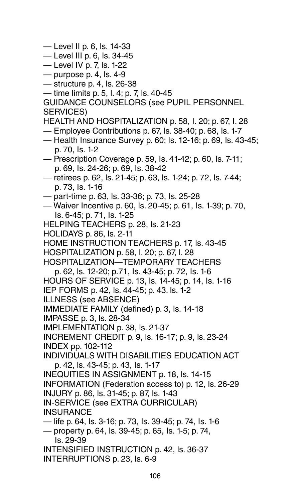- Level II p. 6, ls. 14-33
- Level III p. 6, ls. 34-45
- Level IV p. 7, ls. 1-22
- purpose p. 4, ls. 4-9
- structure p. 4, ls. 26-38
- time limits p. 5, l. 4; p. 7, ls. 40-45
- GUIDANCE COUNSELORS (see PUPIL PERSONNEL SERVICES)
- 
- HEALTH AND HOSPITALIZATION p. 58, I. 20; p. 67, I. 28
- Employee Contributions p. 67, ls. 38-40; p. 68, ls. 1-7
- Health Insurance Survey p. 60; Is. 12-16; p. 69, ls. 43-45; p. 70, Is. 1-2
- Prescription Coverage p. 59, Is. 41-42; p. 60, ls. 7-11; p. 69, Is. 24-26; p. 69, Is. 38-42
- retirees p. 62, ls. 21-45; p. 63, ls. 1-24; p. 72, ls. 7-44; p. 73, Is. 1-16
- part-time p. 63, ls. 33-36; p. 73, Is. 25-28
- Waiver Incentive p. 60, ls. 20-45; p. 61, Is. 1-39; p. 70, Is. 6-45; p. 71, Is. 1-25
- HELPING TEACHERS p. 28, ls. 21-23
- HOLIDAYS p. 86, ls. 2-11
- HOME INSTRUCTION TEACHERS p. 17, ls. 43-45
- HOSPITALIZATION p. 58, l. 20; p. 67, l. 28

HOSPITALIZATION—TEMPORARY TEACHERS p. 62, ls. 12-20; p.71, Is. 43-45; p. 72, Is. 1-6

- HOURS OF SERVICE p. 13, ls. 14-45; p. 14, Is. 1-16
- IEP FORMS p. 42, ls. 44-45; p. 43. ls. 1-2
- ILLNESS (see ABSENCE)
- IMMEDIATE FAMILY (defined) p. 3, ls. 14-18
- IMPASSE p. 3, ls. 28-34
- IMPLEMENTATION p. 38, ls. 21-37

INCREMENT CREDIT p. 9, ls. 16-17; p. 9, ls. 23-24 INDEX pp. 102-112

- 
- INDIVIDUALS WITH DISABILITIES EDUCATION ACT p. 42, ls. 43-45; p. 43, Is. 1-17
- INEQUITIES IN ASSIGNMENT p. 18, ls. 14-15

INFORMATION (Federation access to) p. 12, ls. 26-29

INJURY p. 86, ls. 31-45; p. 87, ls. 1-43

IN-SERVICE (see EXTRA CURRICULAR) **INSURANCE** 

- life p. 64, ls. 3-16; p. 73, Is. 39-45; p. 74, Is. 1-6
- property p. 64, ls. 39-45; p. 65, Is. 1-5; p. 74, Is. 29-39
- INTENSIFIED INSTRUCTION p. 42, ls. 36-37 INTERRUPTIONS p. 23, ls. 6-9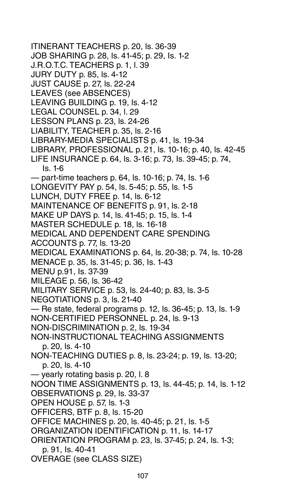ITINERANT TEACHERS p. 20, ls. 36-39 JOB SHARING p. 28, ls. 41-45; p. 29, Is. 1-2 J.R.O.T.C. TEACHERS p. 1, l. 39 JURY DUTY p. 85, ls. 4-12 JUST CAUSE p. 27, ls. 22-24 LEAVES (see ABSENCES) LEAVING BUILDING p. 19, ls. 4-12 LEGAL COUNSEL p. 34, l. 29 LESSON PLANS p. 23, ls. 24-26 LIABILITY, TEACHER p. 35, ls. 2-16 LIBRARY-MEDIA SPECIALISTS p. 41, ls. 19-34 LIBRARY, PROFESSIONAL p. 21, ls. 10-16; p. 40, ls. 42-45 LIFE INSURANCE p. 64, ls. 3-16; p. 73, Is. 39-45; p. 74, Is. 1-6 — part-time teachers p. 64, ls. 10-16; p. 74, Is. 1-6 LONGEVITY PAY p. 54, ls. 5-45; p. 55, ls. 1-5 LUNCH, DUTY FREE p. 14, ls. 6-12 MAINTENANCE OF BENEFITS p. 91, ls. 2-18 MAKE UP DAYS p. 14, ls. 41-45; p. 15, ls. 1-4 MASTER SCHEDULE p. 18, ls. 16-18 MEDICAL AND DEPENDENT CARE SPENDING ACCOUNTS p. 77, ls. 13-20 MEDICAL EXAMINATIONS p. 64, ls. 20-38; p. 74, ls. 10-28 MENACE p. 35, ls. 31-45; p. 36, Is. 1-43 MENU p.91, Is. 37-39 MILEAGE p. 56, ls. 36-42 MILITARY SERVICE p. 53, ls. 24-40; p. 83, ls. 3-5 NEGOTIATIONS p. 3, ls. 21-40 — Re state, federal programs p. 12, ls. 36-45; p. 13, ls. 1-9 NON-CERTIFIED PERSONNEL p. 24, ls. 9-13 NON-DISCRIMINATION p. 2, ls. 19-34 NON-INSTRUCTIONAL TEACHING ASSIGNMENTS p. 20, ls. 4-10 NON-TEACHING DUTIES p. 8, ls. 23-24; p. 19, ls. 13-20; p. 20, ls. 4-10 — yearly rotating basis p. 20, l. 8 NOON TIME ASSIGNMENTS p. 13, ls. 44-45; p. 14, ls. 1-12 OBSERVATIONS p. 29, ls. 33-37 OPEN HOUSE p. 57, ls. 1-3 OFFICERS, BTF p. 8, ls. 15-20 OFFICE MACHINES p. 20, ls. 40-45; p. 21, ls. 1-5 ORGANIZATION IDENTIFICATION p. 11, ls. 14-17 ORIENTATION PROGRAM p. 23, ls. 37-45; p. 24, ls. 1-3; p. 91, Is. 40-41 OVERAGE (see CLASS SIZE)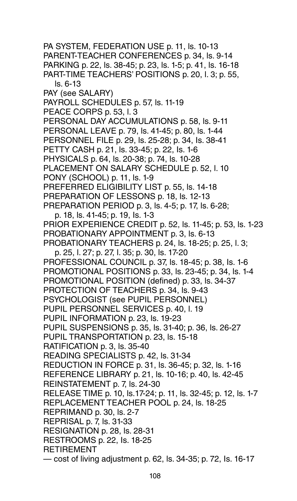PA SYSTEM, FEDERATION USE p. 11, ls. 10-13 PARENT-TEACHER CONFERENCES p. 34, ls. 9-14 PARKING p. 22, ls. 38-45; p. 23, ls. 1-5; p. 41, ls. 16-18 PART-TIME TEACHERS' POSITIONS p. 20, l. 3; p. 55, ls. 6-13 PAY (see SALARY) PAYROLL SCHEDULES p. 57, ls. 11-19 PEACE CORPS p. 53, l. 3 PERSONAL DAY ACCUMULATIONS p. 58, ls. 9-11 PERSONAL LEAVE p. 79, ls. 41-45; p. 80, ls. 1-44 PERSONNEL FILE p. 29, ls. 25-28; p. 34, Is. 38-41 PETTY CASH p. 21, ls. 33-45; p. 22, Is. 1-6 PHYSICALS p. 64, ls. 20-38; p. 74, ls. 10-28 PLACEMENT ON SALARY SCHEDULE p. 52, l. 10 PONY (SCHOOL) p. 11, ls. 1-9 PREFERRED ELIGIBILITY LIST p. 55, ls. 14-18 PREPARATION OF LESSONS p. 18, ls. 12-13 PREPARATION PERIOD p. 3, ls. 4-5; p. 17, ls. 6-28; p. 18, ls. 41-45; p. 19, Is. 1-3 PRIOR EXPERIENCE CREDIT p. 52, ls. 11-45; p. 53, ls. 1-23 PROBATIONARY APPOINTMENT p. 3, ls. 6-13 PROBATIONARY TEACHERS p. 24, ls. 18-25; p. 25, l. 3; p. 25, l. 27; p. 27, l. 35; p. 30, ls. 17-20 PROFESSIONAL COUNCIL p. 37, ls. 18-45; p. 38, Is. 1-6 PROMOTIONAL POSITIONS p. 33, ls. 23-45; p. 34, ls. 1-4 PROMOTIONAL POSITION (defined) p. 33, ls. 34-37 PROTECTION OF TEACHERS p. 34, ls. 9-43 PSYCHOLOGIST (see PUPIL PERSONNEL) PUPIL PERSONNEL SERVICES p. 40, l. 19 PUPIL INFORMATION p. 23, ls. 19-23 PUPIL SUSPENSIONS p. 35, ls. 31-40; p. 36, ls. 26-27 PUPIL TRANSPORTATION p. 23, ls. 15-18 RATIFICATION p. 3, ls. 35-40 READING SPECIALISTS p. 42, ls. 31-34 REDUCTION IN FORCE p. 31, ls. 36-45; p. 32, ls. 1-16 REFERENCE LIBRARY p. 21, ls. 10-16; p. 40, ls. 42-45 REINSTATEMENT p. 7, ls. 24-30 RELEASE TIME p. 10, ls.17-24; p. 11, ls. 32-45; p. 12, ls. 1-7 REPLACEMENT TEACHER POOL p. 24, ls. 18-25 REPRIMAND p. 30, ls. 2-7 REPRISAL p. 7, ls. 31-33 RESIGNATION p. 28, ls. 28-31 RESTROOMS p. 22, Is. 18-25 RETIREMENT — cost of living adjustment p. 62, ls. 34-35; p. 72, Is. 16-17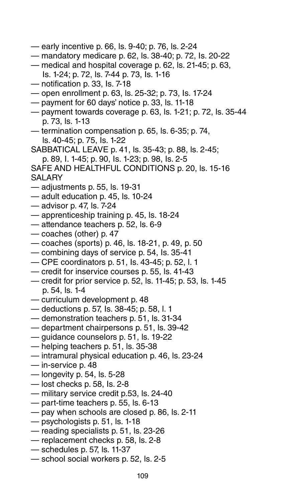- early incentive p. 66, ls. 9-40; p. 76, ls. 2-24
- mandatory medicare p. 62, ls. 38-40; p. 72, Is. 20-22
- medical and hospital coverage p. 62, ls. 21-45; p. 63, Is. 1-24; p. 72, ls. 7-44 p. 73, Is. 1-16
- notification p. 33, Is. 7-18
- open enrollment p. 63, ls. 25-32; p. 73, Is. 17-24
- payment for 60 days' notice p. 33, ls. 11-18
- payment towards coverage p. 63, ls. 1-21; p. 72, ls. 35-44 p. 73, ls. 1-13
- termination compensation p. 65, ls. 6-35; p. 74, ls. 40-45; p. 75, Is. 1-22
- SABBATICAL LEAVE p. 41, ls. 35-43; p. 88, ls. 2-45; p. 89, I. 1-45; p. 90, Is. 1-23; p. 98, Is. 2-5
- SAFE AND HEALTHFUL CONDITIONS p. 20, ls. 15-16 **SALARY**
- adjustments p. 55, ls. 19-31
- adult education p. 45, ls. 10-24
- advisor p. 47, ls. 7-24
- apprenticeship training p. 45, ls. 18-24
- attendance teachers p. 52, ls. 6-9
- coaches (other) p. 47
- coaches (sports) p. 46, ls. 18-21, p. 49, p. 50
- combining days of service p. 54, Is. 35-41
- CPE coordinators p. 51, Is. 43-45; p. 52, l. 1
- credit for inservice courses p. 55, ls. 41-43
- credit for prior service p. 52, ls. 11-45; p. 53, ls. 1-45 p. 54, ls. 1-4
- curriculum development p. 48
- deductions p. 57, Is. 38-45; p. 58, l. 1
- demonstration teachers p. 51, ls. 31-34
- department chairpersons p. 51, ls. 39-42
- guidance counselors p. 51, ls. 19-22
- helping teachers p. 51, ls. 35-38
- intramural physical education p. 46, ls. 23-24
- in-service p. 48
- longevity p. 54, ls. 5-28
- lost checks p. 58, Is. 2-8
- military service credit p.53, ls. 24-40
- part-time teachers p. 55, ls. 6-13
- pay when schools are closed p. 86, ls. 2-11
- psychologists p. 51, ls. 1-18
- reading specialists p. 51, ls. 23-26
- replacement checks p. 58, ls. 2-8
- schedules p. 57, ls. 11-37
- school social workers p. 52, ls. 2-5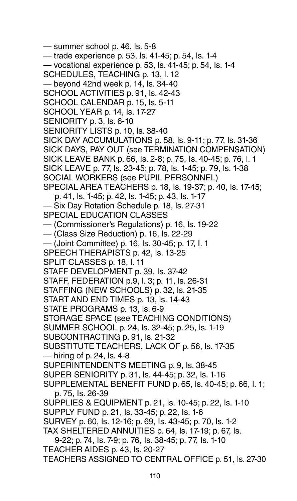— summer school p. 46, ls. 5-8 — trade experience p. 53, ls. 41-45; p. 54, ls. 1-4 — vocational experience p. 53, ls. 41-45; p. 54, ls. 1-4 SCHEDULES, TEACHING p. 13, I. 12 — beyond 42nd week p. 14, ls. 34-40 SCHOOL ACTIVITIES p. 91, ls. 42-43 SCHOOL CALENDAR p. 15, ls. 5-11 SCHOOL YEAR p. 14, ls. 17-27 SENIORITY p. 3, ls. 6-10 SENIORITY LISTS p. 10, ls. 38-40 SICK DAY ACCUMULATIONS p. 58, ls. 9-11; p. 77, ls. 31-36 SICK DAYS, PAY OUT (see TERMINATION COMPENSATION) SICK LEAVE BANK p. 66, Is. 2-8; p. 75, Is. 40-45; p. 76, l. 1 SICK LEAVE p. 77, ls. 23-45; p. 78, ls. 1-45; p. 79, ls. 1-38 SOCIAL WORKERS (see PUPIL PERSONNEL) SPECIAL AREA TEACHERS p. 18, ls. 19-37; p. 40, ls. 17-45; p. 41, ls. 1-45; p. 42, ls. 1-45; p. 43, ls. 1-17 — Six Day Rotation Schedule p. 18, ls. 27-31 SPECIAL EDUCATION CLASSES — (Commissioner's Regulations) p. 16, ls. 19-22 — (Class Size Reduction) p. 16, ls. 22-29 — (Joint Committee) p. 16, ls. 30-45; p. 17, I. 1 SPEECH THERAPISTS p. 42, ls. 13-25 SPLIT CLASSES p. 18, l. 11 STAFF DEVELOPMENT p. 39, Is. 37-42 STAFF, FEDERATION p.9, l. 3; p. 11, ls. 26-31 STAFFING (NEW SCHOOLS) p. 32, ls. 21-35 START AND END TIMES p. 13, ls. 14-43 STATE PROGRAMS p. 13, ls. 6-9 STORAGE SPACE (see TEACHING CONDITIONS) SUMMER SCHOOL p. 24, ls. 32-45; p. 25, ls. 1-19 SUBCONTRACTING p. 91, ls. 21-32 SUBSTITUTE TEACHERS, LACK OF p. 56, ls. 17-35 — hiring of p. 24, ls. 4-8 SUPERINTENDENT'S MEETING p. 9, ls. 38-45 SUPER SENIORITY p. 31, ls. 44-45; p. 32, ls. 1-16 SUPPLEMENTAL BENEFIT FUND p. 65, ls. 40-45; p. 66, l. 1; p. 75, Is. 26-39 SUPPLIES & EQUIPMENT p. 21, ls. 10-45; p. 22, ls. 1-10 SUPPLY FUND p. 21, ls. 33-45; p. 22, Is. 1-6 SURVEY p. 60, ls. 12-16; p. 69, Is. 43-45; p. 70, ls. 1-2 TAX SHELTERED ANNUITIES p. 64, ls. 17-19; p. 67, ls. 9-22; p. 74, Is. 7-9; p. 76, Is. 38-45; p. 77, Is. 1-10 TEACHER AIDES p. 43, ls. 20-27 TEACHERS ASSIGNED TO CENTRAL OFFICE p. 51, ls. 27-30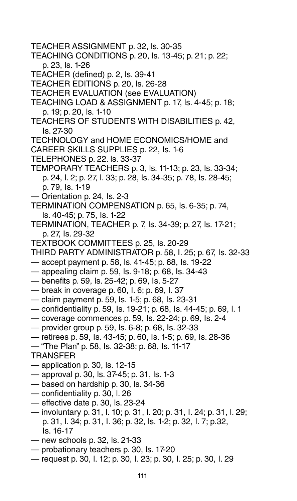TEACHER ASSIGNMENT p. 32, ls. 30-35 TEACHING CONDITIONS p. 20, ls. 13-45; p. 21; p. 22; p. 23, ls. 1-26 TEACHER (defined) p. 2, ls. 39-41 TEACHER EDITIONS p. 20, ls. 26-28 TEACHER EVALUATION (see EVALUATION) TEACHING LOAD & ASSIGNMENT p. 17, ls. 4-45; p. 18; p. 19; p. 20, ls. 1-10 TEACHERS OF STUDENTS WITH DISABILITIES p. 42, Is. 27-30 TECHNOLOGY and HOME ECONOMICS/HOME and CAREER SKILLS SUPPLIES p. 22, Is. 1-6 TELEPHONES p. 22. ls. 33-37 TEMPORARY TEACHERS p. 3, ls. 11-13; p. 23, ls. 33-34; p. 24, l. 2; p. 27, l. 33; p. 28, ls. 34-35; p. 78, ls. 28-45; p. 79, Is. 1-19 — Orientation p. 24, Is. 2-3 TERMINATION COMPENSATION p. 65, ls. 6-35; p. 74, ls. 40-45; p. 75, Is. 1-22 TERMINATION, TEACHER p. 7, ls. 34-39; p. 27, ls. 17-21; p. 27, Is. 29-32 TEXTBOOK COMMITTEES p. 25, ls. 20-29 THIRD PARTY ADMINISTRATOR p. 58, I. 25; p. 67, Is. 32-33 — accept payment p. 58, ls. 41-45; p. 68, Is. 19-22 — appealing claim p. 59, ls. 9-18; p. 68, Is. 34-43 — benefits p. 59, ls. 25-42; p. 69, Is. 5-27 — break in coverage p. 60, I. 6; p. 69, I. 37 — claim payment p. 59, ls. 1-5; p. 68, Is. 23-31 — confidentiality p. 59, Is. 19-21; p. 68, Is. 44-45; p. 69, l. 1 — coverage commences p. 59, Is. 22-24; p. 69, Is. 2-4 — provider group p. 59, ls. 6-8; p. 68, Is. 32-33 — retirees p. 59, Is. 43-45; p. 60, Is. 1-5; p. 69, Is. 28-36 — "The Plan" p. 58, Is. 32-38; p. 68, Is. 11-17 TRANSFER — application p. 30, ls. 12-15 — approval p. 30, ls. 37-45; p. 31, ls. 1-3 — based on hardship p. 30, ls. 34-36 — confidentiality p. 30, l. 26 — effective date p. 30, ls. 23-24 — involuntary p. 31, l. 10; p. 31, l. 20; p. 31, I. 24; p. 31, l. 29; p. 31, l. 34; p. 31, I. 36; p. 32, ls. 1-2; p. 32, I. 7; p.32, Is. 16-17 — new schools p. 32, ls. 21-33 — probationary teachers p. 30, ls. 17-20

— request p. 30, l. 12; p. 30, I. 23; p. 30, I. 25; p. 30, I. 29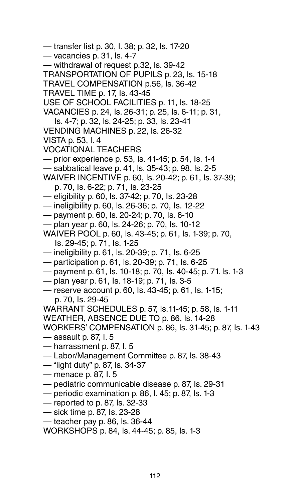— transfer list p. 30, l. 38; p. 32, ls. 17-20 — vacancies p. 31, ls. 4-7 — withdrawal of request p.32, ls. 39-42 TRANSPORTATION OF PUPILS p. 23, ls. 15-18 TRAVEL COMPENSATION p.56, ls. 36-42 TRAVEL TIME p. 17, Is. 43-45 USE OF SCHOOL FACILITIES p. 11, ls. 18-25 VACANCIES p. 24, ls. 26-31; p. 25, ls. 6-11; p. 31, ls. 4-7; p. 32, ls. 24-25; p. 33, ls. 23-41 VENDING MACHINES p. 22, ls. 26-32 VISTA p. 53, l. 4 VOCATIONAL TEACHERS — prior experience p. 53, ls. 41-45; p. 54, Is. 1-4 — sabbatical leave p. 41, ls. 35-43; p. 98, ls. 2-5 WAIVER INCENTIVE p. 60, ls. 20-42; p. 61, ls. 37-39; p. 70, Is. 6-22; p. 71, Is. 23-25 — eligibility p. 60, ls. 37-42; p. 70, Is. 23-28 — ineligibility p. 60, ls. 26-36; p. 70, Is. 12-22 — payment p. 60, ls. 20-24; p. 70, Is. 6-10 — plan year p. 60, ls. 24-26; p. 70, Is. 10-12 WAIVER POOL p. 60, ls. 43-45; p. 61, ls. 1-39; p. 70, Is. 29-45; p. 71, Is. 1-25 — ineligibility p. 61, ls. 20-39; p. 71, Is. 6-25 — participation p. 61, ls. 20-39; p. 71, Is. 6-25 — payment p. 61, ls. 10-18; p. 70, Is. 40-45; p. 71. ls. 1-3 — plan year p. 61, Is. 18-19; p. 71, Is. 3-5 — reserve account p. 60, Is. 43-45; p. 61, Is. 1-15; p. 70, Is. 29-45 WARRANT SCHEDULES p. 57, ls.11-45; p. 58, ls. 1-11 WEATHER, ABSENCE DUE TO p. 86, ls. 14-28 WORKERS' COMPENSATION p. 86, ls. 31-45; p. 87, ls. 1-43 — assault p. 87, I. 5 — harrassment p. 87, I. 5 — Labor/Management Committee p. 87, ls. 38-43 — "light duty" p. 87, ls. 34-37 — menace p. 87, I. 5 — pediatric communicable disease p. 87, ls. 29-31 — periodic examination p. 86, l. 45; p. 87, ls. 1-3 — reported to p. 87, ls. 32-33 — sick time p. 87, Is. 23-28 — teacher pay p. 86, ls. 36-44 WORKSHOPS p. 84, ls. 44-45; p. 85, ls. 1-3